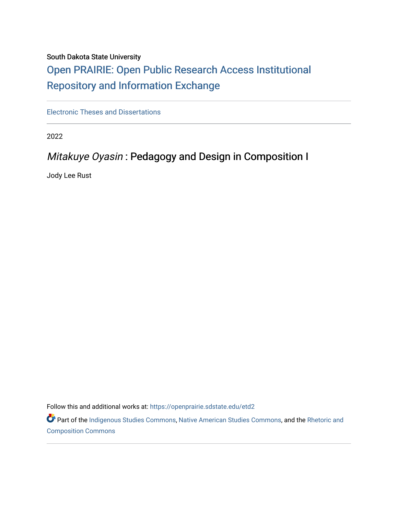## South Dakota State University

# [Open PRAIRIE: Open Public Research Access Institutional](https://openprairie.sdstate.edu/)  [Repository and Information Exchange](https://openprairie.sdstate.edu/)

[Electronic Theses and Dissertations](https://openprairie.sdstate.edu/etd2)

2022

## Mitakuye Oyasin : Pedagogy and Design in Composition I

Jody Lee Rust

Follow this and additional works at: [https://openprairie.sdstate.edu/etd2](https://openprairie.sdstate.edu/etd2?utm_source=openprairie.sdstate.edu%2Fetd2%2F400&utm_medium=PDF&utm_campaign=PDFCoverPages) 

Part of the [Indigenous Studies Commons,](https://network.bepress.com/hgg/discipline/571?utm_source=openprairie.sdstate.edu%2Fetd2%2F400&utm_medium=PDF&utm_campaign=PDFCoverPages) [Native American Studies Commons,](https://network.bepress.com/hgg/discipline/1434?utm_source=openprairie.sdstate.edu%2Fetd2%2F400&utm_medium=PDF&utm_campaign=PDFCoverPages) and the Rhetoric and [Composition Commons](https://network.bepress.com/hgg/discipline/573?utm_source=openprairie.sdstate.edu%2Fetd2%2F400&utm_medium=PDF&utm_campaign=PDFCoverPages)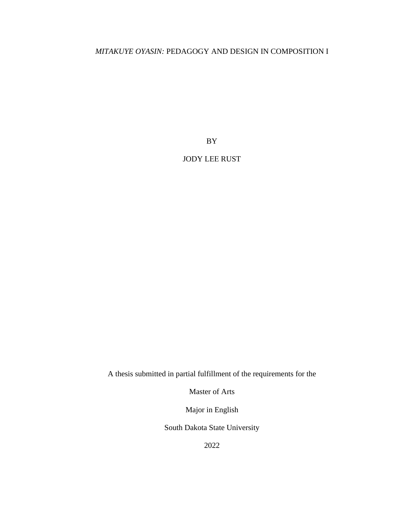## *MITAKUYE OYASIN:* PEDAGOGY AND DESIGN IN COMPOSITION I

BY

## JODY LEE RUST

A thesis submitted in partial fulfillment of the requirements for the

Master of Arts

Major in English

South Dakota State University

2022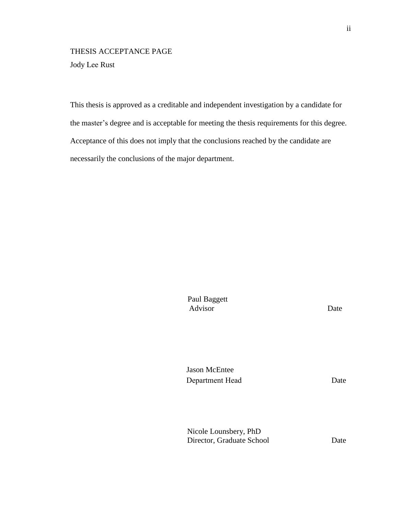## THESIS ACCEPTANCE PAGE Jody Lee Rust

This thesis is approved as a creditable and independent investigation by a candidate for the master's degree and is acceptable for meeting the thesis requirements for this degree. Acceptance of this does not imply that the conclusions reached by the candidate are necessarily the conclusions of the major department.

> Advisor Date Paul Baggett

Jason McEntee Department Head

Date

Nicole Lounsbery, PhD Director, Graduate School Date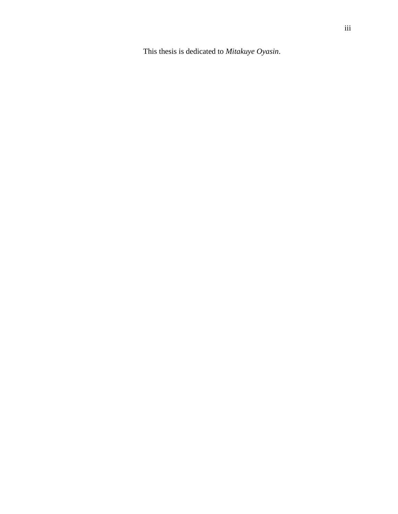This thesis is dedicated to *Mitakuye Oyasin*.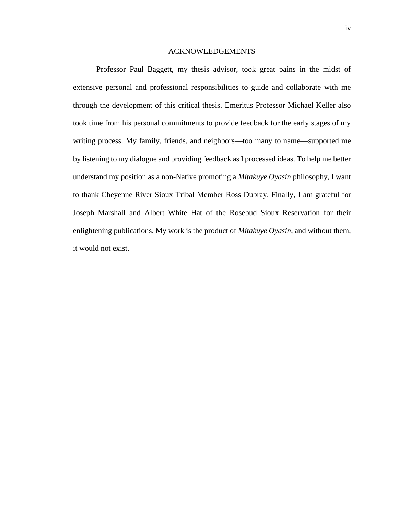#### ACKNOWLEDGEMENTS

Professor Paul Baggett, my thesis advisor, took great pains in the midst of extensive personal and professional responsibilities to guide and collaborate with me through the development of this critical thesis. Emeritus Professor Michael Keller also took time from his personal commitments to provide feedback for the early stages of my writing process. My family, friends, and neighbors—too many to name—supported me by listening to my dialogue and providing feedback as I processed ideas. To help me better understand my position as a non-Native promoting a *Mitakuye Oyasin* philosophy, I want to thank Cheyenne River Sioux Tribal Member Ross Dubray. Finally, I am grateful for Joseph Marshall and Albert White Hat of the Rosebud Sioux Reservation for their enlightening publications. My work is the product of *Mitakuye Oyasin*, and without them, it would not exist.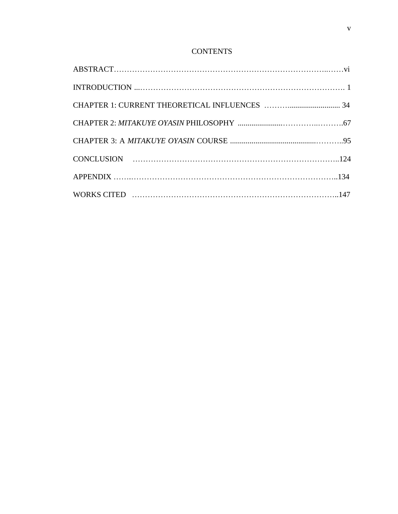## **CONTENTS**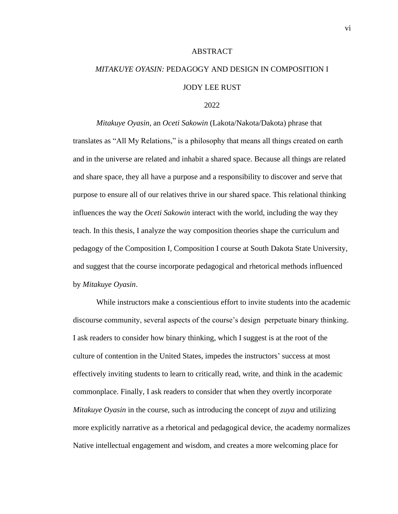#### **ABSTRACT**

# *MITAKUYE OYASIN:* PEDAGOGY AND DESIGN IN COMPOSITION I JODY LEE RUST

### 2022

*Mitakuye Oyasin*, an *Oceti Sakowin* (Lakota/Nakota/Dakota) phrase that translates as "All My Relations," is a philosophy that means all things created on earth and in the universe are related and inhabit a shared space. Because all things are related and share space, they all have a purpose and a responsibility to discover and serve that purpose to ensure all of our relatives thrive in our shared space. This relational thinking influences the way the *Oceti Sakowin* interact with the world, including the way they teach. In this thesis, I analyze the way composition theories shape the curriculum and pedagogy of the Composition I, Composition I course at South Dakota State University, and suggest that the course incorporate pedagogical and rhetorical methods influenced by *Mitakuye Oyasin*.

While instructors make a conscientious effort to invite students into the academic discourse community, several aspects of the course's design perpetuate binary thinking. I ask readers to consider how binary thinking, which I suggest is at the root of the culture of contention in the United States, impedes the instructors' success at most effectively inviting students to learn to critically read, write, and think in the academic commonplace. Finally, I ask readers to consider that when they overtly incorporate *Mitakuye Oyasin* in the course, such as introducing the concept of *zuya* and utilizing more explicitly narrative as a rhetorical and pedagogical device, the academy normalizes Native intellectual engagement and wisdom, and creates a more welcoming place for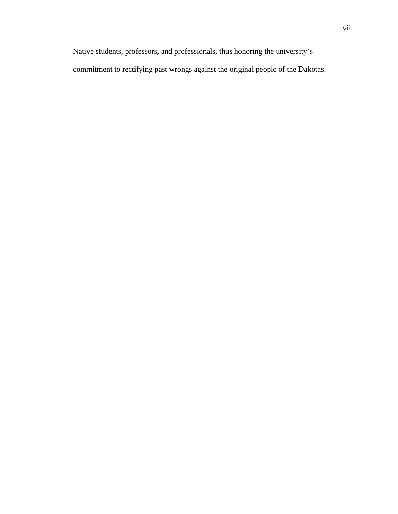Native students, professors, and professionals, thus honoring the university's commitment to rectifying past wrongs against the original people of the Dakotas.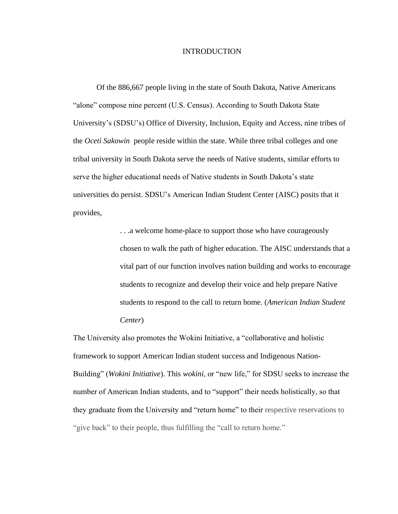### INTRODUCTION

Of the 886,667 people living in the state of South Dakota, Native Americans "alone" compose nine percent (U.S. Census). According to South Dakota State University's (SDSU's) Office of Diversity, Inclusion, Equity and Access, nine tribes of the *Oceti Sakowin* people reside within the state. While three tribal colleges and one tribal university in South Dakota serve the needs of Native students, similar efforts to serve the higher educational needs of Native students in South Dakota's state universities do persist. SDSU's American Indian Student Center (AISC) posits that it provides,

> . . .a welcome home-place to support those who have courageously chosen to walk the path of higher education. The AISC understands that a vital part of our function involves nation building and works to encourage students to recognize and develop their voice and help prepare Native students to respond to the call to return home. (*American Indian Student Center*)

The University also promotes the Wokini Initiative, a "collaborative and holistic framework to support American Indian student success and Indigenous Nation-Building" (*Wokini Initiative*). This *wokini*, or "new life," for SDSU seeks to increase the number of American Indian students, and to "support" their needs holistically, so that they graduate from the University and "return home" to their respective reservations to "give back" to their people, thus fulfilling the "call to return home."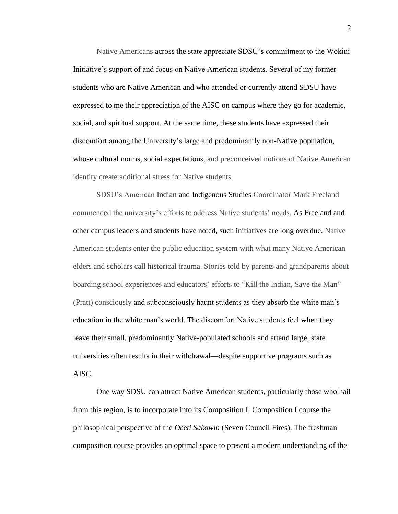Native Americans across the state appreciate SDSU's commitment to the Wokini Initiative's support of and focus on Native American students. Several of my former students who are Native American and who attended or currently attend SDSU have expressed to me their appreciation of the AISC on campus where they go for academic, social, and spiritual support. At the same time, these students have expressed their discomfort among the University's large and predominantly non-Native population, whose cultural norms, social expectations, and preconceived notions of Native American identity create additional stress for Native students.

SDSU's American Indian and Indigenous Studies Coordinator Mark Freeland commended the university's efforts to address Native students' needs. As Freeland and other campus leaders and students have noted, such initiatives are long overdue. Native American students enter the public education system with what many Native American elders and scholars call historical trauma. Stories told by parents and grandparents about boarding school experiences and educators' efforts to "Kill the Indian, Save the Man" (Pratt) consciously and subconsciously haunt students as they absorb the white man's education in the white man's world. The discomfort Native students feel when they leave their small, predominantly Native-populated schools and attend large, state universities often results in their withdrawal—despite supportive programs such as AISC.

One way SDSU can attract Native American students, particularly those who hail from this region, is to incorporate into its Composition I: Composition I course the philosophical perspective of the *Oceti Sakowin* (Seven Council Fires). The freshman composition course provides an optimal space to present a modern understanding of the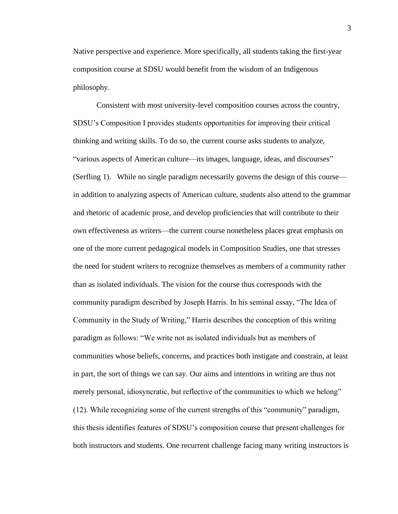Native perspective and experience. More specifically, all students taking the first-year composition course at SDSU would benefit from the wisdom of an Indigenous philosophy.

Consistent with most university-level composition courses across the country, SDSU's Composition I provides students opportunities for improving their critical thinking and writing skills. To do so, the current course asks students to analyze, "various aspects of American culture—its images, language, ideas, and discourses" (Serfling 1). While no single paradigm necessarily governs the design of this course in addition to analyzing aspects of American culture, students also attend to the grammar and rhetoric of academic prose, and develop proficiencies that will contribute to their own effectiveness as writers—the current course nonetheless places great emphasis on one of the more current pedagogical models in Composition Studies, one that stresses the need for student writers to recognize themselves as members of a community rather than as isolated individuals. The vision for the course thus corresponds with the community paradigm described by Joseph Harris. In his seminal essay, "The Idea of Community in the Study of Writing," Harris describes the conception of this writing paradigm as follows: "We write not as isolated individuals but as members of communities whose beliefs, concerns, and practices both instigate and constrain, at least in part, the sort of things we can say. Our aims and intentions in writing are thus not merely personal, idiosyncratic, but reflective of the communities to which we belong" (12). While recognizing some of the current strengths of this "community" paradigm, this thesis identifies features of SDSU's composition course that present challenges for both instructors and students. One recurrent challenge facing many writing instructors is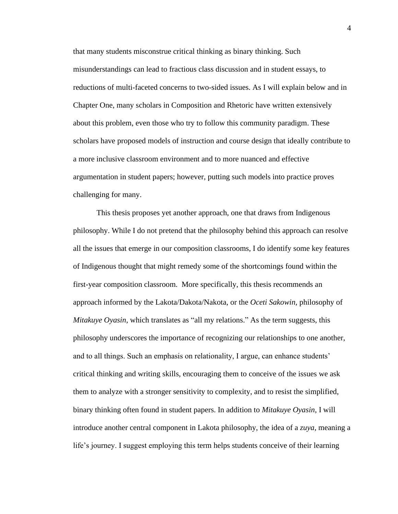that many students misconstrue critical thinking as binary thinking. Such misunderstandings can lead to fractious class discussion and in student essays, to reductions of multi-faceted concerns to two-sided issues. As I will explain below and in Chapter One, many scholars in Composition and Rhetoric have written extensively about this problem, even those who try to follow this community paradigm. These scholars have proposed models of instruction and course design that ideally contribute to a more inclusive classroom environment and to more nuanced and effective argumentation in student papers; however, putting such models into practice proves challenging for many.

This thesis proposes yet another approach, one that draws from Indigenous philosophy. While I do not pretend that the philosophy behind this approach can resolve all the issues that emerge in our composition classrooms, I do identify some key features of Indigenous thought that might remedy some of the shortcomings found within the first-year composition classroom. More specifically, this thesis recommends an approach informed by the Lakota/Dakota/Nakota, or the *Oceti Sakowin,* philosophy of *Mitakuye Oyasin*, which translates as "all my relations." As the term suggests, this philosophy underscores the importance of recognizing our relationships to one another, and to all things. Such an emphasis on relationality, I argue, can enhance students' critical thinking and writing skills, encouraging them to conceive of the issues we ask them to analyze with a stronger sensitivity to complexity, and to resist the simplified, binary thinking often found in student papers. In addition to *Mitakuye Oyasin*, I will introduce another central component in Lakota philosophy, the idea of a *zuya*, meaning a life's journey. I suggest employing this term helps students conceive of their learning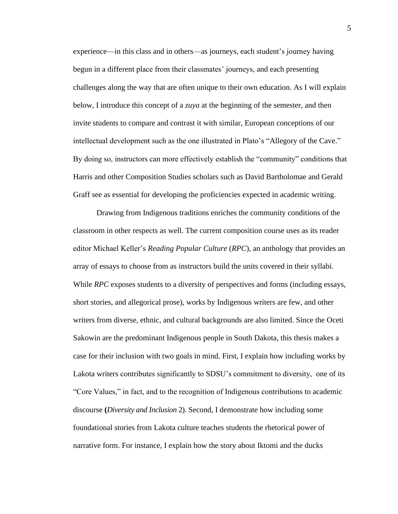experience—in this class and in others—as journeys, each student's journey having begun in a different place from their classmates' journeys, and each presenting challenges along the way that are often unique to their own education. As I will explain below, I introduce this concept of a *zuya* at the beginning of the semester, and then invite students to compare and contrast it with similar, European conceptions of our intellectual development such as the one illustrated in Plato's "Allegory of the Cave." By doing so, instructors can more effectively establish the "community" conditions that Harris and other Composition Studies scholars such as David Bartholomae and Gerald Graff see as essential for developing the proficiencies expected in academic writing.

Drawing from Indigenous traditions enriches the community conditions of the classroom in other respects as well. The current composition course uses as its reader editor Michael Keller's *Reading Popular Culture* (*RPC*), an anthology that provides an array of essays to choose from as instructors build the units covered in their syllabi. While *RPC* exposes students to a diversity of perspectives and forms (including essays, short stories, and allegorical prose), works by Indigenous writers are few, and other writers from diverse, ethnic, and cultural backgrounds are also limited. Since the Oceti Sakowin are the predominant Indigenous people in South Dakota, this thesis makes a case for their inclusion with two goals in mind. First, I explain how including works by Lakota writers contributes significantly to SDSU's commitment to diversity, one of its "Core Values," in fact, and to the recognition of Indigenous contributions to academic discourse **(***Diversity and Inclusion* 2). Second, I demonstrate how including some foundational stories from Lakota culture teaches students the rhetorical power of narrative form. For instance, I explain how the story about Iktomi and the ducks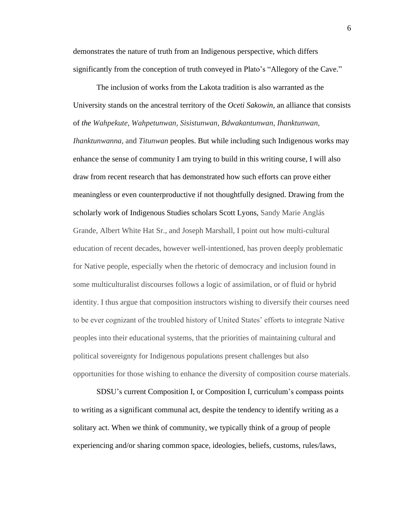demonstrates the nature of truth from an Indigenous perspective, which differs significantly from the conception of truth conveyed in Plato's "Allegory of the Cave."

The inclusion of works from the Lakota tradition is also warranted as the University stands on the ancestral territory of the *Oceti Sakowin*, an alliance that consists of *the Wahpekute, Wahpetunwan, Sisistunwan, Bdwakantunwan, Ihanktunwan, Ihanktunwanna*, and *Titunwan* peoples. But while including such Indigenous works may enhance the sense of community I am trying to build in this writing course, I will also draw from recent research that has demonstrated how such efforts can prove either meaningless or even counterproductive if not thoughtfully designed. Drawing from the scholarly work of Indigenous Studies scholars Scott Lyons, Sandy Marie Anglás Grande, Albert White Hat Sr., and Joseph Marshall, I point out how multi-cultural education of recent decades, however well-intentioned, has proven deeply problematic for Native people, especially when the rhetoric of democracy and inclusion found in some multiculturalist discourses follows a logic of assimilation, or of fluid or hybrid identity. I thus argue that composition instructors wishing to diversify their courses need to be ever cognizant of the troubled history of United States' efforts to integrate Native peoples into their educational systems, that the priorities of maintaining cultural and political sovereignty for Indigenous populations present challenges but also opportunities for those wishing to enhance the diversity of composition course materials.

SDSU's current Composition I, or Composition I, curriculum's compass points to writing as a significant communal act, despite the tendency to identify writing as a solitary act. When we think of community, we typically think of a group of people experiencing and/or sharing common space, ideologies, beliefs, customs, rules/laws,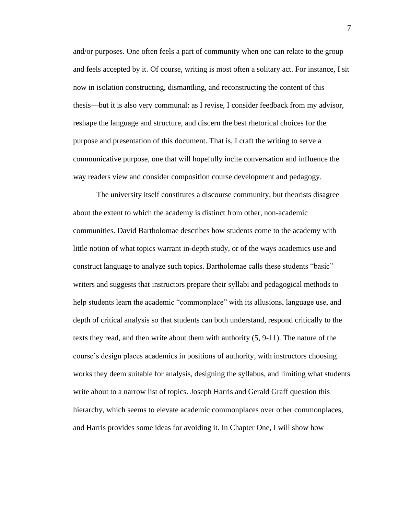and/or purposes. One often feels a part of community when one can relate to the group and feels accepted by it. Of course, writing is most often a solitary act. For instance, I sit now in isolation constructing, dismantling, and reconstructing the content of this thesis—but it is also very communal: as I revise, I consider feedback from my advisor, reshape the language and structure, and discern the best rhetorical choices for the purpose and presentation of this document. That is, I craft the writing to serve a communicative purpose, one that will hopefully incite conversation and influence the way readers view and consider composition course development and pedagogy.

The university itself constitutes a discourse community, but theorists disagree about the extent to which the academy is distinct from other, non-academic communities. David Bartholomae describes how students come to the academy with little notion of what topics warrant in-depth study, or of the ways academics use and construct language to analyze such topics. Bartholomae calls these students "basic" writers and suggests that instructors prepare their syllabi and pedagogical methods to help students learn the academic "commonplace" with its allusions, language use, and depth of critical analysis so that students can both understand, respond critically to the texts they read, and then write about them with authority (5, 9-11). The nature of the course's design places academics in positions of authority, with instructors choosing works they deem suitable for analysis, designing the syllabus, and limiting what students write about to a narrow list of topics. Joseph Harris and Gerald Graff question this hierarchy, which seems to elevate academic commonplaces over other commonplaces, and Harris provides some ideas for avoiding it. In Chapter One, I will show how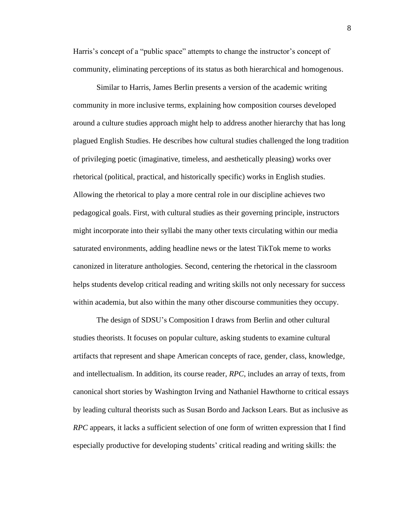Harris's concept of a "public space" attempts to change the instructor's concept of community, eliminating perceptions of its status as both hierarchical and homogenous.

Similar to Harris, James Berlin presents a version of the academic writing community in more inclusive terms, explaining how composition courses developed around a culture studies approach might help to address another hierarchy that has long plagued English Studies. He describes how cultural studies challenged the long tradition of privileging poetic (imaginative, timeless, and aesthetically pleasing) works over rhetorical (political, practical, and historically specific) works in English studies. Allowing the rhetorical to play a more central role in our discipline achieves two pedagogical goals. First, with cultural studies as their governing principle, instructors might incorporate into their syllabi the many other texts circulating within our media saturated environments, adding headline news or the latest TikTok meme to works canonized in literature anthologies. Second, centering the rhetorical in the classroom helps students develop critical reading and writing skills not only necessary for success within academia, but also within the many other discourse communities they occupy.

The design of SDSU's Composition I draws from Berlin and other cultural studies theorists. It focuses on popular culture, asking students to examine cultural artifacts that represent and shape American concepts of race, gender, class, knowledge, and intellectualism. In addition, its course reader, *RPC*, includes an array of texts, from canonical short stories by Washington Irving and Nathaniel Hawthorne to critical essays by leading cultural theorists such as Susan Bordo and Jackson Lears. But as inclusive as *RPC* appears, it lacks a sufficient selection of one form of written expression that I find especially productive for developing students' critical reading and writing skills: the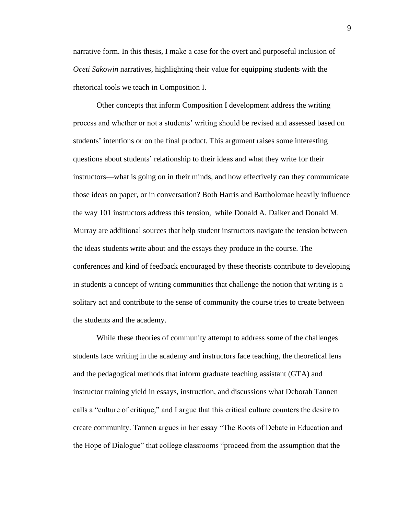narrative form. In this thesis, I make a case for the overt and purposeful inclusion of *Oceti Sakowin* narratives, highlighting their value for equipping students with the rhetorical tools we teach in Composition I.

Other concepts that inform Composition I development address the writing process and whether or not a students' writing should be revised and assessed based on students' intentions or on the final product. This argument raises some interesting questions about students' relationship to their ideas and what they write for their instructors—what is going on in their minds, and how effectively can they communicate those ideas on paper, or in conversation? Both Harris and Bartholomae heavily influence the way 101 instructors address this tension, while Donald A. Daiker and Donald M. Murray are additional sources that help student instructors navigate the tension between the ideas students write about and the essays they produce in the course. The conferences and kind of feedback encouraged by these theorists contribute to developing in students a concept of writing communities that challenge the notion that writing is a solitary act and contribute to the sense of community the course tries to create between the students and the academy.

While these theories of community attempt to address some of the challenges students face writing in the academy and instructors face teaching, the theoretical lens and the pedagogical methods that inform graduate teaching assistant (GTA) and instructor training yield in essays, instruction, and discussions what Deborah Tannen calls a "culture of critique," and I argue that this critical culture counters the desire to create community. Tannen argues in her essay "The Roots of Debate in Education and the Hope of Dialogue" that college classrooms "proceed from the assumption that the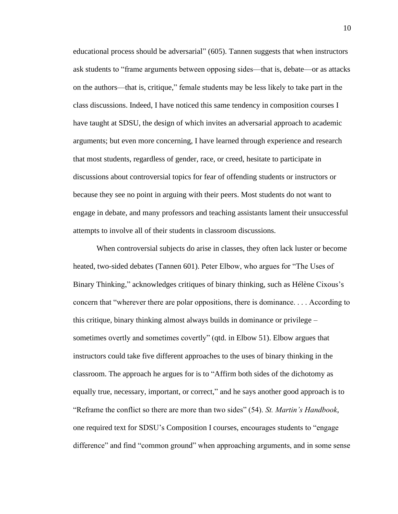educational process should be adversarial" (605). Tannen suggests that when instructors ask students to "frame arguments between opposing sides—that is, debate—or as attacks on the authors—that is, critique," female students may be less likely to take part in the class discussions. Indeed, I have noticed this same tendency in composition courses I have taught at SDSU, the design of which invites an adversarial approach to academic arguments; but even more concerning, I have learned through experience and research that most students, regardless of gender, race, or creed, hesitate to participate in discussions about controversial topics for fear of offending students or instructors or because they see no point in arguing with their peers. Most students do not want to engage in debate, and many professors and teaching assistants lament their unsuccessful attempts to involve all of their students in classroom discussions.

When controversial subjects do arise in classes, they often lack luster or become heated, two-sided debates (Tannen 601). Peter Elbow, who argues for "The Uses of Binary Thinking," acknowledges critiques of binary thinking, such as Hélène Cixous's concern that "wherever there are polar oppositions, there is dominance. . . . According to this critique, binary thinking almost always builds in dominance or privilege – sometimes overtly and sometimes covertly" (qtd. in Elbow 51). Elbow argues that instructors could take five different approaches to the uses of binary thinking in the classroom. The approach he argues for is to "Affirm both sides of the dichotomy as equally true, necessary, important, or correct," and he says another good approach is to "Reframe the conflict so there are more than two sides" (54). *St. Martin's Handbook*, one required text for SDSU's Composition I courses, encourages students to "engage difference" and find "common ground" when approaching arguments, and in some sense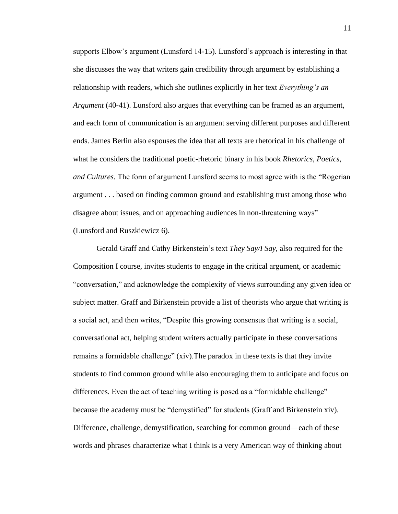supports Elbow's argument (Lunsford 14-15). Lunsford's approach is interesting in that she discusses the way that writers gain credibility through argument by establishing a relationship with readers, which she outlines explicitly in her text *Everything's an Argument* (40-41). Lunsford also argues that everything can be framed as an argument, and each form of communication is an argument serving different purposes and different ends. James Berlin also espouses the idea that all texts are rhetorical in his challenge of what he considers the traditional poetic-rhetoric binary in his book *Rhetorics, Poetics, and Cultures.* The form of argument Lunsford seems to most agree with is the "Rogerian argument . . . based on finding common ground and establishing trust among those who disagree about issues, and on approaching audiences in non-threatening ways" (Lunsford and Ruszkiewicz 6).

Gerald Graff and Cathy Birkenstein's text *They Say/I Say*, also required for the Composition I course, invites students to engage in the critical argument, or academic "conversation," and acknowledge the complexity of views surrounding any given idea or subject matter. Graff and Birkenstein provide a list of theorists who argue that writing is a social act, and then writes, "Despite this growing consensus that writing is a social, conversational act, helping student writers actually participate in these conversations remains a formidable challenge" (xiv).The paradox in these texts is that they invite students to find common ground while also encouraging them to anticipate and focus on differences. Even the act of teaching writing is posed as a "formidable challenge" because the academy must be "demystified" for students (Graff and Birkenstein xiv). Difference, challenge, demystification, searching for common ground—each of these words and phrases characterize what I think is a very American way of thinking about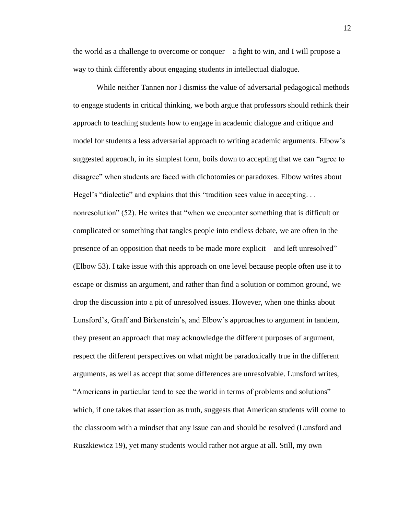the world as a challenge to overcome or conquer—a fight to win, and I will propose a way to think differently about engaging students in intellectual dialogue.

While neither Tannen nor I dismiss the value of adversarial pedagogical methods to engage students in critical thinking, we both argue that professors should rethink their approach to teaching students how to engage in academic dialogue and critique and model for students a less adversarial approach to writing academic arguments. Elbow's suggested approach, in its simplest form, boils down to accepting that we can "agree to disagree" when students are faced with dichotomies or paradoxes. Elbow writes about Hegel's "dialectic" and explains that this "tradition sees value in accepting. . . nonresolution" (52). He writes that "when we encounter something that is difficult or complicated or something that tangles people into endless debate, we are often in the presence of an opposition that needs to be made more explicit—and left unresolved" (Elbow 53). I take issue with this approach on one level because people often use it to escape or dismiss an argument, and rather than find a solution or common ground, we drop the discussion into a pit of unresolved issues. However, when one thinks about Lunsford's, Graff and Birkenstein's, and Elbow's approaches to argument in tandem, they present an approach that may acknowledge the different purposes of argument, respect the different perspectives on what might be paradoxically true in the different arguments, as well as accept that some differences are unresolvable. Lunsford writes, "Americans in particular tend to see the world in terms of problems and solutions" which, if one takes that assertion as truth, suggests that American students will come to the classroom with a mindset that any issue can and should be resolved (Lunsford and Ruszkiewicz 19), yet many students would rather not argue at all. Still, my own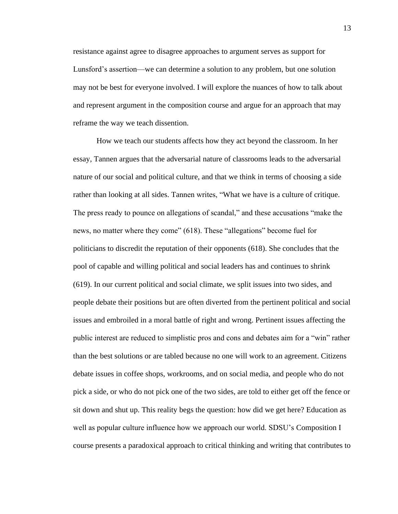resistance against agree to disagree approaches to argument serves as support for Lunsford's assertion—we can determine a solution to any problem, but one solution may not be best for everyone involved. I will explore the nuances of how to talk about and represent argument in the composition course and argue for an approach that may reframe the way we teach dissention.

How we teach our students affects how they act beyond the classroom. In her essay, Tannen argues that the adversarial nature of classrooms leads to the adversarial nature of our social and political culture, and that we think in terms of choosing a side rather than looking at all sides. Tannen writes, "What we have is a culture of critique. The press ready to pounce on allegations of scandal," and these accusations "make the news, no matter where they come" (618). These "allegations" become fuel for politicians to discredit the reputation of their opponents (618). She concludes that the pool of capable and willing political and social leaders has and continues to shrink (619). In our current political and social climate, we split issues into two sides, and people debate their positions but are often diverted from the pertinent political and social issues and embroiled in a moral battle of right and wrong. Pertinent issues affecting the public interest are reduced to simplistic pros and cons and debates aim for a "win" rather than the best solutions or are tabled because no one will work to an agreement. Citizens debate issues in coffee shops, workrooms, and on social media, and people who do not pick a side, or who do not pick one of the two sides, are told to either get off the fence or sit down and shut up. This reality begs the question: how did we get here? Education as well as popular culture influence how we approach our world. SDSU's Composition I course presents a paradoxical approach to critical thinking and writing that contributes to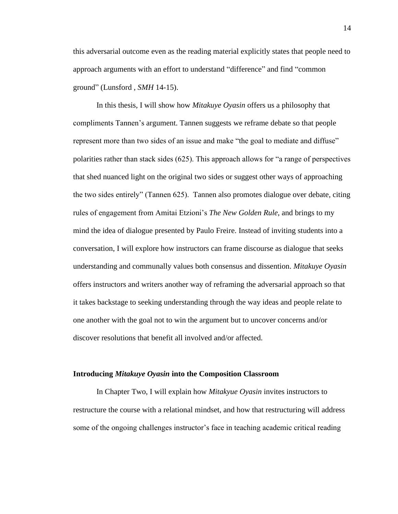this adversarial outcome even as the reading material explicitly states that people need to approach arguments with an effort to understand "difference" and find "common ground" (Lunsford , *SMH* 14-15).

In this thesis, I will show how *Mitakuye Oyasin* offers us a philosophy that compliments Tannen's argument. Tannen suggests we reframe debate so that people represent more than two sides of an issue and make "the goal to mediate and diffuse" polarities rather than stack sides (625). This approach allows for "a range of perspectives that shed nuanced light on the original two sides or suggest other ways of approaching the two sides entirely" (Tannen 625). Tannen also promotes dialogue over debate, citing rules of engagement from Amitai Etzioni's *The New Golden Rule*, and brings to my mind the idea of dialogue presented by Paulo Freire. Instead of inviting students into a conversation, I will explore how instructors can frame discourse as dialogue that seeks understanding and communally values both consensus and dissention. *Mitakuye Oyasin* offers instructors and writers another way of reframing the adversarial approach so that it takes backstage to seeking understanding through the way ideas and people relate to one another with the goal not to win the argument but to uncover concerns and/or discover resolutions that benefit all involved and/or affected.

#### **Introducing** *Mitakuye Oyasin* **into the Composition Classroom**

In Chapter Two, I will explain how *Mitakyue Oyasin* invites instructors to restructure the course with a relational mindset, and how that restructuring will address some of the ongoing challenges instructor's face in teaching academic critical reading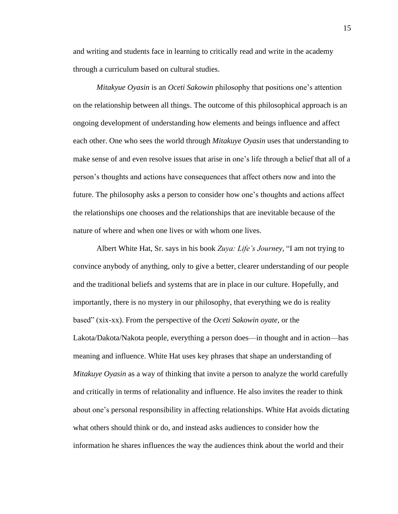and writing and students face in learning to critically read and write in the academy through a curriculum based on cultural studies.

*Mitakyue Oyasin* is an *Oceti Sakowin* philosophy that positions one's attention on the relationship between all things. The outcome of this philosophical approach is an ongoing development of understanding how elements and beings influence and affect each other. One who sees the world through *Mitakuye Oyasin* uses that understanding to make sense of and even resolve issues that arise in one's life through a belief that all of a person's thoughts and actions have consequences that affect others now and into the future. The philosophy asks a person to consider how one's thoughts and actions affect the relationships one chooses and the relationships that are inevitable because of the nature of where and when one lives or with whom one lives.

Albert White Hat, Sr. says in his book *Zuya: Life's Journey,* "I am not trying to convince anybody of anything, only to give a better, clearer understanding of our people and the traditional beliefs and systems that are in place in our culture. Hopefully, and importantly, there is no mystery in our philosophy, that everything we do is reality based" (xix-xx). From the perspective of the *Oceti Sakowin oyate*, or the Lakota/Dakota/Nakota people, everything a person does—in thought and in action—has meaning and influence. White Hat uses key phrases that shape an understanding of *Mitakuye Oyasin* as a way of thinking that invite a person to analyze the world carefully and critically in terms of relationality and influence. He also invites the reader to think about one's personal responsibility in affecting relationships. White Hat avoids dictating what others should think or do, and instead asks audiences to consider how the information he shares influences the way the audiences think about the world and their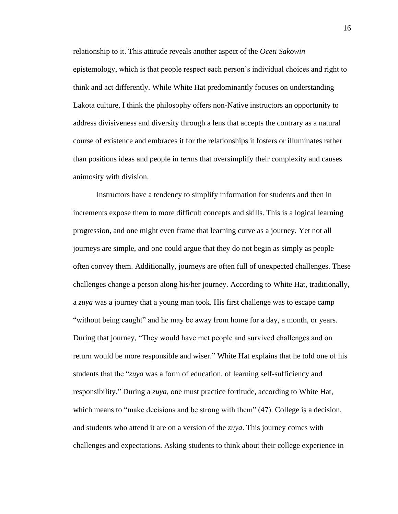relationship to it. This attitude reveals another aspect of the *Oceti Sakowin*  epistemology, which is that people respect each person's individual choices and right to think and act differently. While White Hat predominantly focuses on understanding Lakota culture, I think the philosophy offers non-Native instructors an opportunity to address divisiveness and diversity through a lens that accepts the contrary as a natural course of existence and embraces it for the relationships it fosters or illuminates rather than positions ideas and people in terms that oversimplify their complexity and causes animosity with division.

Instructors have a tendency to simplify information for students and then in increments expose them to more difficult concepts and skills. This is a logical learning progression, and one might even frame that learning curve as a journey. Yet not all journeys are simple, and one could argue that they do not begin as simply as people often convey them. Additionally, journeys are often full of unexpected challenges. These challenges change a person along his/her journey. According to White Hat, traditionally, a *zuya* was a journey that a young man took. His first challenge was to escape camp "without being caught" and he may be away from home for a day, a month, or years. During that journey, "They would have met people and survived challenges and on return would be more responsible and wiser." White Hat explains that he told one of his students that the "*zuya* was a form of education, of learning self-sufficiency and responsibility." During a *zuya*, one must practice fortitude, according to White Hat, which means to "make decisions and be strong with them" (47). College is a decision, and students who attend it are on a version of the *zuya*. This journey comes with challenges and expectations. Asking students to think about their college experience in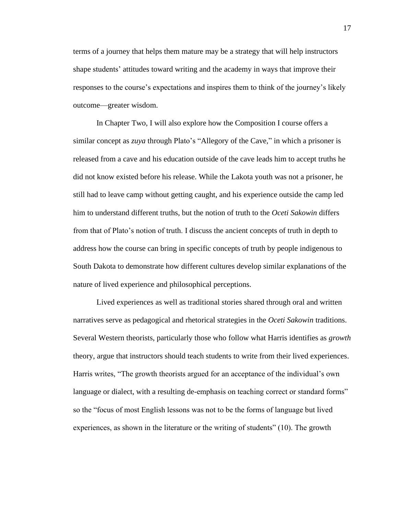terms of a journey that helps them mature may be a strategy that will help instructors shape students' attitudes toward writing and the academy in ways that improve their responses to the course's expectations and inspires them to think of the journey's likely outcome—greater wisdom.

In Chapter Two, I will also explore how the Composition I course offers a similar concept as *zuya* through Plato's "Allegory of the Cave," in which a prisoner is released from a cave and his education outside of the cave leads him to accept truths he did not know existed before his release. While the Lakota youth was not a prisoner, he still had to leave camp without getting caught, and his experience outside the camp led him to understand different truths, but the notion of truth to the *Oceti Sakowin* differs from that of Plato's notion of truth. I discuss the ancient concepts of truth in depth to address how the course can bring in specific concepts of truth by people indigenous to South Dakota to demonstrate how different cultures develop similar explanations of the nature of lived experience and philosophical perceptions.

Lived experiences as well as traditional stories shared through oral and written narratives serve as pedagogical and rhetorical strategies in the *Oceti Sakowin* traditions. Several Western theorists, particularly those who follow what Harris identifies as *growth* theory, argue that instructors should teach students to write from their lived experiences. Harris writes, "The growth theorists argued for an acceptance of the individual's own language or dialect, with a resulting de-emphasis on teaching correct or standard forms" so the "focus of most English lessons was not to be the forms of language but lived experiences, as shown in the literature or the writing of students" (10). The growth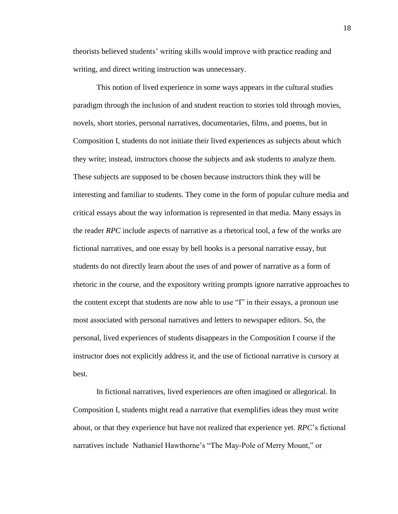theorists believed students' writing skills would improve with practice reading and writing, and direct writing instruction was unnecessary.

This notion of lived experience in some ways appears in the cultural studies paradigm through the inclusion of and student reaction to stories told through movies, novels, short stories, personal narratives, documentaries, films, and poems, but in Composition I, students do not initiate their lived experiences as subjects about which they write; instead, instructors choose the subjects and ask students to analyze them. These subjects are supposed to be chosen because instructors think they will be interesting and familiar to students. They come in the form of popular culture media and critical essays about the way information is represented in that media. Many essays in the reader *RPC* include aspects of narrative as a rhetorical tool, a few of the works are fictional narratives, and one essay by bell hooks is a personal narrative essay, but students do not directly learn about the uses of and power of narrative as a form of rhetoric in the course, and the expository writing prompts ignore narrative approaches to the content except that students are now able to use "I" in their essays, a pronoun use most associated with personal narratives and letters to newspaper editors. So, the personal, lived experiences of students disappears in the Composition I course if the instructor does not explicitly address it, and the use of fictional narrative is cursory at best.

In fictional narratives, lived experiences are often imagined or allegorical. In Composition I, students might read a narrative that exemplifies ideas they must write about, or that they experience but have not realized that experience yet. *RPC*'s fictional narratives include Nathaniel Hawthorne's "The May-Pole of Merry Mount," or

18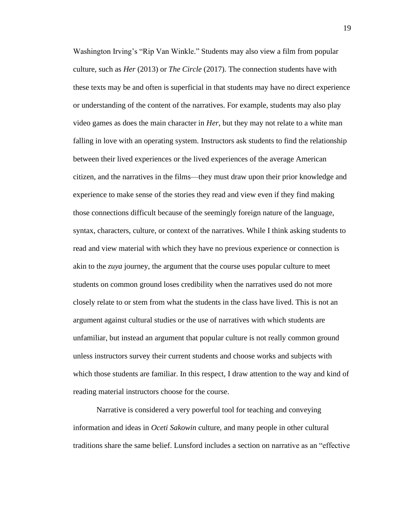Washington Irving's "Rip Van Winkle." Students may also view a film from popular culture, such as *Her* (2013) or *The Circle* (2017). The connection students have with these texts may be and often is superficial in that students may have no direct experience or understanding of the content of the narratives. For example, students may also play video games as does the main character in *Her*, but they may not relate to a white man falling in love with an operating system. Instructors ask students to find the relationship between their lived experiences or the lived experiences of the average American citizen, and the narratives in the films—they must draw upon their prior knowledge and experience to make sense of the stories they read and view even if they find making those connections difficult because of the seemingly foreign nature of the language, syntax, characters, culture, or context of the narratives. While I think asking students to read and view material with which they have no previous experience or connection is akin to the *zuya* journey, the argument that the course uses popular culture to meet students on common ground loses credibility when the narratives used do not more closely relate to or stem from what the students in the class have lived. This is not an argument against cultural studies or the use of narratives with which students are unfamiliar, but instead an argument that popular culture is not really common ground unless instructors survey their current students and choose works and subjects with which those students are familiar. In this respect, I draw attention to the way and kind of reading material instructors choose for the course.

Narrative is considered a very powerful tool for teaching and conveying information and ideas in *Oceti Sakowin* culture, and many people in other cultural traditions share the same belief. Lunsford includes a section on narrative as an "effective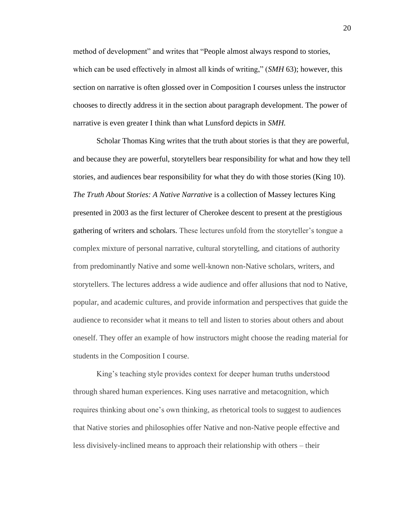method of development" and writes that "People almost always respond to stories, which can be used effectively in almost all kinds of writing," (*SMH* 63); however, this section on narrative is often glossed over in Composition I courses unless the instructor chooses to directly address it in the section about paragraph development. The power of narrative is even greater I think than what Lunsford depicts in *SMH.* 

Scholar Thomas King writes that the truth about stories is that they are powerful, and because they are powerful, storytellers bear responsibility for what and how they tell stories, and audiences bear responsibility for what they do with those stories (King 10). *The Truth About Stories: A Native Narrative* is a collection of Massey lectures King presented in 2003 as the first lecturer of Cherokee descent to present at the prestigious gathering of writers and scholars. These lectures unfold from the storyteller's tongue a complex mixture of personal narrative, cultural storytelling, and citations of authority from predominantly Native and some well-known non-Native scholars, writers, and storytellers. The lectures address a wide audience and offer allusions that nod to Native, popular, and academic cultures, and provide information and perspectives that guide the audience to reconsider what it means to tell and listen to stories about others and about oneself. They offer an example of how instructors might choose the reading material for students in the Composition I course.

King's teaching style provides context for deeper human truths understood through shared human experiences. King uses narrative and metacognition, which requires thinking about one's own thinking, as rhetorical tools to suggest to audiences that Native stories and philosophies offer Native and non-Native people effective and less divisively-inclined means to approach their relationship with others – their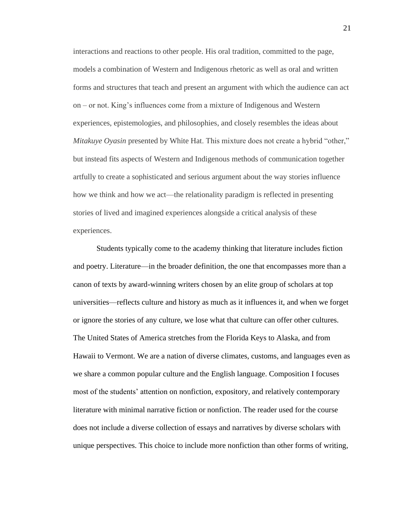interactions and reactions to other people. His oral tradition, committed to the page, models a combination of Western and Indigenous rhetoric as well as oral and written forms and structures that teach and present an argument with which the audience can act on – or not. King's influences come from a mixture of Indigenous and Western experiences, epistemologies, and philosophies, and closely resembles the ideas about *Mitakuye Oyasin* presented by White Hat. This mixture does not create a hybrid "other," but instead fits aspects of Western and Indigenous methods of communication together artfully to create a sophisticated and serious argument about the way stories influence how we think and how we act—the relationality paradigm is reflected in presenting stories of lived and imagined experiences alongside a critical analysis of these experiences.

Students typically come to the academy thinking that literature includes fiction and poetry. Literature—in the broader definition, the one that encompasses more than a canon of texts by award-winning writers chosen by an elite group of scholars at top universities—reflects culture and history as much as it influences it, and when we forget or ignore the stories of any culture, we lose what that culture can offer other cultures. The United States of America stretches from the Florida Keys to Alaska, and from Hawaii to Vermont. We are a nation of diverse climates, customs, and languages even as we share a common popular culture and the English language. Composition I focuses most of the students' attention on nonfiction, expository, and relatively contemporary literature with minimal narrative fiction or nonfiction. The reader used for the course does not include a diverse collection of essays and narratives by diverse scholars with unique perspectives. This choice to include more nonfiction than other forms of writing,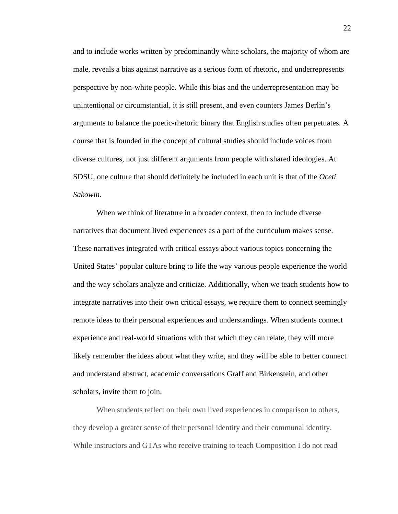and to include works written by predominantly white scholars, the majority of whom are male, reveals a bias against narrative as a serious form of rhetoric, and underrepresents perspective by non-white people. While this bias and the underrepresentation may be unintentional or circumstantial, it is still present, and even counters James Berlin's arguments to balance the poetic-rhetoric binary that English studies often perpetuates. A course that is founded in the concept of cultural studies should include voices from diverse cultures, not just different arguments from people with shared ideologies. At SDSU, one culture that should definitely be included in each unit is that of the *Oceti Sakowin.*

When we think of literature in a broader context, then to include diverse narratives that document lived experiences as a part of the curriculum makes sense. These narratives integrated with critical essays about various topics concerning the United States' popular culture bring to life the way various people experience the world and the way scholars analyze and criticize. Additionally, when we teach students how to integrate narratives into their own critical essays, we require them to connect seemingly remote ideas to their personal experiences and understandings. When students connect experience and real-world situations with that which they can relate, they will more likely remember the ideas about what they write, and they will be able to better connect and understand abstract, academic conversations Graff and Birkenstein, and other scholars, invite them to join.

When students reflect on their own lived experiences in comparison to others, they develop a greater sense of their personal identity and their communal identity. While instructors and GTAs who receive training to teach Composition I do not read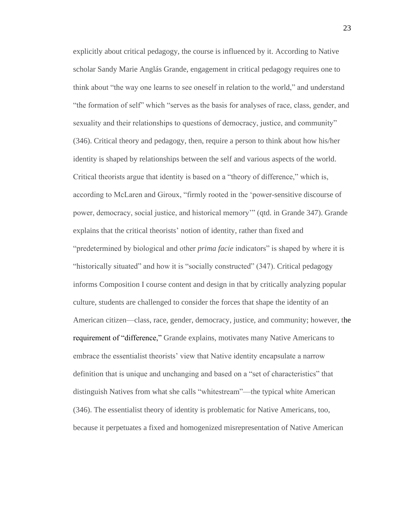explicitly about critical pedagogy, the course is influenced by it. According to Native scholar Sandy Marie Anglás Grande, engagement in critical pedagogy requires one to think about "the way one learns to see oneself in relation to the world," and understand "the formation of self" which "serves as the basis for analyses of race, class, gender, and sexuality and their relationships to questions of democracy, justice, and community" (346). Critical theory and pedagogy, then, require a person to think about how his/her identity is shaped by relationships between the self and various aspects of the world. Critical theorists argue that identity is based on a "theory of difference," which is, according to McLaren and Giroux, "firmly rooted in the 'power-sensitive discourse of power, democracy, social justice, and historical memory'" (qtd. in Grande 347). Grande explains that the critical theorists' notion of identity, rather than fixed and "predetermined by biological and other *prima facie* indicators" is shaped by where it is "historically situated" and how it is "socially constructed" (347). Critical pedagogy informs Composition I course content and design in that by critically analyzing popular culture, students are challenged to consider the forces that shape the identity of an American citizen—class, race, gender, democracy, justice, and community; however, the requirement of "difference," Grande explains, motivates many Native Americans to embrace the essentialist theorists' view that Native identity encapsulate a narrow definition that is unique and unchanging and based on a "set of characteristics" that distinguish Natives from what she calls "whitestream"—the typical white American (346). The essentialist theory of identity is problematic for Native Americans, too, because it perpetuates a fixed and homogenized misrepresentation of Native American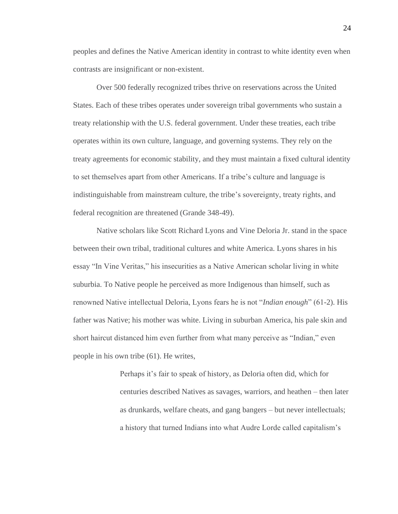peoples and defines the Native American identity in contrast to white identity even when contrasts are insignificant or non-existent.

Over 500 federally recognized tribes thrive on reservations across the United States. Each of these tribes operates under sovereign tribal governments who sustain a treaty relationship with the U.S. federal government. Under these treaties, each tribe operates within its own culture, language, and governing systems. They rely on the treaty agreements for economic stability, and they must maintain a fixed cultural identity to set themselves apart from other Americans. If a tribe's culture and language is indistinguishable from mainstream culture, the tribe's sovereignty, treaty rights, and federal recognition are threatened (Grande 348-49).

Native scholars like Scott Richard Lyons and Vine Deloria Jr. stand in the space between their own tribal, traditional cultures and white America. Lyons shares in his essay "In Vine Veritas," his insecurities as a Native American scholar living in white suburbia. To Native people he perceived as more Indigenous than himself, such as renowned Native intellectual Deloria, Lyons fears he is not "*Indian enough*" (61-2). His father was Native; his mother was white. Living in suburban America, his pale skin and short haircut distanced him even further from what many perceive as "Indian," even people in his own tribe (61). He writes,

> Perhaps it's fair to speak of history, as Deloria often did, which for centuries described Natives as savages, warriors, and heathen – then later as drunkards, welfare cheats, and gang bangers – but never intellectuals; a history that turned Indians into what Audre Lorde called capitalism's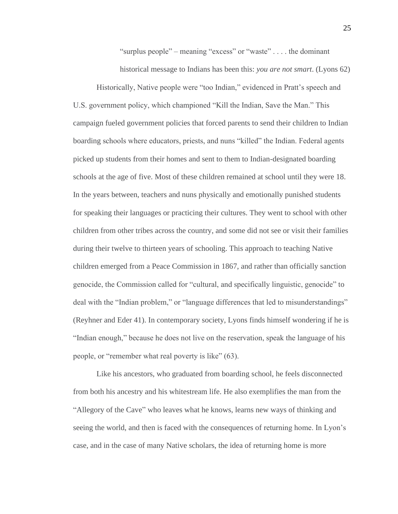"surplus people" – meaning "excess" or "waste" . . . . the dominant

historical message to Indians has been this: *you are not smart*. (Lyons 62)

Historically, Native people were "too Indian," evidenced in Pratt's speech and U.S. government policy, which championed "Kill the Indian, Save the Man." This campaign fueled government policies that forced parents to send their children to Indian boarding schools where educators, priests, and nuns "killed" the Indian. Federal agents picked up students from their homes and sent to them to Indian-designated boarding schools at the age of five. Most of these children remained at school until they were 18. In the years between, teachers and nuns physically and emotionally punished students for speaking their languages or practicing their cultures. They went to school with other children from other tribes across the country, and some did not see or visit their families during their twelve to thirteen years of schooling. This approach to teaching Native children emerged from a Peace Commission in 1867, and rather than officially sanction genocide, the Commission called for "cultural, and specifically linguistic, genocide" to deal with the "Indian problem," or "language differences that led to misunderstandings" (Reyhner and Eder 41). In contemporary society, Lyons finds himself wondering if he is "Indian enough," because he does not live on the reservation, speak the language of his people, or "remember what real poverty is like" (63).

Like his ancestors, who graduated from boarding school, he feels disconnected from both his ancestry and his whitestream life. He also exemplifies the man from the "Allegory of the Cave" who leaves what he knows, learns new ways of thinking and seeing the world, and then is faced with the consequences of returning home. In Lyon's case, and in the case of many Native scholars, the idea of returning home is more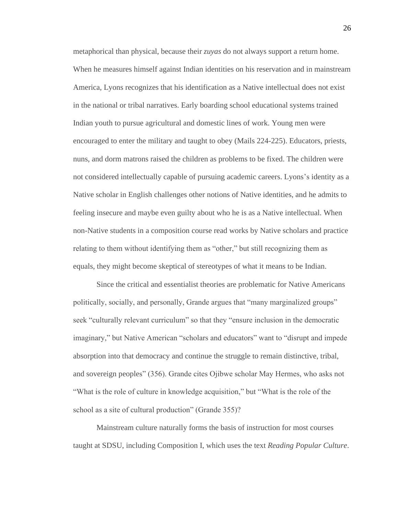metaphorical than physical, because their *zuyas* do not always support a return home. When he measures himself against Indian identities on his reservation and in mainstream America, Lyons recognizes that his identification as a Native intellectual does not exist in the national or tribal narratives. Early boarding school educational systems trained Indian youth to pursue agricultural and domestic lines of work. Young men were encouraged to enter the military and taught to obey (Mails 224-225). Educators, priests, nuns, and dorm matrons raised the children as problems to be fixed. The children were not considered intellectually capable of pursuing academic careers. Lyons's identity as a Native scholar in English challenges other notions of Native identities, and he admits to feeling insecure and maybe even guilty about who he is as a Native intellectual. When non-Native students in a composition course read works by Native scholars and practice relating to them without identifying them as "other," but still recognizing them as equals, they might become skeptical of stereotypes of what it means to be Indian.

Since the critical and essentialist theories are problematic for Native Americans politically, socially, and personally, Grande argues that "many marginalized groups" seek "culturally relevant curriculum" so that they "ensure inclusion in the democratic imaginary," but Native American "scholars and educators" want to "disrupt and impede absorption into that democracy and continue the struggle to remain distinctive, tribal, and sovereign peoples" (356). Grande cites Ojibwe scholar May Hermes, who asks not "What is the role of culture in knowledge acquisition," but "What is the role of the school as a site of cultural production" (Grande 355)?

Mainstream culture naturally forms the basis of instruction for most courses taught at SDSU, including Composition I, which uses the text *Reading Popular Culture*.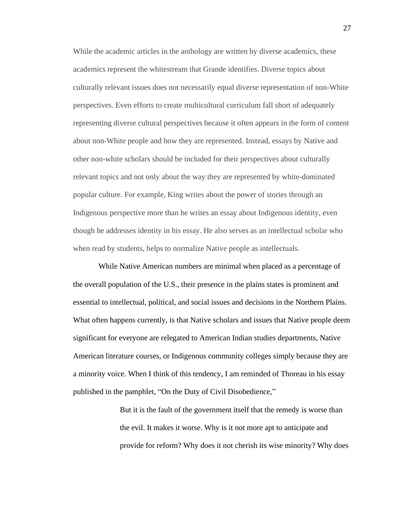While the academic articles in the anthology are written by diverse academics, these academics represent the whitestream that Grande identifies. Diverse topics about culturally relevant issues does not necessarily equal diverse representation of non-White perspectives. Even efforts to create multicultural curriculum fall short of adequately representing diverse cultural perspectives because it often appears in the form of content about non-White people and how they are represented. Instead, essays by Native and other non-white scholars should be included for their perspectives about culturally relevant topics and not only about the way they are represented by white-dominated popular culture. For example, King writes about the power of stories through an Indigenous perspective more than he writes an essay about Indigenous identity, even though he addresses identity in his essay. He also serves as an intellectual scholar who when read by students, helps to normalize Native people as intellectuals.

While Native American numbers are minimal when placed as a percentage of the overall population of the U.S., their presence in the plains states is prominent and essential to intellectual, political, and social issues and decisions in the Northern Plains. What often happens currently, is that Native scholars and issues that Native people deem significant for everyone are relegated to American Indian studies departments, Native American literature courses, or Indigenous community colleges simply because they are a minority voice. When I think of this tendency, I am reminded of Thoreau in his essay published in the pamphlet, "On the Duty of Civil Disobedience,"

> But it is the fault of the government itself that the remedy is worse than the evil. It makes it worse. Why is it not more apt to anticipate and provide for reform? Why does it not cherish its wise minority? Why does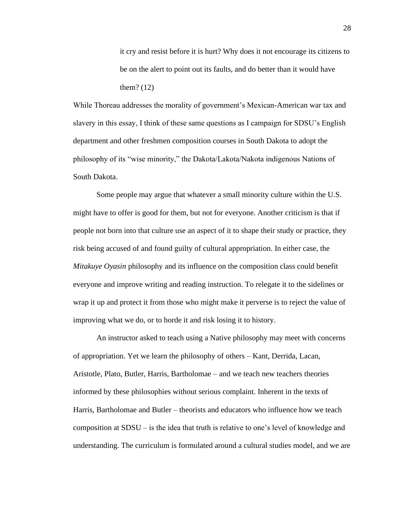it cry and resist before it is hurt? Why does it not encourage its citizens to be on the alert to point out its faults, and do better than it would have them? (12)

While Thoreau addresses the morality of government's Mexican-American war tax and slavery in this essay, I think of these same questions as I campaign for SDSU's English department and other freshmen composition courses in South Dakota to adopt the philosophy of its "wise minority," the Dakota/Lakota/Nakota indigenous Nations of South Dakota.

Some people may argue that whatever a small minority culture within the U.S. might have to offer is good for them, but not for everyone. Another criticism is that if people not born into that culture use an aspect of it to shape their study or practice, they risk being accused of and found guilty of cultural appropriation. In either case, the *Mitakuye Oyasin* philosophy and its influence on the composition class could benefit everyone and improve writing and reading instruction. To relegate it to the sidelines or wrap it up and protect it from those who might make it perverse is to reject the value of improving what we do, or to horde it and risk losing it to history.

An instructor asked to teach using a Native philosophy may meet with concerns of appropriation. Yet we learn the philosophy of others – Kant, Derrida, Lacan, Aristotle, Plato, Butler, Harris, Bartholomae – and we teach new teachers theories informed by these philosophies without serious complaint. Inherent in the texts of Harris, Bartholomae and Butler – theorists and educators who influence how we teach composition at SDSU – is the idea that truth is relative to one's level of knowledge and understanding. The curriculum is formulated around a cultural studies model, and we are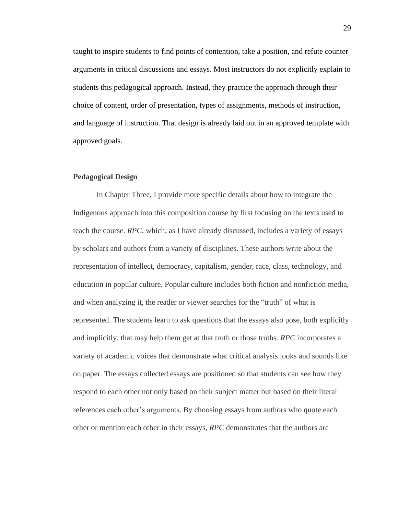taught to inspire students to find points of contention, take a position, and refute counter arguments in critical discussions and essays. Most instructors do not explicitly explain to students this pedagogical approach. Instead, they practice the approach through their choice of content, order of presentation, types of assignments, methods of instruction, and language of instruction. That design is already laid out in an approved template with approved goals.

## **Pedagogical Design**

In Chapter Three, I provide more specific details about how to integrate the Indigenous approach into this composition course by first focusing on the texts used to teach the course. *RPC*, which, as I have already discussed, includes a variety of essays by scholars and authors from a variety of disciplines. These authors write about the representation of intellect, democracy, capitalism, gender, race, class, technology, and education in popular culture. Popular culture includes both fiction and nonfiction media, and when analyzing it, the reader or viewer searches for the "truth" of what is represented. The students learn to ask questions that the essays also pose, both explicitly and implicitly, that may help them get at that truth or those truths. *RPC* incorporates a variety of academic voices that demonstrate what critical analysis looks and sounds like on paper. The essays collected essays are positioned so that students can see how they respond to each other not only based on their subject matter but based on their literal references each other's arguments. By choosing essays from authors who quote each other or mention each other in their essays, *RPC* demonstrates that the authors are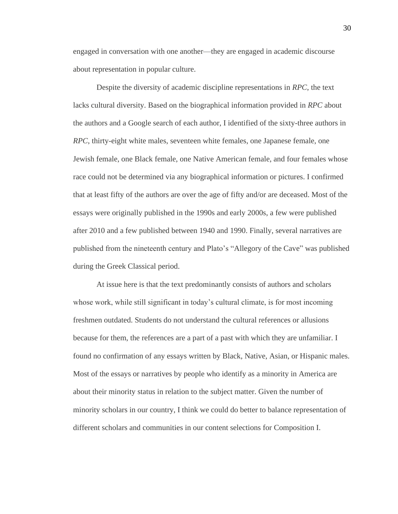engaged in conversation with one another—they are engaged in academic discourse about representation in popular culture.

Despite the diversity of academic discipline representations in *RPC*, the text lacks cultural diversity. Based on the biographical information provided in *RPC* about the authors and a Google search of each author, I identified of the sixty-three authors in *RPC*, thirty-eight white males, seventeen white females, one Japanese female, one Jewish female, one Black female, one Native American female, and four females whose race could not be determined via any biographical information or pictures. I confirmed that at least fifty of the authors are over the age of fifty and/or are deceased. Most of the essays were originally published in the 1990s and early 2000s, a few were published after 2010 and a few published between 1940 and 1990. Finally, several narratives are published from the nineteenth century and Plato's "Allegory of the Cave" was published during the Greek Classical period.

At issue here is that the text predominantly consists of authors and scholars whose work, while still significant in today's cultural climate, is for most incoming freshmen outdated. Students do not understand the cultural references or allusions because for them, the references are a part of a past with which they are unfamiliar. I found no confirmation of any essays written by Black, Native, Asian, or Hispanic males. Most of the essays or narratives by people who identify as a minority in America are about their minority status in relation to the subject matter. Given the number of minority scholars in our country, I think we could do better to balance representation of different scholars and communities in our content selections for Composition I.

30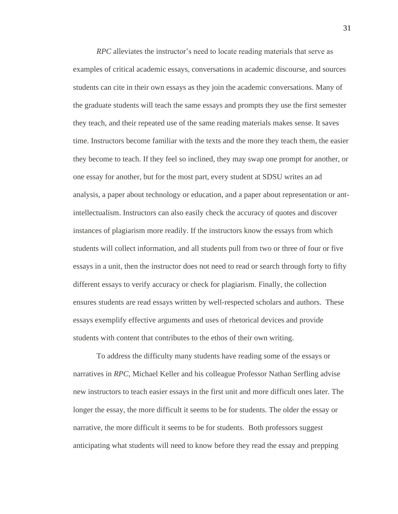*RPC* alleviates the instructor's need to locate reading materials that serve as examples of critical academic essays, conversations in academic discourse, and sources students can cite in their own essays as they join the academic conversations. Many of the graduate students will teach the same essays and prompts they use the first semester they teach, and their repeated use of the same reading materials makes sense. It saves time. Instructors become familiar with the texts and the more they teach them, the easier they become to teach. If they feel so inclined, they may swap one prompt for another, or one essay for another, but for the most part, every student at SDSU writes an ad analysis, a paper about technology or education, and a paper about representation or antintellectualism. Instructors can also easily check the accuracy of quotes and discover instances of plagiarism more readily. If the instructors know the essays from which students will collect information, and all students pull from two or three of four or five essays in a unit, then the instructor does not need to read or search through forty to fifty different essays to verify accuracy or check for plagiarism. Finally, the collection ensures students are read essays written by well-respected scholars and authors. These essays exemplify effective arguments and uses of rhetorical devices and provide students with content that contributes to the ethos of their own writing.

To address the difficulty many students have reading some of the essays or narratives in *RPC*, Michael Keller and his colleague Professor Nathan Serfling advise new instructors to teach easier essays in the first unit and more difficult ones later. The longer the essay, the more difficult it seems to be for students. The older the essay or narrative, the more difficult it seems to be for students. Both professors suggest anticipating what students will need to know before they read the essay and prepping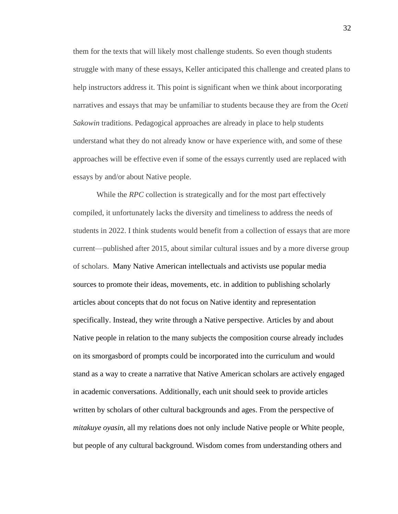them for the texts that will likely most challenge students. So even though students struggle with many of these essays, Keller anticipated this challenge and created plans to help instructors address it. This point is significant when we think about incorporating narratives and essays that may be unfamiliar to students because they are from the *Oceti Sakowin* traditions. Pedagogical approaches are already in place to help students understand what they do not already know or have experience with, and some of these approaches will be effective even if some of the essays currently used are replaced with essays by and/or about Native people.

While the *RPC* collection is strategically and for the most part effectively compiled, it unfortunately lacks the diversity and timeliness to address the needs of students in 2022. I think students would benefit from a collection of essays that are more current—published after 2015, about similar cultural issues and by a more diverse group of scholars. Many Native American intellectuals and activists use popular media sources to promote their ideas, movements, etc. in addition to publishing scholarly articles about concepts that do not focus on Native identity and representation specifically. Instead, they write through a Native perspective. Articles by and about Native people in relation to the many subjects the composition course already includes on its smorgasbord of prompts could be incorporated into the curriculum and would stand as a way to create a narrative that Native American scholars are actively engaged in academic conversations. Additionally, each unit should seek to provide articles written by scholars of other cultural backgrounds and ages. From the perspective of *mitakuye oyasin,* all my relations does not only include Native people or White people, but people of any cultural background. Wisdom comes from understanding others and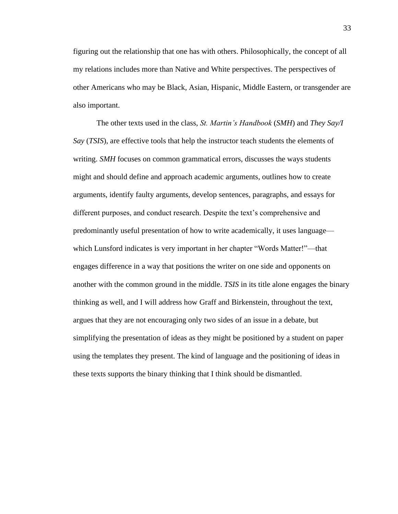figuring out the relationship that one has with others. Philosophically, the concept of all my relations includes more than Native and White perspectives. The perspectives of other Americans who may be Black, Asian, Hispanic, Middle Eastern, or transgender are also important.

The other texts used in the class, *St. Martin's Handbook* (*SMH*) and *They Say/I Say* (*TSIS*), are effective tools that help the instructor teach students the elements of writing. *SMH* focuses on common grammatical errors, discusses the ways students might and should define and approach academic arguments, outlines how to create arguments, identify faulty arguments, develop sentences, paragraphs, and essays for different purposes, and conduct research. Despite the text's comprehensive and predominantly useful presentation of how to write academically, it uses language which Lunsford indicates is very important in her chapter "Words Matter!"—that engages difference in a way that positions the writer on one side and opponents on another with the common ground in the middle. *TSIS* in its title alone engages the binary thinking as well, and I will address how Graff and Birkenstein, throughout the text, argues that they are not encouraging only two sides of an issue in a debate, but simplifying the presentation of ideas as they might be positioned by a student on paper using the templates they present. The kind of language and the positioning of ideas in these texts supports the binary thinking that I think should be dismantled.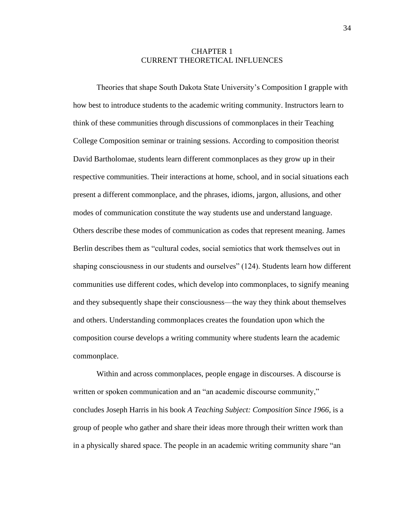## CHAPTER 1 CURRENT THEORETICAL INFLUENCES

Theories that shape South Dakota State University's Composition I grapple with how best to introduce students to the academic writing community. Instructors learn to think of these communities through discussions of commonplaces in their Teaching College Composition seminar or training sessions. According to composition theorist David Bartholomae, students learn different commonplaces as they grow up in their respective communities. Their interactions at home, school, and in social situations each present a different commonplace, and the phrases, idioms, jargon, allusions, and other modes of communication constitute the way students use and understand language. Others describe these modes of communication as codes that represent meaning. James Berlin describes them as "cultural codes, social semiotics that work themselves out in shaping consciousness in our students and ourselves" (124). Students learn how different communities use different codes, which develop into commonplaces, to signify meaning and they subsequently shape their consciousness—the way they think about themselves and others. Understanding commonplaces creates the foundation upon which the composition course develops a writing community where students learn the academic commonplace.

Within and across commonplaces, people engage in discourses. A discourse is written or spoken communication and an "an academic discourse community," concludes Joseph Harris in his book *A Teaching Subject: Composition Since 1966*, is a group of people who gather and share their ideas more through their written work than in a physically shared space. The people in an academic writing community share "an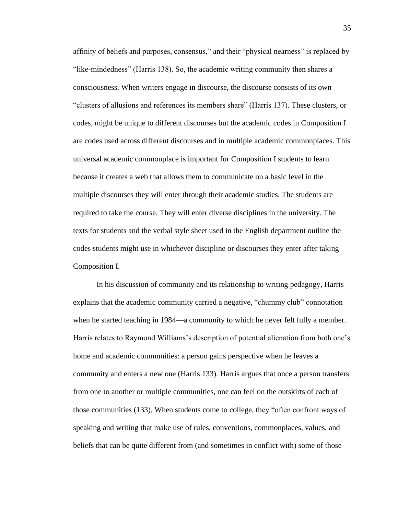affinity of beliefs and purposes, consensus," and their "physical nearness" is replaced by "like-mindedness" (Harris 138). So, the academic writing community then shares a consciousness. When writers engage in discourse, the discourse consists of its own "clusters of allusions and references its members share" (Harris 137). These clusters, or codes, might be unique to different discourses but the academic codes in Composition I are codes used across different discourses and in multiple academic commonplaces. This universal academic commonplace is important for Composition I students to learn because it creates a web that allows them to communicate on a basic level in the multiple discourses they will enter through their academic studies. The students are required to take the course. They will enter diverse disciplines in the university. The texts for students and the verbal style sheet used in the English department outline the codes students might use in whichever discipline or discourses they enter after taking Composition I.

In his discussion of community and its relationship to writing pedagogy, Harris explains that the academic community carried a negative, "chummy club" connotation when he started teaching in 1984—a community to which he never felt fully a member. Harris relates to Raymond Williams's description of potential alienation from both one's home and academic communities: a person gains perspective when he leaves a community and enters a new one (Harris 133). Harris argues that once a person transfers from one to another or multiple communities, one can feel on the outskirts of each of those communities (133). When students come to college, they "often confront ways of speaking and writing that make use of rules, conventions, commonplaces, values, and beliefs that can be quite different from (and sometimes in conflict with) some of those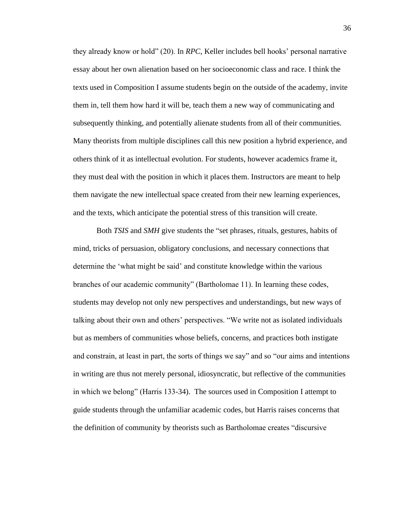they already know or hold" (20). In *RPC*, Keller includes bell hooks' personal narrative essay about her own alienation based on her socioeconomic class and race. I think the texts used in Composition I assume students begin on the outside of the academy, invite them in, tell them how hard it will be, teach them a new way of communicating and subsequently thinking, and potentially alienate students from all of their communities. Many theorists from multiple disciplines call this new position a hybrid experience, and others think of it as intellectual evolution. For students, however academics frame it, they must deal with the position in which it places them. Instructors are meant to help them navigate the new intellectual space created from their new learning experiences, and the texts, which anticipate the potential stress of this transition will create.

Both *TSIS* and *SMH* give students the "set phrases, rituals, gestures, habits of mind, tricks of persuasion, obligatory conclusions, and necessary connections that determine the 'what might be said' and constitute knowledge within the various branches of our academic community" (Bartholomae 11). In learning these codes, students may develop not only new perspectives and understandings, but new ways of talking about their own and others' perspectives. "We write not as isolated individuals but as members of communities whose beliefs, concerns, and practices both instigate and constrain, at least in part, the sorts of things we say" and so "our aims and intentions in writing are thus not merely personal, idiosyncratic, but reflective of the communities in which we belong" (Harris 133-34). The sources used in Composition I attempt to guide students through the unfamiliar academic codes, but Harris raises concerns that the definition of community by theorists such as Bartholomae creates "discursive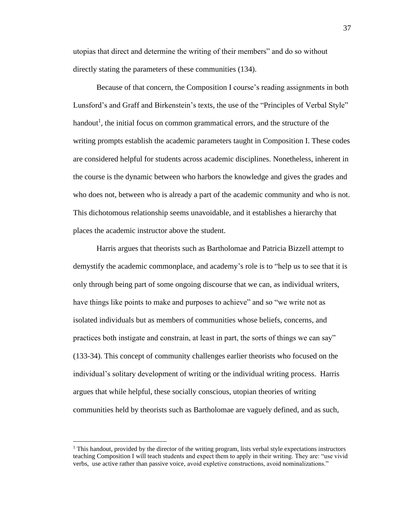utopias that direct and determine the writing of their members" and do so without directly stating the parameters of these communities (134).

Because of that concern, the Composition I course's reading assignments in both Lunsford's and Graff and Birkenstein's texts, the use of the "Principles of Verbal Style" handout<sup>1</sup>, the initial focus on common grammatical errors, and the structure of the writing prompts establish the academic parameters taught in Composition I. These codes are considered helpful for students across academic disciplines. Nonetheless, inherent in the course is the dynamic between who harbors the knowledge and gives the grades and who does not, between who is already a part of the academic community and who is not. This dichotomous relationship seems unavoidable, and it establishes a hierarchy that places the academic instructor above the student.

Harris argues that theorists such as Bartholomae and Patricia Bizzell attempt to demystify the academic commonplace, and academy's role is to "help us to see that it is only through being part of some ongoing discourse that we can, as individual writers, have things like points to make and purposes to achieve" and so "we write not as isolated individuals but as members of communities whose beliefs, concerns, and practices both instigate and constrain, at least in part, the sorts of things we can say" (133-34). This concept of community challenges earlier theorists who focused on the individual's solitary development of writing or the individual writing process. Harris argues that while helpful, these socially conscious, utopian theories of writing communities held by theorists such as Bartholomae are vaguely defined, and as such,

<sup>&</sup>lt;sup>1</sup> This handout, provided by the director of the writing program, lists verbal style expectations instructors teaching Composition I will teach students and expect them to apply in their writing. They are: "use vivid verbs, use active rather than passive voice, avoid expletive constructions, avoid nominalizations."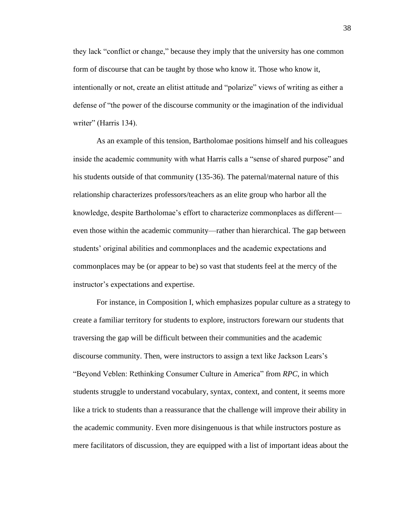they lack "conflict or change," because they imply that the university has one common form of discourse that can be taught by those who know it. Those who know it, intentionally or not, create an elitist attitude and "polarize" views of writing as either a defense of "the power of the discourse community or the imagination of the individual writer" (Harris 134).

As an example of this tension, Bartholomae positions himself and his colleagues inside the academic community with what Harris calls a "sense of shared purpose" and his students outside of that community (135-36). The paternal/maternal nature of this relationship characterizes professors/teachers as an elite group who harbor all the knowledge, despite Bartholomae's effort to characterize commonplaces as different even those within the academic community—rather than hierarchical. The gap between students' original abilities and commonplaces and the academic expectations and commonplaces may be (or appear to be) so vast that students feel at the mercy of the instructor's expectations and expertise.

For instance, in Composition I, which emphasizes popular culture as a strategy to create a familiar territory for students to explore, instructors forewarn our students that traversing the gap will be difficult between their communities and the academic discourse community. Then, were instructors to assign a text like Jackson Lears's "Beyond Veblen: Rethinking Consumer Culture in America" from *RPC*, in which students struggle to understand vocabulary, syntax, context, and content, it seems more like a trick to students than a reassurance that the challenge will improve their ability in the academic community. Even more disingenuous is that while instructors posture as mere facilitators of discussion, they are equipped with a list of important ideas about the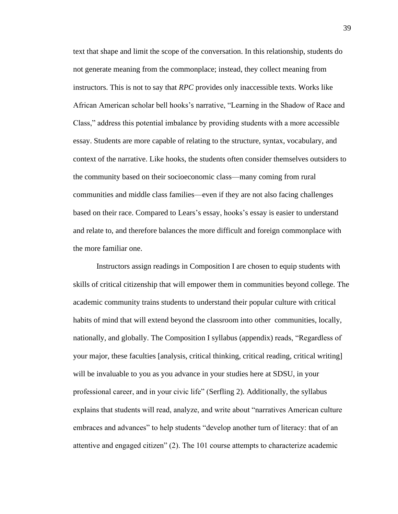text that shape and limit the scope of the conversation. In this relationship, students do not generate meaning from the commonplace; instead, they collect meaning from instructors. This is not to say that *RPC* provides only inaccessible texts. Works like African American scholar bell hooks's narrative, "Learning in the Shadow of Race and Class," address this potential imbalance by providing students with a more accessible essay. Students are more capable of relating to the structure, syntax, vocabulary, and context of the narrative. Like hooks, the students often consider themselves outsiders to the community based on their socioeconomic class—many coming from rural communities and middle class families—even if they are not also facing challenges based on their race. Compared to Lears's essay, hooks's essay is easier to understand and relate to, and therefore balances the more difficult and foreign commonplace with the more familiar one.

Instructors assign readings in Composition I are chosen to equip students with skills of critical citizenship that will empower them in communities beyond college. The academic community trains students to understand their popular culture with critical habits of mind that will extend beyond the classroom into other communities, locally, nationally, and globally. The Composition I syllabus (appendix) reads, "Regardless of your major, these faculties [analysis, critical thinking, critical reading, critical writing] will be invaluable to you as you advance in your studies here at SDSU, in your professional career, and in your civic life" (Serfling 2). Additionally, the syllabus explains that students will read, analyze, and write about "narratives American culture embraces and advances" to help students "develop another turn of literacy: that of an attentive and engaged citizen" (2). The 101 course attempts to characterize academic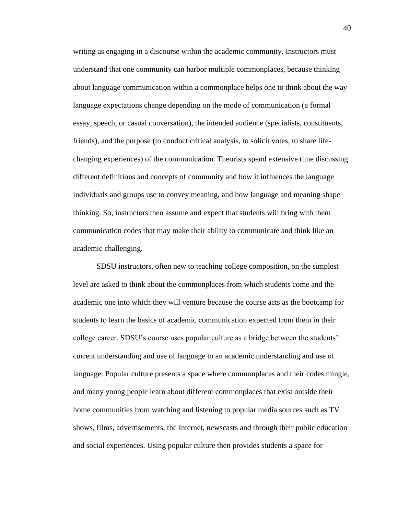writing as engaging in a discourse within the academic community. Instructors must understand that one community can harbor multiple commonplaces, because thinking about language communication within a commonplace helps one to think about the way language expectations change depending on the mode of communication (a formal essay, speech, or casual conversation), the intended audience (specialists, constituents, friends), and the purpose (to conduct critical analysis, to solicit votes, to share lifechanging experiences) of the communication. Theorists spend extensive time discussing different definitions and concepts of community and how it influences the language individuals and groups use to convey meaning, and how language and meaning shape thinking. So, instructors then assume and expect that students will bring with them communication codes that may make their ability to communicate and think like an academic challenging.

SDSU instructors, often new to teaching college composition, on the simplest level are asked to think about the commonplaces from which students come and the academic one into which they will venture because the course acts as the bootcamp for students to learn the basics of academic communication expected from them in their college career. SDSU's course uses popular culture as a bridge between the students' current understanding and use of language to an academic understanding and use of language. Popular culture presents a space where commonplaces and their codes mingle, and many young people learn about different commonplaces that exist outside their home communities from watching and listening to popular media sources such as TV shows, films, advertisements, the Internet, newscasts and through their public education and social experiences. Using popular culture then provides students a space for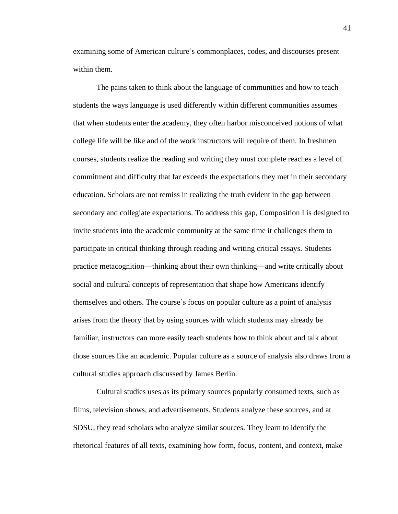examining some of American culture's commonplaces, codes, and discourses present within them.

The pains taken to think about the language of communities and how to teach students the ways language is used differently within different communities assumes that when students enter the academy, they often harbor misconceived notions of what college life will be like and of the work instructors will require of them. In freshmen courses, students realize the reading and writing they must complete reaches a level of commitment and difficulty that far exceeds the expectations they met in their secondary education. Scholars are not remiss in realizing the truth evident in the gap between secondary and collegiate expectations. To address this gap, Composition I is designed to invite students into the academic community at the same time it challenges them to participate in critical thinking through reading and writing critical essays. Students practice metacognition—thinking about their own thinking—and write critically about social and cultural concepts of representation that shape how Americans identify themselves and others. The course's focus on popular culture as a point of analysis arises from the theory that by using sources with which students may already be familiar, instructors can more easily teach students how to think about and talk about those sources like an academic. Popular culture as a source of analysis also draws from a cultural studies approach discussed by James Berlin.

Cultural studies uses as its primary sources popularly consumed texts, such as films, television shows, and advertisements. Students analyze these sources, and at SDSU, they read scholars who analyze similar sources. They learn to identify the rhetorical features of all texts, examining how form, focus, content, and context, make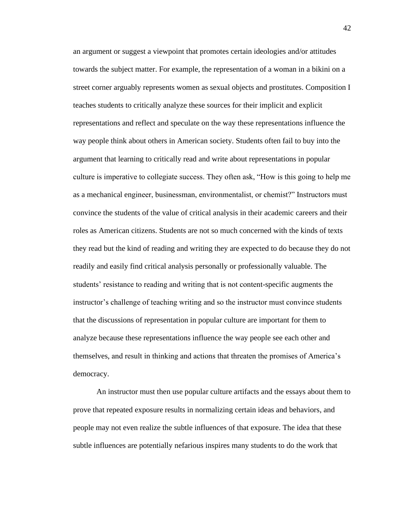an argument or suggest a viewpoint that promotes certain ideologies and/or attitudes towards the subject matter. For example, the representation of a woman in a bikini on a street corner arguably represents women as sexual objects and prostitutes. Composition I teaches students to critically analyze these sources for their implicit and explicit representations and reflect and speculate on the way these representations influence the way people think about others in American society. Students often fail to buy into the argument that learning to critically read and write about representations in popular culture is imperative to collegiate success. They often ask, "How is this going to help me as a mechanical engineer, businessman, environmentalist, or chemist?" Instructors must convince the students of the value of critical analysis in their academic careers and their roles as American citizens. Students are not so much concerned with the kinds of texts they read but the kind of reading and writing they are expected to do because they do not readily and easily find critical analysis personally or professionally valuable. The students' resistance to reading and writing that is not content-specific augments the instructor's challenge of teaching writing and so the instructor must convince students that the discussions of representation in popular culture are important for them to analyze because these representations influence the way people see each other and themselves, and result in thinking and actions that threaten the promises of America's democracy.

An instructor must then use popular culture artifacts and the essays about them to prove that repeated exposure results in normalizing certain ideas and behaviors, and people may not even realize the subtle influences of that exposure. The idea that these subtle influences are potentially nefarious inspires many students to do the work that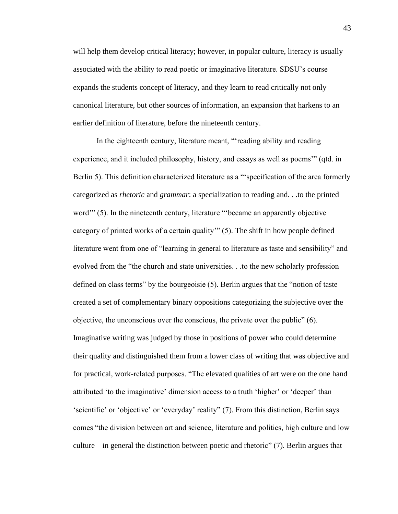will help them develop critical literacy; however, in popular culture, literacy is usually associated with the ability to read poetic or imaginative literature. SDSU's course expands the students concept of literacy, and they learn to read critically not only canonical literature, but other sources of information, an expansion that harkens to an earlier definition of literature, before the nineteenth century.

In the eighteenth century, literature meant, "'reading ability and reading experience, and it included philosophy, history, and essays as well as poems'" (qtd. in Berlin 5). This definition characterized literature as a "specification of the area formerly categorized as *rhetoric* and *grammar*: a specialization to reading and. . .to the printed word'" (5). In the nineteenth century, literature "'became an apparently objective category of printed works of a certain quality'" (5). The shift in how people defined literature went from one of "learning in general to literature as taste and sensibility" and evolved from the "the church and state universities. . .to the new scholarly profession defined on class terms" by the bourgeoisie (5). Berlin argues that the "notion of taste created a set of complementary binary oppositions categorizing the subjective over the objective, the unconscious over the conscious, the private over the public" (6). Imaginative writing was judged by those in positions of power who could determine their quality and distinguished them from a lower class of writing that was objective and for practical, work-related purposes. "The elevated qualities of art were on the one hand attributed 'to the imaginative' dimension access to a truth 'higher' or 'deeper' than 'scientific' or 'objective' or 'everyday' reality" (7). From this distinction, Berlin says comes "the division between art and science, literature and politics, high culture and low culture—in general the distinction between poetic and rhetoric" (7). Berlin argues that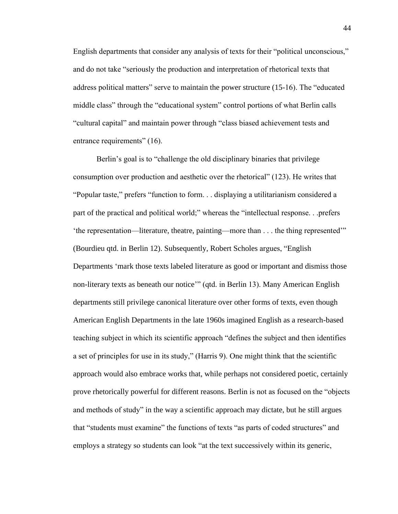English departments that consider any analysis of texts for their "political unconscious," and do not take "seriously the production and interpretation of rhetorical texts that address political matters" serve to maintain the power structure (15-16). The "educated middle class" through the "educational system" control portions of what Berlin calls "cultural capital" and maintain power through "class biased achievement tests and entrance requirements" (16).

Berlin's goal is to "challenge the old disciplinary binaries that privilege consumption over production and aesthetic over the rhetorical" (123). He writes that "Popular taste," prefers "function to form. . . displaying a utilitarianism considered a part of the practical and political world;" whereas the "intellectual response. . .prefers 'the representation—literature, theatre, painting—more than . . . the thing represented'" (Bourdieu qtd. in Berlin 12). Subsequently, Robert Scholes argues, "English Departments 'mark those texts labeled literature as good or important and dismiss those non-literary texts as beneath our notice'" (qtd. in Berlin 13). Many American English departments still privilege canonical literature over other forms of texts, even though American English Departments in the late 1960s imagined English as a research-based teaching subject in which its scientific approach "defines the subject and then identifies a set of principles for use in its study," (Harris 9). One might think that the scientific approach would also embrace works that, while perhaps not considered poetic, certainly prove rhetorically powerful for different reasons. Berlin is not as focused on the "objects and methods of study" in the way a scientific approach may dictate, but he still argues that "students must examine" the functions of texts "as parts of coded structures" and employs a strategy so students can look "at the text successively within its generic,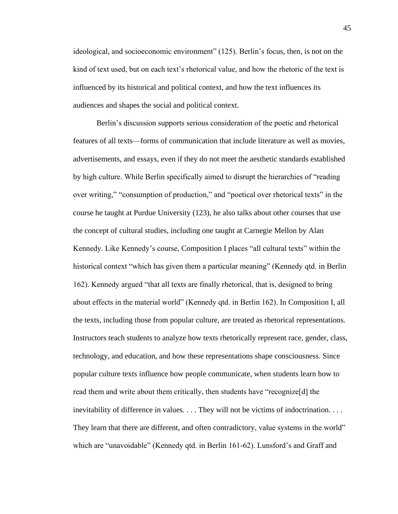ideological, and socioeconomic environment" (125). Berlin's focus, then, is not on the kind of text used, but on each text's rhetorical value, and how the rhetoric of the text is influenced by its historical and political context, and how the text influences its audiences and shapes the social and political context.

Berlin's discussion supports serious consideration of the poetic and rhetorical features of all texts—forms of communication that include literature as well as movies, advertisements, and essays, even if they do not meet the aesthetic standards established by high culture. While Berlin specifically aimed to disrupt the hierarchies of "reading over writing," "consumption of production," and "poetical over rhetorical texts" in the course he taught at Purdue University (123), he also talks about other courses that use the concept of cultural studies, including one taught at Carnegie Mellon by Alan Kennedy. Like Kennedy's course, Composition I places "all cultural texts" within the historical context "which has given them a particular meaning" (Kennedy qtd. in Berlin 162). Kennedy argued "that all texts are finally rhetorical, that is, designed to bring about effects in the material world" (Kennedy qtd. in Berlin 162). In Composition I, all the texts, including those from popular culture, are treated as rhetorical representations. Instructors teach students to analyze how texts rhetorically represent race, gender, class, technology, and education, and how these representations shape consciousness. Since popular culture texts influence how people communicate, when students learn how to read them and write about them critically, then students have "recognize[d] the inevitability of difference in values. . . . They will not be victims of indoctrination. . . . They learn that there are different, and often contradictory, value systems in the world" which are "unavoidable" (Kennedy qtd. in Berlin 161-62). Lunsford's and Graff and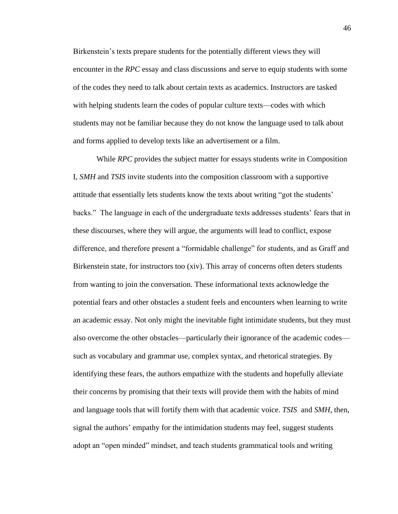Birkenstein's texts prepare students for the potentially different views they will encounter in the *RPC* essay and class discussions and serve to equip students with some of the codes they need to talk about certain texts as academics. Instructors are tasked with helping students learn the codes of popular culture texts—codes with which students may not be familiar because they do not know the language used to talk about and forms applied to develop texts like an advertisement or a film.

While *RPC* provides the subject matter for essays students write in Composition I, *SMH* and *TSIS* invite students into the composition classroom with a supportive attitude that essentially lets students know the texts about writing "got the students' backs." The language in each of the undergraduate texts addresses students' fears that in these discourses, where they will argue, the arguments will lead to conflict, expose difference, and therefore present a "formidable challenge" for students, and as Graff and Birkenstein state, for instructors too (xiv). This array of concerns often deters students from wanting to join the conversation. These informational texts acknowledge the potential fears and other obstacles a student feels and encounters when learning to write an academic essay. Not only might the inevitable fight intimidate students, but they must also overcome the other obstacles—particularly their ignorance of the academic codes such as vocabulary and grammar use, complex syntax, and rhetorical strategies. By identifying these fears, the authors empathize with the students and hopefully alleviate their concerns by promising that their texts will provide them with the habits of mind and language tools that will fortify them with that academic voice. *TSIS* and *SMH*, then, signal the authors' empathy for the intimidation students may feel, suggest students adopt an "open minded" mindset, and teach students grammatical tools and writing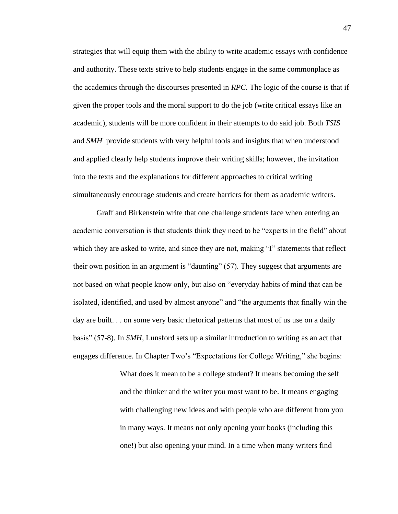strategies that will equip them with the ability to write academic essays with confidence and authority. These texts strive to help students engage in the same commonplace as the academics through the discourses presented in *RPC*. The logic of the course is that if given the proper tools and the moral support to do the job (write critical essays like an academic), students will be more confident in their attempts to do said job. Both *TSIS*  and *SMH* provide students with very helpful tools and insights that when understood and applied clearly help students improve their writing skills; however, the invitation into the texts and the explanations for different approaches to critical writing simultaneously encourage students and create barriers for them as academic writers.

Graff and Birkenstein write that one challenge students face when entering an academic conversation is that students think they need to be "experts in the field" about which they are asked to write, and since they are not, making "I" statements that reflect their own position in an argument is "daunting" (57). They suggest that arguments are not based on what people know only, but also on "everyday habits of mind that can be isolated, identified, and used by almost anyone" and "the arguments that finally win the day are built. . . on some very basic rhetorical patterns that most of us use on a daily basis" (57-8). In *SMH,* Lunsford sets up a similar introduction to writing as an act that engages difference. In Chapter Two's "Expectations for College Writing," she begins:

> What does it mean to be a college student? It means becoming the self and the thinker and the writer you most want to be. It means engaging with challenging new ideas and with people who are different from you in many ways. It means not only opening your books (including this one!) but also opening your mind. In a time when many writers find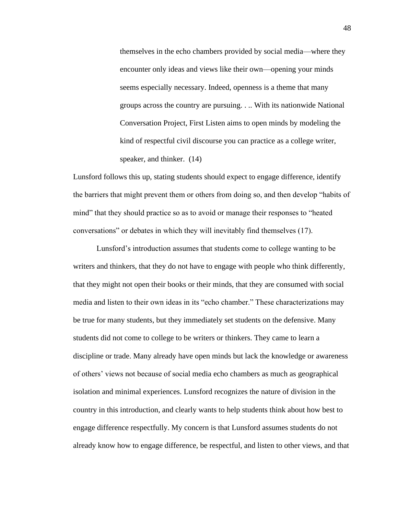themselves in the echo chambers provided by social media—where they encounter only ideas and views like their own—opening your minds seems especially necessary. Indeed, openness is a theme that many groups across the country are pursuing. . .. With its nationwide National Conversation Project, First Listen aims to open minds by modeling the kind of respectful civil discourse you can practice as a college writer, speaker, and thinker. (14)

Lunsford follows this up, stating students should expect to engage difference, identify the barriers that might prevent them or others from doing so, and then develop "habits of mind" that they should practice so as to avoid or manage their responses to "heated conversations" or debates in which they will inevitably find themselves (17).

Lunsford's introduction assumes that students come to college wanting to be writers and thinkers, that they do not have to engage with people who think differently, that they might not open their books or their minds, that they are consumed with social media and listen to their own ideas in its "echo chamber." These characterizations may be true for many students, but they immediately set students on the defensive. Many students did not come to college to be writers or thinkers. They came to learn a discipline or trade. Many already have open minds but lack the knowledge or awareness of others' views not because of social media echo chambers as much as geographical isolation and minimal experiences. Lunsford recognizes the nature of division in the country in this introduction, and clearly wants to help students think about how best to engage difference respectfully. My concern is that Lunsford assumes students do not already know how to engage difference, be respectful, and listen to other views, and that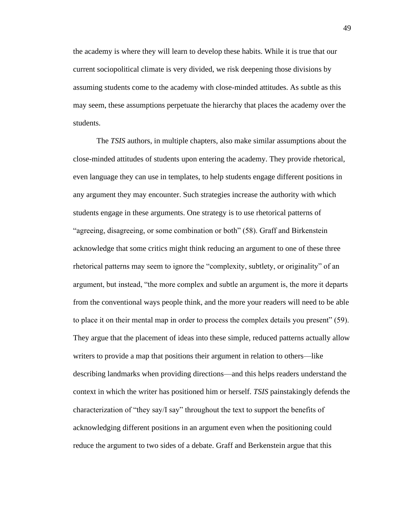the academy is where they will learn to develop these habits. While it is true that our current sociopolitical climate is very divided, we risk deepening those divisions by assuming students come to the academy with close-minded attitudes. As subtle as this may seem, these assumptions perpetuate the hierarchy that places the academy over the students.

The *TSIS* authors, in multiple chapters, also make similar assumptions about the close-minded attitudes of students upon entering the academy. They provide rhetorical, even language they can use in templates, to help students engage different positions in any argument they may encounter. Such strategies increase the authority with which students engage in these arguments. One strategy is to use rhetorical patterns of "agreeing, disagreeing, or some combination or both" (58). Graff and Birkenstein acknowledge that some critics might think reducing an argument to one of these three rhetorical patterns may seem to ignore the "complexity, subtlety, or originality" of an argument, but instead, "the more complex and subtle an argument is, the more it departs from the conventional ways people think, and the more your readers will need to be able to place it on their mental map in order to process the complex details you present" (59). They argue that the placement of ideas into these simple, reduced patterns actually allow writers to provide a map that positions their argument in relation to others—like describing landmarks when providing directions—and this helps readers understand the context in which the writer has positioned him or herself. *TSIS* painstakingly defends the characterization of "they say/I say" throughout the text to support the benefits of acknowledging different positions in an argument even when the positioning could reduce the argument to two sides of a debate. Graff and Berkenstein argue that this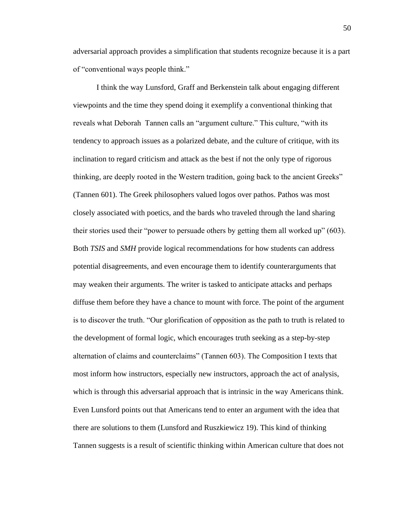adversarial approach provides a simplification that students recognize because it is a part of "conventional ways people think."

I think the way Lunsford, Graff and Berkenstein talk about engaging different viewpoints and the time they spend doing it exemplify a conventional thinking that reveals what Deborah Tannen calls an "argument culture." This culture, "with its tendency to approach issues as a polarized debate, and the culture of critique, with its inclination to regard criticism and attack as the best if not the only type of rigorous thinking, are deeply rooted in the Western tradition, going back to the ancient Greeks" (Tannen 601). The Greek philosophers valued logos over pathos. Pathos was most closely associated with poetics, and the bards who traveled through the land sharing their stories used their "power to persuade others by getting them all worked up" (603). Both *TSIS* and *SMH* provide logical recommendations for how students can address potential disagreements, and even encourage them to identify counterarguments that may weaken their arguments. The writer is tasked to anticipate attacks and perhaps diffuse them before they have a chance to mount with force. The point of the argument is to discover the truth. "Our glorification of opposition as the path to truth is related to the development of formal logic, which encourages truth seeking as a step-by-step alternation of claims and counterclaims" (Tannen 603). The Composition I texts that most inform how instructors, especially new instructors, approach the act of analysis, which is through this adversarial approach that is intrinsic in the way Americans think. Even Lunsford points out that Americans tend to enter an argument with the idea that there are solutions to them (Lunsford and Ruszkiewicz 19). This kind of thinking Tannen suggests is a result of scientific thinking within American culture that does not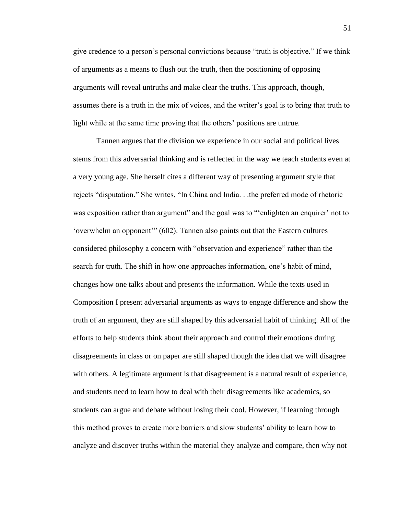give credence to a person's personal convictions because "truth is objective." If we think of arguments as a means to flush out the truth, then the positioning of opposing arguments will reveal untruths and make clear the truths. This approach, though, assumes there is a truth in the mix of voices, and the writer's goal is to bring that truth to light while at the same time proving that the others' positions are untrue.

Tannen argues that the division we experience in our social and political lives stems from this adversarial thinking and is reflected in the way we teach students even at a very young age. She herself cites a different way of presenting argument style that rejects "disputation." She writes, "In China and India. . .the preferred mode of rhetoric was exposition rather than argument" and the goal was to "'enlighten an enquirer' not to 'overwhelm an opponent'" (602). Tannen also points out that the Eastern cultures considered philosophy a concern with "observation and experience" rather than the search for truth. The shift in how one approaches information, one's habit of mind, changes how one talks about and presents the information. While the texts used in Composition I present adversarial arguments as ways to engage difference and show the truth of an argument, they are still shaped by this adversarial habit of thinking. All of the efforts to help students think about their approach and control their emotions during disagreements in class or on paper are still shaped though the idea that we will disagree with others. A legitimate argument is that disagreement is a natural result of experience, and students need to learn how to deal with their disagreements like academics, so students can argue and debate without losing their cool. However, if learning through this method proves to create more barriers and slow students' ability to learn how to analyze and discover truths within the material they analyze and compare, then why not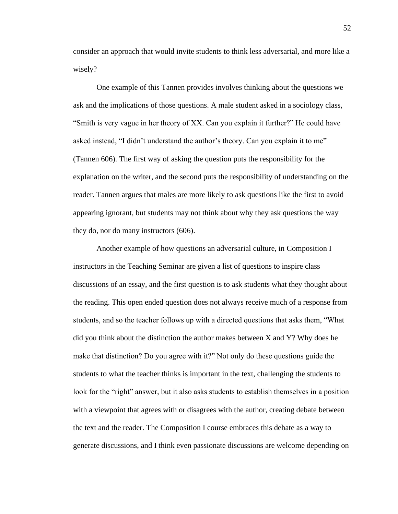consider an approach that would invite students to think less adversarial, and more like a wisely?

One example of this Tannen provides involves thinking about the questions we ask and the implications of those questions. A male student asked in a sociology class, "Smith is very vague in her theory of XX. Can you explain it further?" He could have asked instead, "I didn't understand the author's theory. Can you explain it to me" (Tannen 606). The first way of asking the question puts the responsibility for the explanation on the writer, and the second puts the responsibility of understanding on the reader. Tannen argues that males are more likely to ask questions like the first to avoid appearing ignorant, but students may not think about why they ask questions the way they do, nor do many instructors (606).

Another example of how questions an adversarial culture, in Composition I instructors in the Teaching Seminar are given a list of questions to inspire class discussions of an essay, and the first question is to ask students what they thought about the reading. This open ended question does not always receive much of a response from students, and so the teacher follows up with a directed questions that asks them, "What did you think about the distinction the author makes between  $X$  and  $Y$ ? Why does he make that distinction? Do you agree with it?" Not only do these questions guide the students to what the teacher thinks is important in the text, challenging the students to look for the "right" answer, but it also asks students to establish themselves in a position with a viewpoint that agrees with or disagrees with the author, creating debate between the text and the reader. The Composition I course embraces this debate as a way to generate discussions, and I think even passionate discussions are welcome depending on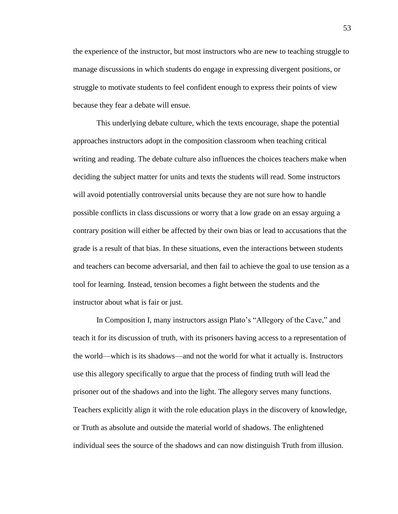the experience of the instructor, but most instructors who are new to teaching struggle to manage discussions in which students do engage in expressing divergent positions, or struggle to motivate students to feel confident enough to express their points of view because they fear a debate will ensue.

This underlying debate culture, which the texts encourage, shape the potential approaches instructors adopt in the composition classroom when teaching critical writing and reading. The debate culture also influences the choices teachers make when deciding the subject matter for units and texts the students will read. Some instructors will avoid potentially controversial units because they are not sure how to handle possible conflicts in class discussions or worry that a low grade on an essay arguing a contrary position will either be affected by their own bias or lead to accusations that the grade is a result of that bias. In these situations, even the interactions between students and teachers can become adversarial, and then fail to achieve the goal to use tension as a tool for learning. Instead, tension becomes a fight between the students and the instructor about what is fair or just.

In Composition I, many instructors assign Plato's "Allegory of the Cave," and teach it for its discussion of truth, with its prisoners having access to a representation of the world—which is its shadows—and not the world for what it actually is. Instructors use this allegory specifically to argue that the process of finding truth will lead the prisoner out of the shadows and into the light. The allegory serves many functions. Teachers explicitly align it with the role education plays in the discovery of knowledge, or Truth as absolute and outside the material world of shadows. The enlightened individual sees the source of the shadows and can now distinguish Truth from illusion.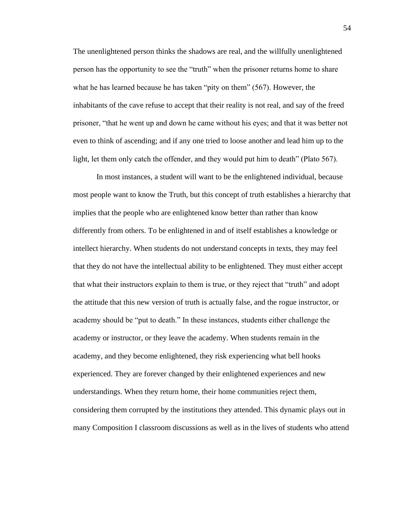The unenlightened person thinks the shadows are real, and the willfully unenlightened person has the opportunity to see the "truth" when the prisoner returns home to share what he has learned because he has taken "pity on them" (567). However, the inhabitants of the cave refuse to accept that their reality is not real, and say of the freed prisoner, "that he went up and down he came without his eyes; and that it was better not even to think of ascending; and if any one tried to loose another and lead him up to the light, let them only catch the offender, and they would put him to death" (Plato 567).

In most instances, a student will want to be the enlightened individual, because most people want to know the Truth, but this concept of truth establishes a hierarchy that implies that the people who are enlightened know better than rather than know differently from others. To be enlightened in and of itself establishes a knowledge or intellect hierarchy. When students do not understand concepts in texts, they may feel that they do not have the intellectual ability to be enlightened. They must either accept that what their instructors explain to them is true, or they reject that "truth" and adopt the attitude that this new version of truth is actually false, and the rogue instructor, or academy should be "put to death." In these instances, students either challenge the academy or instructor, or they leave the academy. When students remain in the academy, and they become enlightened, they risk experiencing what bell hooks experienced. They are forever changed by their enlightened experiences and new understandings. When they return home, their home communities reject them, considering them corrupted by the institutions they attended. This dynamic plays out in many Composition I classroom discussions as well as in the lives of students who attend

54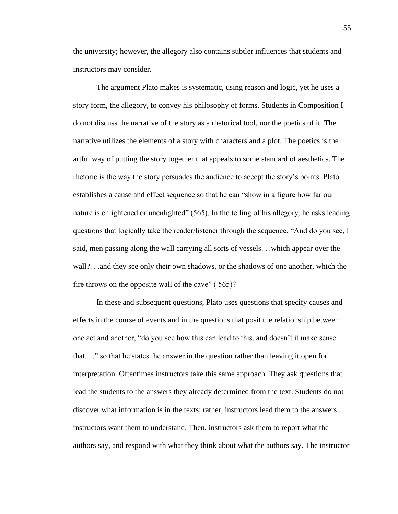the university; however, the allegory also contains subtler influences that students and instructors may consider.

The argument Plato makes is systematic, using reason and logic, yet he uses a story form, the allegory, to convey his philosophy of forms. Students in Composition I do not discuss the narrative of the story as a rhetorical tool, nor the poetics of it. The narrative utilizes the elements of a story with characters and a plot. The poetics is the artful way of putting the story together that appeals to some standard of aesthetics. The rhetoric is the way the story persuades the audience to accept the story's points. Plato establishes a cause and effect sequence so that he can "show in a figure how far our nature is enlightened or unenlighted" (565). In the telling of his allegory, he asks leading questions that logically take the reader/listener through the sequence, "And do you see, I said, men passing along the wall carrying all sorts of vessels. . .which appear over the wall?. . .and they see only their own shadows, or the shadows of one another, which the fire throws on the opposite wall of the cave" (565)?

In these and subsequent questions, Plato uses questions that specify causes and effects in the course of events and in the questions that posit the relationship between one act and another, "do you see how this can lead to this, and doesn't it make sense that. . ." so that he states the answer in the question rather than leaving it open for interpretation. Oftentimes instructors take this same approach. They ask questions that lead the students to the answers they already determined from the text. Students do not discover what information is in the texts; rather, instructors lead them to the answers instructors want them to understand. Then, instructors ask them to report what the authors say, and respond with what they think about what the authors say. The instructor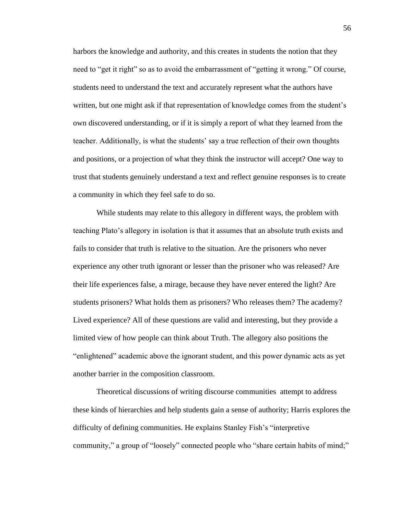harbors the knowledge and authority, and this creates in students the notion that they need to "get it right" so as to avoid the embarrassment of "getting it wrong." Of course, students need to understand the text and accurately represent what the authors have written, but one might ask if that representation of knowledge comes from the student's own discovered understanding, or if it is simply a report of what they learned from the teacher. Additionally, is what the students' say a true reflection of their own thoughts and positions, or a projection of what they think the instructor will accept? One way to trust that students genuinely understand a text and reflect genuine responses is to create a community in which they feel safe to do so.

While students may relate to this allegory in different ways, the problem with teaching Plato's allegory in isolation is that it assumes that an absolute truth exists and fails to consider that truth is relative to the situation. Are the prisoners who never experience any other truth ignorant or lesser than the prisoner who was released? Are their life experiences false, a mirage, because they have never entered the light? Are students prisoners? What holds them as prisoners? Who releases them? The academy? Lived experience? All of these questions are valid and interesting, but they provide a limited view of how people can think about Truth. The allegory also positions the "enlightened" academic above the ignorant student, and this power dynamic acts as yet another barrier in the composition classroom.

Theoretical discussions of writing discourse communities attempt to address these kinds of hierarchies and help students gain a sense of authority; Harris explores the difficulty of defining communities. He explains Stanley Fish's "interpretive community," a group of "loosely" connected people who "share certain habits of mind;"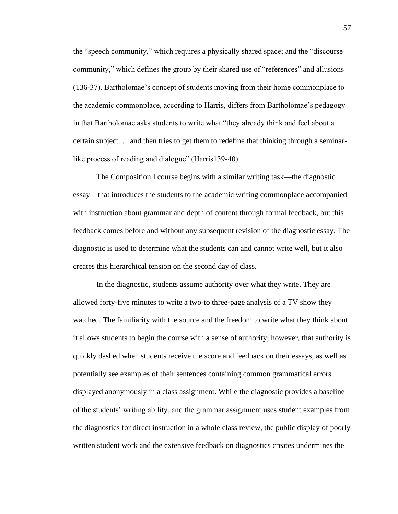the "speech community," which requires a physically shared space; and the "discourse community," which defines the group by their shared use of "references" and allusions (136-37). Bartholomae's concept of students moving from their home commonplace to the academic commonplace, according to Harris, differs from Bartholomae's pedagogy in that Bartholomae asks students to write what "they already think and feel about a certain subject. . . and then tries to get them to redefine that thinking through a seminarlike process of reading and dialogue" (Harris139-40).

The Composition I course begins with a similar writing task—the diagnostic essay—that introduces the students to the academic writing commonplace accompanied with instruction about grammar and depth of content through formal feedback, but this feedback comes before and without any subsequent revision of the diagnostic essay. The diagnostic is used to determine what the students can and cannot write well, but it also creates this hierarchical tension on the second day of class.

In the diagnostic, students assume authority over what they write. They are allowed forty-five minutes to write a two-to three-page analysis of a TV show they watched. The familiarity with the source and the freedom to write what they think about it allows students to begin the course with a sense of authority; however, that authority is quickly dashed when students receive the score and feedback on their essays, as well as potentially see examples of their sentences containing common grammatical errors displayed anonymously in a class assignment. While the diagnostic provides a baseline of the students' writing ability, and the grammar assignment uses student examples from the diagnostics for direct instruction in a whole class review, the public display of poorly written student work and the extensive feedback on diagnostics creates undermines the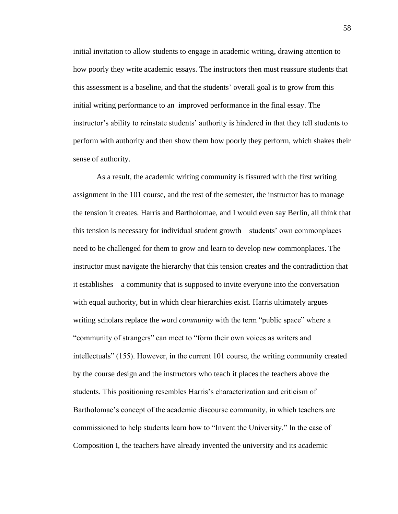initial invitation to allow students to engage in academic writing, drawing attention to how poorly they write academic essays. The instructors then must reassure students that this assessment is a baseline, and that the students' overall goal is to grow from this initial writing performance to an improved performance in the final essay. The instructor's ability to reinstate students' authority is hindered in that they tell students to perform with authority and then show them how poorly they perform, which shakes their sense of authority.

As a result, the academic writing community is fissured with the first writing assignment in the 101 course, and the rest of the semester, the instructor has to manage the tension it creates. Harris and Bartholomae, and I would even say Berlin, all think that this tension is necessary for individual student growth—students' own commonplaces need to be challenged for them to grow and learn to develop new commonplaces. The instructor must navigate the hierarchy that this tension creates and the contradiction that it establishes—a community that is supposed to invite everyone into the conversation with equal authority, but in which clear hierarchies exist. Harris ultimately argues writing scholars replace the word *community* with the term "public space" where a "community of strangers" can meet to "form their own voices as writers and intellectuals" (155). However, in the current 101 course, the writing community created by the course design and the instructors who teach it places the teachers above the students. This positioning resembles Harris's characterization and criticism of Bartholomae's concept of the academic discourse community, in which teachers are commissioned to help students learn how to "Invent the University." In the case of Composition I, the teachers have already invented the university and its academic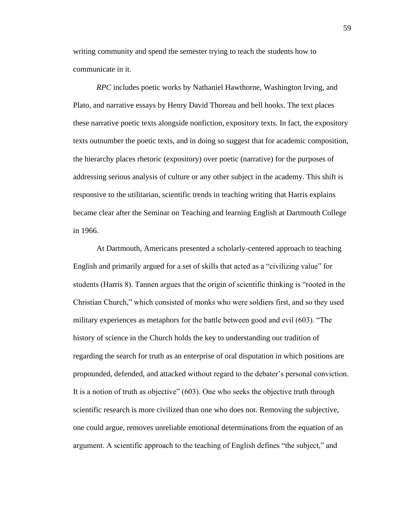writing community and spend the semester trying to teach the students how to communicate in it.

*RPC* includes poetic works by Nathaniel Hawthorne, Washington Irving, and Plato, and narrative essays by Henry David Thoreau and bell hooks. The text places these narrative poetic texts alongside nonfiction, expository texts. In fact, the expository texts outnumber the poetic texts, and in doing so suggest that for academic composition, the hierarchy places rhetoric (expository) over poetic (narrative) for the purposes of addressing serious analysis of culture or any other subject in the academy. This shift is responsive to the utilitarian, scientific trends in teaching writing that Harris explains became clear after the Seminar on Teaching and learning English at Dartmouth College in 1966.

At Dartmouth, Americans presented a scholarly-centered approach to teaching English and primarily argued for a set of skills that acted as a "civilizing value" for students (Harris 8). Tannen argues that the origin of scientific thinking is "rooted in the Christian Church," which consisted of monks who were soldiers first, and so they used military experiences as metaphors for the battle between good and evil (603). "The history of science in the Church holds the key to understanding our tradition of regarding the search for truth as an enterprise of oral disputation in which positions are propounded, defended, and attacked without regard to the debater's personal conviction. It is a notion of truth as objective" (603). One who seeks the objective truth through scientific research is more civilized than one who does not. Removing the subjective, one could argue, removes unreliable emotional determinations from the equation of an argument. A scientific approach to the teaching of English defines "the subject," and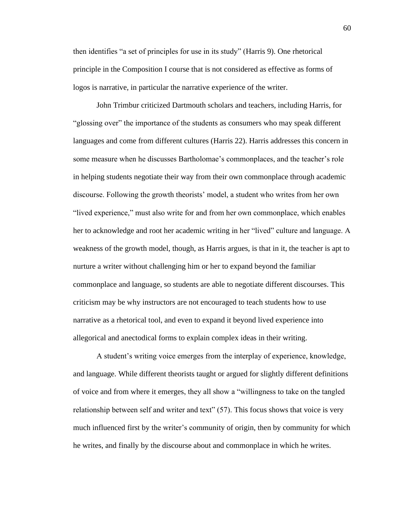then identifies "a set of principles for use in its study" (Harris 9). One rhetorical principle in the Composition I course that is not considered as effective as forms of logos is narrative, in particular the narrative experience of the writer.

John Trimbur criticized Dartmouth scholars and teachers, including Harris, for "glossing over" the importance of the students as consumers who may speak different languages and come from different cultures (Harris 22). Harris addresses this concern in some measure when he discusses Bartholomae's commonplaces, and the teacher's role in helping students negotiate their way from their own commonplace through academic discourse. Following the growth theorists' model, a student who writes from her own "lived experience," must also write for and from her own commonplace, which enables her to acknowledge and root her academic writing in her "lived" culture and language. A weakness of the growth model, though, as Harris argues, is that in it, the teacher is apt to nurture a writer without challenging him or her to expand beyond the familiar commonplace and language, so students are able to negotiate different discourses. This criticism may be why instructors are not encouraged to teach students how to use narrative as a rhetorical tool, and even to expand it beyond lived experience into allegorical and anectodical forms to explain complex ideas in their writing.

A student's writing voice emerges from the interplay of experience, knowledge, and language. While different theorists taught or argued for slightly different definitions of voice and from where it emerges, they all show a "willingness to take on the tangled relationship between self and writer and text" (57). This focus shows that voice is very much influenced first by the writer's community of origin, then by community for which he writes, and finally by the discourse about and commonplace in which he writes.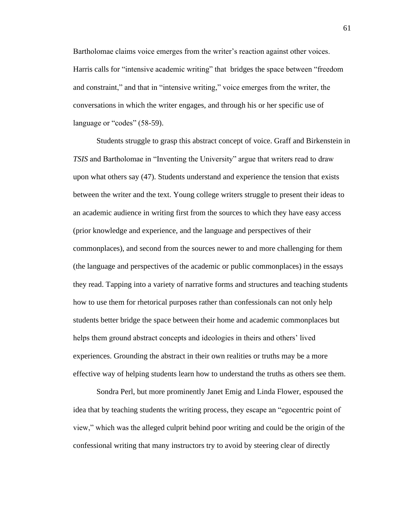Bartholomae claims voice emerges from the writer's reaction against other voices. Harris calls for "intensive academic writing" that bridges the space between "freedom and constraint," and that in "intensive writing," voice emerges from the writer, the conversations in which the writer engages, and through his or her specific use of language or "codes" (58-59).

Students struggle to grasp this abstract concept of voice. Graff and Birkenstein in *TSIS* and Bartholomae in "Inventing the University" argue that writers read to draw upon what others say (47). Students understand and experience the tension that exists between the writer and the text. Young college writers struggle to present their ideas to an academic audience in writing first from the sources to which they have easy access (prior knowledge and experience, and the language and perspectives of their commonplaces), and second from the sources newer to and more challenging for them (the language and perspectives of the academic or public commonplaces) in the essays they read. Tapping into a variety of narrative forms and structures and teaching students how to use them for rhetorical purposes rather than confessionals can not only help students better bridge the space between their home and academic commonplaces but helps them ground abstract concepts and ideologies in theirs and others' lived experiences. Grounding the abstract in their own realities or truths may be a more effective way of helping students learn how to understand the truths as others see them.

Sondra Perl, but more prominently Janet Emig and Linda Flower, espoused the idea that by teaching students the writing process, they escape an "egocentric point of view," which was the alleged culprit behind poor writing and could be the origin of the confessional writing that many instructors try to avoid by steering clear of directly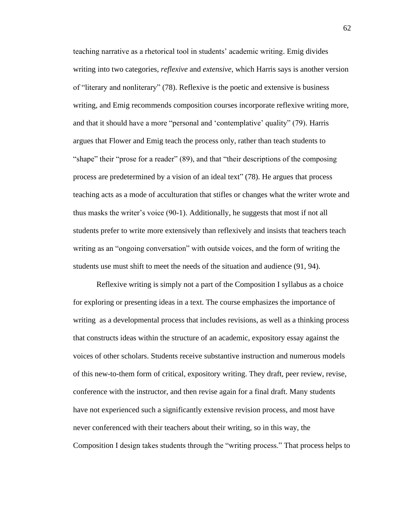teaching narrative as a rhetorical tool in students' academic writing. Emig divides writing into two categories, *reflexive* and *extensive*, which Harris says is another version of "literary and nonliterary" (78). Reflexive is the poetic and extensive is business writing, and Emig recommends composition courses incorporate reflexive writing more, and that it should have a more "personal and 'contemplative' quality" (79). Harris argues that Flower and Emig teach the process only, rather than teach students to "shape" their "prose for a reader" (89), and that "their descriptions of the composing process are predetermined by a vision of an ideal text" (78). He argues that process teaching acts as a mode of acculturation that stifles or changes what the writer wrote and thus masks the writer's voice (90-1). Additionally, he suggests that most if not all students prefer to write more extensively than reflexively and insists that teachers teach writing as an "ongoing conversation" with outside voices, and the form of writing the students use must shift to meet the needs of the situation and audience (91, 94).

Reflexive writing is simply not a part of the Composition I syllabus as a choice for exploring or presenting ideas in a text. The course emphasizes the importance of writing as a developmental process that includes revisions, as well as a thinking process that constructs ideas within the structure of an academic, expository essay against the voices of other scholars. Students receive substantive instruction and numerous models of this new-to-them form of critical, expository writing. They draft, peer review, revise, conference with the instructor, and then revise again for a final draft. Many students have not experienced such a significantly extensive revision process, and most have never conferenced with their teachers about their writing, so in this way, the Composition I design takes students through the "writing process." That process helps to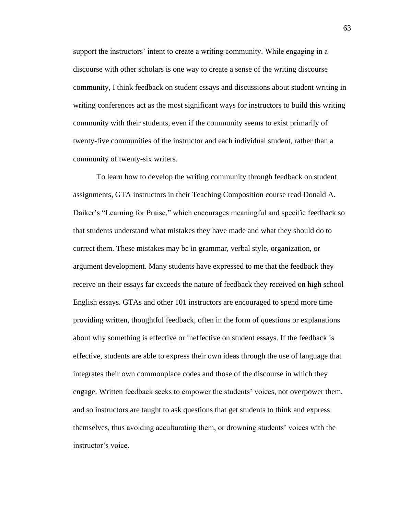support the instructors' intent to create a writing community. While engaging in a discourse with other scholars is one way to create a sense of the writing discourse community, I think feedback on student essays and discussions about student writing in writing conferences act as the most significant ways for instructors to build this writing community with their students, even if the community seems to exist primarily of twenty-five communities of the instructor and each individual student, rather than a community of twenty-six writers.

To learn how to develop the writing community through feedback on student assignments, GTA instructors in their Teaching Composition course read Donald A. Daiker's "Learning for Praise," which encourages meaningful and specific feedback so that students understand what mistakes they have made and what they should do to correct them. These mistakes may be in grammar, verbal style, organization, or argument development. Many students have expressed to me that the feedback they receive on their essays far exceeds the nature of feedback they received on high school English essays. GTAs and other 101 instructors are encouraged to spend more time providing written, thoughtful feedback, often in the form of questions or explanations about why something is effective or ineffective on student essays. If the feedback is effective, students are able to express their own ideas through the use of language that integrates their own commonplace codes and those of the discourse in which they engage. Written feedback seeks to empower the students' voices, not overpower them, and so instructors are taught to ask questions that get students to think and express themselves, thus avoiding acculturating them, or drowning students' voices with the instructor's voice.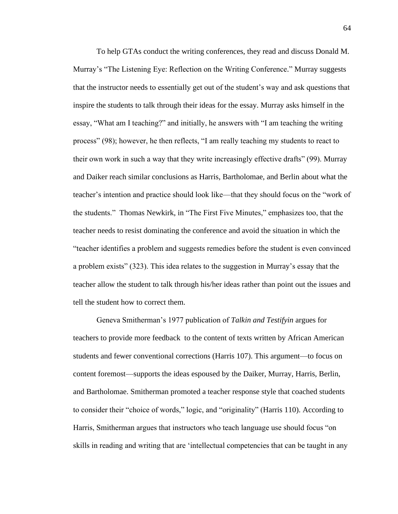To help GTAs conduct the writing conferences, they read and discuss Donald M. Murray's "The Listening Eye: Reflection on the Writing Conference." Murray suggests that the instructor needs to essentially get out of the student's way and ask questions that inspire the students to talk through their ideas for the essay. Murray asks himself in the essay, "What am I teaching?" and initially, he answers with "I am teaching the writing process" (98); however, he then reflects, "I am really teaching my students to react to their own work in such a way that they write increasingly effective drafts" (99). Murray and Daiker reach similar conclusions as Harris, Bartholomae, and Berlin about what the teacher's intention and practice should look like—that they should focus on the "work of the students." Thomas Newkirk, in "The First Five Minutes," emphasizes too, that the teacher needs to resist dominating the conference and avoid the situation in which the "teacher identifies a problem and suggests remedies before the student is even convinced a problem exists" (323). This idea relates to the suggestion in Murray's essay that the teacher allow the student to talk through his/her ideas rather than point out the issues and tell the student how to correct them.

Geneva Smitherman's 1977 publication of *Talkin and Testifyin* argues for teachers to provide more feedback to the content of texts written by African American students and fewer conventional corrections (Harris 107). This argument—to focus on content foremost—supports the ideas espoused by the Daiker, Murray, Harris, Berlin, and Bartholomae. Smitherman promoted a teacher response style that coached students to consider their "choice of words," logic, and "originality" (Harris 110). According to Harris, Smitherman argues that instructors who teach language use should focus "on skills in reading and writing that are 'intellectual competencies that can be taught in any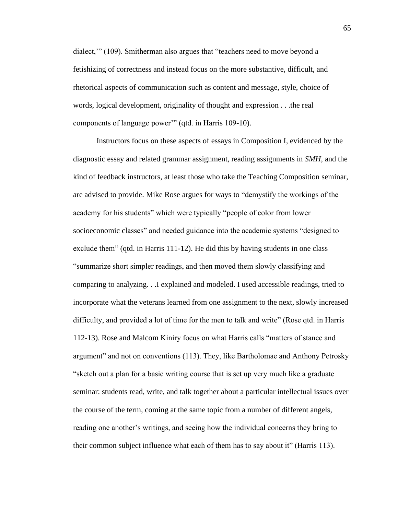dialect,'" (109). Smitherman also argues that "teachers need to move beyond a fetishizing of correctness and instead focus on the more substantive, difficult, and rhetorical aspects of communication such as content and message, style, choice of words, logical development, originality of thought and expression . . .the real components of language power'" (qtd. in Harris 109-10).

Instructors focus on these aspects of essays in Composition I, evidenced by the diagnostic essay and related grammar assignment, reading assignments in *SMH*, and the kind of feedback instructors, at least those who take the Teaching Composition seminar, are advised to provide. Mike Rose argues for ways to "demystify the workings of the academy for his students" which were typically "people of color from lower socioeconomic classes" and needed guidance into the academic systems "designed to exclude them" (qtd. in Harris 111-12). He did this by having students in one class "summarize short simpler readings, and then moved them slowly classifying and comparing to analyzing. . .I explained and modeled. I used accessible readings, tried to incorporate what the veterans learned from one assignment to the next, slowly increased difficulty, and provided a lot of time for the men to talk and write" (Rose qtd. in Harris 112-13). Rose and Malcom Kiniry focus on what Harris calls "matters of stance and argument" and not on conventions (113). They, like Bartholomae and Anthony Petrosky "sketch out a plan for a basic writing course that is set up very much like a graduate seminar: students read, write, and talk together about a particular intellectual issues over the course of the term, coming at the same topic from a number of different angels, reading one another's writings, and seeing how the individual concerns they bring to their common subject influence what each of them has to say about it" (Harris 113).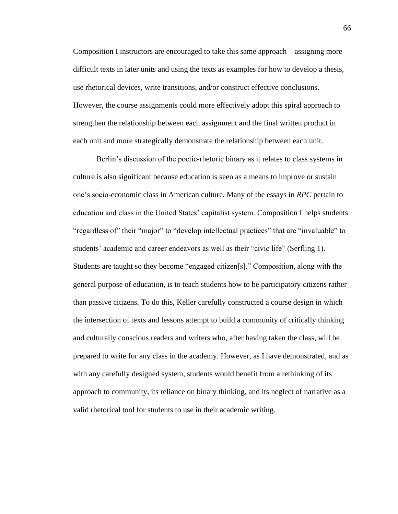Composition I instructors are encouraged to take this same approach—assigning more difficult texts in later units and using the texts as examples for how to develop a thesis, use rhetorical devices, write transitions, and/or construct effective conclusions. However, the course assignments could more effectively adopt this spiral approach to strengthen the relationship between each assignment and the final written product in each unit and more strategically demonstrate the relationship between each unit.

Berlin's discussion of the poetic-rhetoric binary as it relates to class systems in culture is also significant because education is seen as a means to improve or sustain one's socio-economic class in American culture. Many of the essays in *RPC* pertain to education and class in the United States' capitalist system. Composition I helps students "regardless of" their "major" to "develop intellectual practices" that are "invaluable" to students' academic and career endeavors as well as their "civic life" (Serfling 1). Students are taught so they become "engaged citizen[s]." Composition, along with the general purpose of education, is to teach students how to be participatory citizens rather than passive citizens. To do this, Keller carefully constructed a course design in which the intersection of texts and lessons attempt to build a community of critically thinking and culturally conscious readers and writers who, after having taken the class, will be prepared to write for any class in the academy. However, as I have demonstrated, and as with any carefully designed system, students would benefit from a rethinking of its approach to community, its reliance on binary thinking, and its neglect of narrative as a valid rhetorical tool for students to use in their academic writing.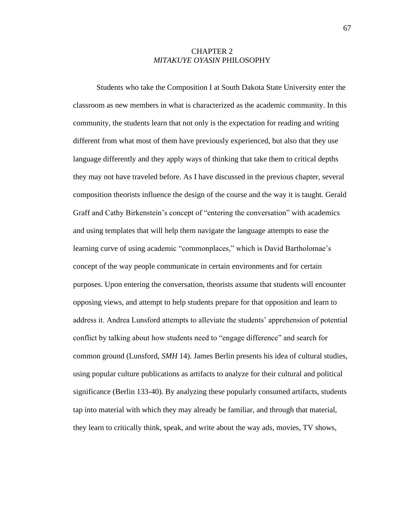## CHAPTER 2 *MITAKUYE OYASIN* PHILOSOPHY

Students who take the Composition I at South Dakota State University enter the classroom as new members in what is characterized as the academic community. In this community, the students learn that not only is the expectation for reading and writing different from what most of them have previously experienced, but also that they use language differently and they apply ways of thinking that take them to critical depths they may not have traveled before. As I have discussed in the previous chapter, several composition theorists influence the design of the course and the way it is taught. Gerald Graff and Cathy Birkenstein's concept of "entering the conversation" with academics and using templates that will help them navigate the language attempts to ease the learning curve of using academic "commonplaces," which is David Bartholomae's concept of the way people communicate in certain environments and for certain purposes. Upon entering the conversation, theorists assume that students will encounter opposing views, and attempt to help students prepare for that opposition and learn to address it. Andrea Lunsford attempts to alleviate the students' apprehension of potential conflict by talking about how students need to "engage difference" and search for common ground (Lunsford, *SMH* 14). James Berlin presents his idea of cultural studies, using popular culture publications as artifacts to analyze for their cultural and political significance (Berlin 133-40). By analyzing these popularly consumed artifacts, students tap into material with which they may already be familiar, and through that material, they learn to critically think, speak, and write about the way ads, movies, TV shows,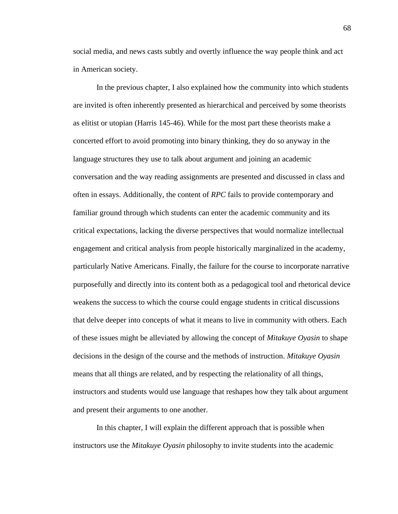social media, and news casts subtly and overtly influence the way people think and act in American society.

In the previous chapter, I also explained how the community into which students are invited is often inherently presented as hierarchical and perceived by some theorists as elitist or utopian (Harris 145-46). While for the most part these theorists make a concerted effort to avoid promoting into binary thinking, they do so anyway in the language structures they use to talk about argument and joining an academic conversation and the way reading assignments are presented and discussed in class and often in essays. Additionally, the content of *RPC* fails to provide contemporary and familiar ground through which students can enter the academic community and its critical expectations, lacking the diverse perspectives that would normalize intellectual engagement and critical analysis from people historically marginalized in the academy, particularly Native Americans. Finally, the failure for the course to incorporate narrative purposefully and directly into its content both as a pedagogical tool and rhetorical device weakens the success to which the course could engage students in critical discussions that delve deeper into concepts of what it means to live in community with others. Each of these issues might be alleviated by allowing the concept of *Mitakuye Oyasin* to shape decisions in the design of the course and the methods of instruction. *Mitakuye Oyasin* means that all things are related, and by respecting the relationality of all things, instructors and students would use language that reshapes how they talk about argument and present their arguments to one another.

In this chapter, I will explain the different approach that is possible when instructors use the *Mitakuye Oyasin* philosophy to invite students into the academic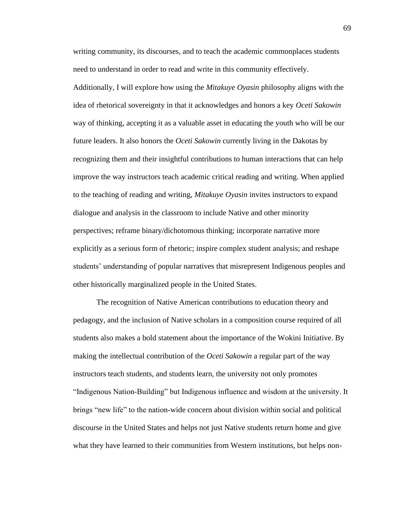writing community, its discourses, and to teach the academic commonplaces students need to understand in order to read and write in this community effectively.

Additionally, I will explore how using the *Mitakuye Oyasin* philosophy aligns with the idea of rhetorical sovereignty in that it acknowledges and honors a key *Oceti Sakowin*  way of thinking, accepting it as a valuable asset in educating the youth who will be our future leaders. It also honors the *Oceti Sakowin* currently living in the Dakotas by recognizing them and their insightful contributions to human interactions that can help improve the way instructors teach academic critical reading and writing. When applied to the teaching of reading and writing, *Mitakuye Oyasin* invites instructors to expand dialogue and analysis in the classroom to include Native and other minority perspectives; reframe binary/dichotomous thinking; incorporate narrative more explicitly as a serious form of rhetoric; inspire complex student analysis; and reshape students' understanding of popular narratives that misrepresent Indigenous peoples and other historically marginalized people in the United States.

The recognition of Native American contributions to education theory and pedagogy, and the inclusion of Native scholars in a composition course required of all students also makes a bold statement about the importance of the Wokini Initiative. By making the intellectual contribution of the *Oceti Sakowin* a regular part of the way instructors teach students, and students learn, the university not only promotes "Indigenous Nation-Building" but Indigenous influence and wisdom at the university. It brings "new life" to the nation-wide concern about division within social and political discourse in the United States and helps not just Native students return home and give what they have learned to their communities from Western institutions, but helps non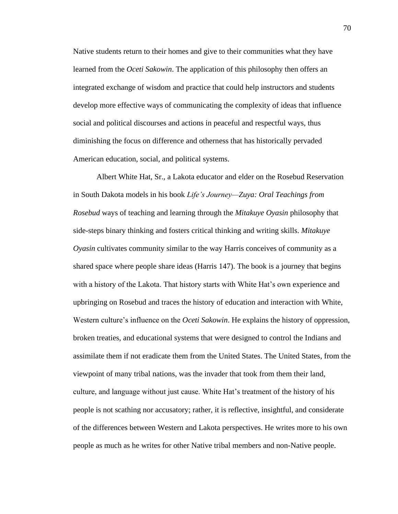Native students return to their homes and give to their communities what they have learned from the *Oceti Sakowin*. The application of this philosophy then offers an integrated exchange of wisdom and practice that could help instructors and students develop more effective ways of communicating the complexity of ideas that influence social and political discourses and actions in peaceful and respectful ways, thus diminishing the focus on difference and otherness that has historically pervaded American education, social, and political systems.

Albert White Hat, Sr., a Lakota educator and elder on the Rosebud Reservation in South Dakota models in his book *Life's Journey—Zuya: Oral Teachings from Rosebud* ways of teaching and learning through the *Mitakuye Oyasin* philosophy that side-steps binary thinking and fosters critical thinking and writing skills. *Mitakuye Oyasin* cultivates community similar to the way Harris conceives of community as a shared space where people share ideas (Harris 147). The book is a journey that begins with a history of the Lakota. That history starts with White Hat's own experience and upbringing on Rosebud and traces the history of education and interaction with White, Western culture's influence on the *Oceti Sakowin*. He explains the history of oppression, broken treaties, and educational systems that were designed to control the Indians and assimilate them if not eradicate them from the United States. The United States, from the viewpoint of many tribal nations, was the invader that took from them their land, culture, and language without just cause. White Hat's treatment of the history of his people is not scathing nor accusatory; rather, it is reflective, insightful, and considerate of the differences between Western and Lakota perspectives. He writes more to his own people as much as he writes for other Native tribal members and non-Native people.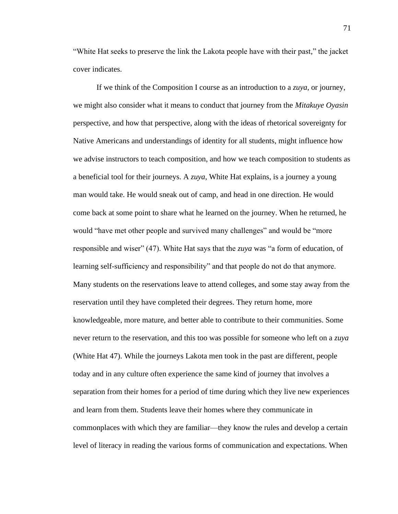"White Hat seeks to preserve the link the Lakota people have with their past," the jacket cover indicates.

If we think of the Composition I course as an introduction to a *zuya*, or journey, we might also consider what it means to conduct that journey from the *Mitakuye Oyasin*  perspective, and how that perspective, along with the ideas of rhetorical sovereignty for Native Americans and understandings of identity for all students, might influence how we advise instructors to teach composition, and how we teach composition to students as a beneficial tool for their journeys. A *zuya*, White Hat explains, is a journey a young man would take. He would sneak out of camp, and head in one direction. He would come back at some point to share what he learned on the journey. When he returned, he would "have met other people and survived many challenges" and would be "more responsible and wiser" (47). White Hat says that the *zuya* was "a form of education, of learning self-sufficiency and responsibility" and that people do not do that anymore. Many students on the reservations leave to attend colleges, and some stay away from the reservation until they have completed their degrees. They return home, more knowledgeable, more mature, and better able to contribute to their communities. Some never return to the reservation, and this too was possible for someone who left on a *zuya* (White Hat 47). While the journeys Lakota men took in the past are different, people today and in any culture often experience the same kind of journey that involves a separation from their homes for a period of time during which they live new experiences and learn from them. Students leave their homes where they communicate in commonplaces with which they are familiar—they know the rules and develop a certain level of literacy in reading the various forms of communication and expectations. When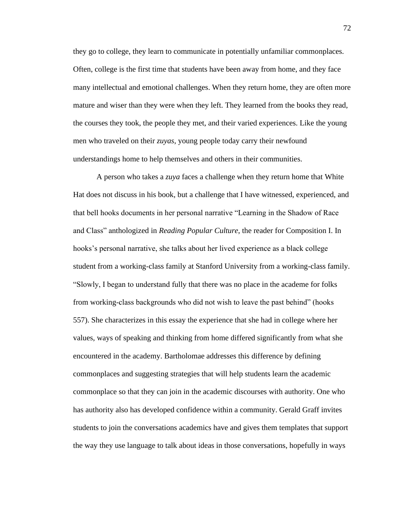they go to college, they learn to communicate in potentially unfamiliar commonplaces. Often, college is the first time that students have been away from home, and they face many intellectual and emotional challenges. When they return home, they are often more mature and wiser than they were when they left. They learned from the books they read, the courses they took, the people they met, and their varied experiences. Like the young men who traveled on their *zuyas*, young people today carry their newfound understandings home to help themselves and others in their communities.

A person who takes a *zuya* faces a challenge when they return home that White Hat does not discuss in his book, but a challenge that I have witnessed, experienced, and that bell hooks documents in her personal narrative "Learning in the Shadow of Race and Class" anthologized in *Reading Popular Culture*, the reader for Composition I. In hooks's personal narrative, she talks about her lived experience as a black college student from a working-class family at Stanford University from a working-class family. "Slowly, I began to understand fully that there was no place in the academe for folks from working-class backgrounds who did not wish to leave the past behind" (hooks 557). She characterizes in this essay the experience that she had in college where her values, ways of speaking and thinking from home differed significantly from what she encountered in the academy. Bartholomae addresses this difference by defining commonplaces and suggesting strategies that will help students learn the academic commonplace so that they can join in the academic discourses with authority. One who has authority also has developed confidence within a community. Gerald Graff invites students to join the conversations academics have and gives them templates that support the way they use language to talk about ideas in those conversations, hopefully in ways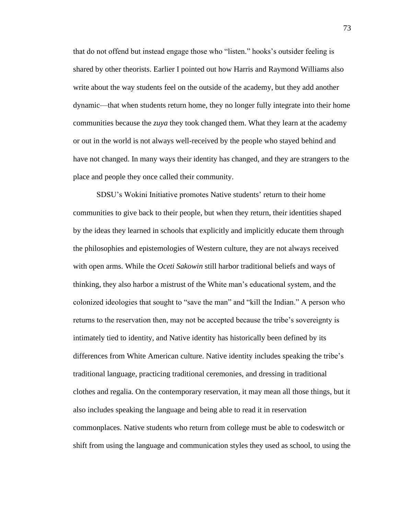that do not offend but instead engage those who "listen." hooks's outsider feeling is shared by other theorists. Earlier I pointed out how Harris and Raymond Williams also write about the way students feel on the outside of the academy, but they add another dynamic—that when students return home, they no longer fully integrate into their home communities because the *zuya* they took changed them. What they learn at the academy or out in the world is not always well-received by the people who stayed behind and have not changed. In many ways their identity has changed, and they are strangers to the place and people they once called their community.

SDSU's Wokini Initiative promotes Native students' return to their home communities to give back to their people, but when they return, their identities shaped by the ideas they learned in schools that explicitly and implicitly educate them through the philosophies and epistemologies of Western culture, they are not always received with open arms. While the *Oceti Sakowin* still harbor traditional beliefs and ways of thinking, they also harbor a mistrust of the White man's educational system, and the colonized ideologies that sought to "save the man" and "kill the Indian." A person who returns to the reservation then, may not be accepted because the tribe's sovereignty is intimately tied to identity, and Native identity has historically been defined by its differences from White American culture. Native identity includes speaking the tribe's traditional language, practicing traditional ceremonies, and dressing in traditional clothes and regalia. On the contemporary reservation, it may mean all those things, but it also includes speaking the language and being able to read it in reservation commonplaces. Native students who return from college must be able to codeswitch or shift from using the language and communication styles they used as school, to using the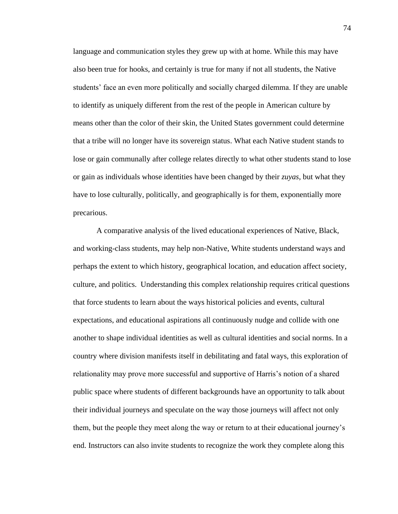language and communication styles they grew up with at home. While this may have also been true for hooks, and certainly is true for many if not all students, the Native students' face an even more politically and socially charged dilemma. If they are unable to identify as uniquely different from the rest of the people in American culture by means other than the color of their skin, the United States government could determine that a tribe will no longer have its sovereign status. What each Native student stands to lose or gain communally after college relates directly to what other students stand to lose or gain as individuals whose identities have been changed by their *zuyas*, but what they have to lose culturally, politically, and geographically is for them, exponentially more precarious.

A comparative analysis of the lived educational experiences of Native, Black, and working-class students, may help non-Native, White students understand ways and perhaps the extent to which history, geographical location, and education affect society, culture, and politics. Understanding this complex relationship requires critical questions that force students to learn about the ways historical policies and events, cultural expectations, and educational aspirations all continuously nudge and collide with one another to shape individual identities as well as cultural identities and social norms. In a country where division manifests itself in debilitating and fatal ways, this exploration of relationality may prove more successful and supportive of Harris's notion of a shared public space where students of different backgrounds have an opportunity to talk about their individual journeys and speculate on the way those journeys will affect not only them, but the people they meet along the way or return to at their educational journey's end. Instructors can also invite students to recognize the work they complete along this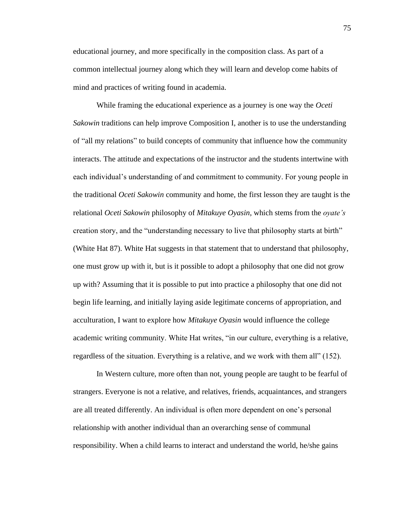educational journey, and more specifically in the composition class. As part of a common intellectual journey along which they will learn and develop come habits of mind and practices of writing found in academia.

While framing the educational experience as a journey is one way the *Oceti Sakowin* traditions can help improve Composition I, another is to use the understanding of "all my relations" to build concepts of community that influence how the community interacts. The attitude and expectations of the instructor and the students intertwine with each individual's understanding of and commitment to community. For young people in the traditional *Oceti Sakowin* community and home, the first lesson they are taught is the relational *Oceti Sakowin* philosophy of *Mitakuye Oyasin*, which stems from the *oyate's* creation story, and the "understanding necessary to live that philosophy starts at birth" (White Hat 87). White Hat suggests in that statement that to understand that philosophy, one must grow up with it, but is it possible to adopt a philosophy that one did not grow up with? Assuming that it is possible to put into practice a philosophy that one did not begin life learning, and initially laying aside legitimate concerns of appropriation, and acculturation, I want to explore how *Mitakuye Oyasin* would influence the college academic writing community. White Hat writes, "in our culture, everything is a relative, regardless of the situation. Everything is a relative, and we work with them all" (152).

In Western culture, more often than not, young people are taught to be fearful of strangers. Everyone is not a relative, and relatives, friends, acquaintances, and strangers are all treated differently. An individual is often more dependent on one's personal relationship with another individual than an overarching sense of communal responsibility. When a child learns to interact and understand the world, he/she gains

75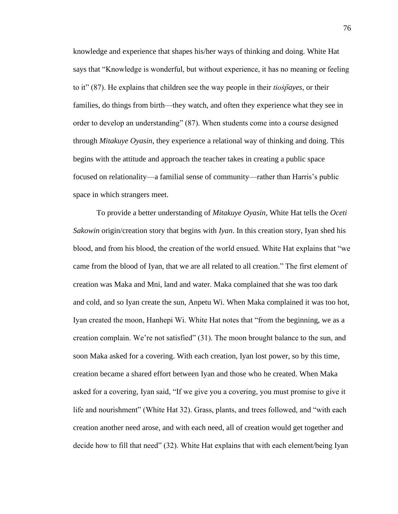knowledge and experience that shapes his/her ways of thinking and doing. White Hat says that "Knowledge is wonderful, but without experience, it has no meaning or feeling to it" (87). He explains that children see the way people in their *tioṡp̄ayes*, or their families, do things from birth—they watch, and often they experience what they see in order to develop an understanding" (87). When students come into a course designed through *Mitakuye Oyasin*, they experience a relational way of thinking and doing. This begins with the attitude and approach the teacher takes in creating a public space focused on relationality—a familial sense of community—rather than Harris's public space in which strangers meet.

To provide a better understanding of *Mitakuye Oyasin*, White Hat tells the *Oceti Sakowin* origin/creation story that begins with *Iyan*. In this creation story, Iyan shed his blood, and from his blood, the creation of the world ensued. White Hat explains that "we came from the blood of Iyan, that we are all related to all creation." The first element of creation was Maka and Mni, land and water. Maka complained that she was too dark and cold, and so Iyan create the sun, Anpetu Wi. When Maka complained it was too hot, Iyan created the moon, Hanhepi Wi. White Hat notes that "from the beginning, we as a creation complain. We're not satisfied" (31). The moon brought balance to the sun, and soon Maka asked for a covering. With each creation, Iyan lost power, so by this time, creation became a shared effort between Iyan and those who he created. When Maka asked for a covering, Iyan said, "If we give you a covering, you must promise to give it life and nourishment" (White Hat 32). Grass, plants, and trees followed, and "with each creation another need arose, and with each need, all of creation would get together and decide how to fill that need" (32). White Hat explains that with each element/being Iyan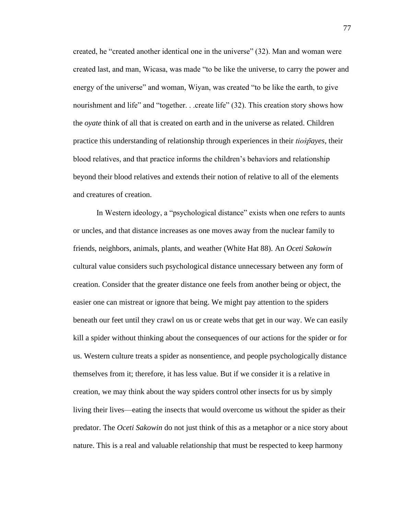created, he "created another identical one in the universe" (32). Man and woman were created last, and man, Wicasa, was made "to be like the universe, to carry the power and energy of the universe" and woman, Wiyan, was created "to be like the earth, to give nourishment and life" and "together. . .create life" (32). This creation story shows how the *oyate* think of all that is created on earth and in the universe as related. Children practice this understanding of relationship through experiences in their *tioṡp̄ayes*, their blood relatives, and that practice informs the children's behaviors and relationship beyond their blood relatives and extends their notion of relative to all of the elements and creatures of creation.

In Western ideology, a "psychological distance" exists when one refers to aunts or uncles, and that distance increases as one moves away from the nuclear family to friends, neighbors, animals, plants, and weather (White Hat 88). An *Oceti Sakowin*  cultural value considers such psychological distance unnecessary between any form of creation. Consider that the greater distance one feels from another being or object, the easier one can mistreat or ignore that being. We might pay attention to the spiders beneath our feet until they crawl on us or create webs that get in our way. We can easily kill a spider without thinking about the consequences of our actions for the spider or for us. Western culture treats a spider as nonsentience, and people psychologically distance themselves from it; therefore, it has less value. But if we consider it is a relative in creation, we may think about the way spiders control other insects for us by simply living their lives—eating the insects that would overcome us without the spider as their predator. The *Oceti Sakowin* do not just think of this as a metaphor or a nice story about nature. This is a real and valuable relationship that must be respected to keep harmony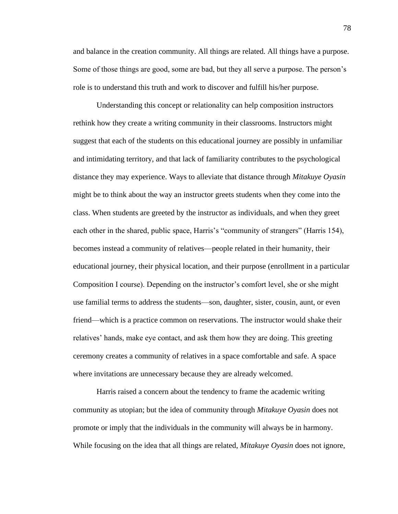and balance in the creation community. All things are related. All things have a purpose. Some of those things are good, some are bad, but they all serve a purpose. The person's role is to understand this truth and work to discover and fulfill his/her purpose.

Understanding this concept or relationality can help composition instructors rethink how they create a writing community in their classrooms. Instructors might suggest that each of the students on this educational journey are possibly in unfamiliar and intimidating territory, and that lack of familiarity contributes to the psychological distance they may experience. Ways to alleviate that distance through *Mitakuye Oyasin* might be to think about the way an instructor greets students when they come into the class. When students are greeted by the instructor as individuals, and when they greet each other in the shared, public space, Harris's "community of strangers" (Harris 154), becomes instead a community of relatives—people related in their humanity, their educational journey, their physical location, and their purpose (enrollment in a particular Composition I course). Depending on the instructor's comfort level, she or she might use familial terms to address the students—son, daughter, sister, cousin, aunt, or even friend—which is a practice common on reservations. The instructor would shake their relatives' hands, make eye contact, and ask them how they are doing. This greeting ceremony creates a community of relatives in a space comfortable and safe. A space where invitations are unnecessary because they are already welcomed.

Harris raised a concern about the tendency to frame the academic writing community as utopian; but the idea of community through *Mitakuye Oyasin* does not promote or imply that the individuals in the community will always be in harmony. While focusing on the idea that all things are related, *Mitakuye Oyasin* does not ignore,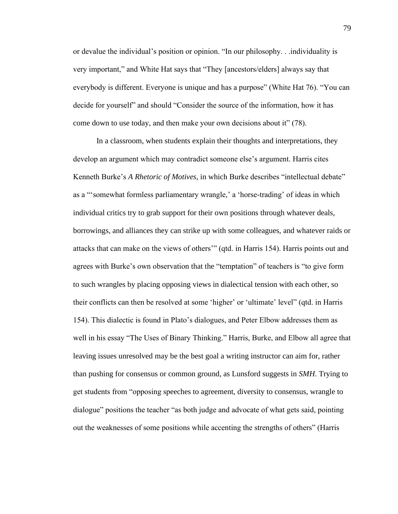or devalue the individual's position or opinion. "In our philosophy. . .individuality is very important," and White Hat says that "They [ancestors/elders] always say that everybody is different. Everyone is unique and has a purpose" (White Hat 76). "You can decide for yourself" and should "Consider the source of the information, how it has come down to use today, and then make your own decisions about it" (78).

In a classroom, when students explain their thoughts and interpretations, they develop an argument which may contradict someone else's argument. Harris cites Kenneth Burke's *A Rhetoric of Motives*, in which Burke describes "intellectual debate" as a "'somewhat formless parliamentary wrangle,' a 'horse-trading' of ideas in which individual critics try to grab support for their own positions through whatever deals, borrowings, and alliances they can strike up with some colleagues, and whatever raids or attacks that can make on the views of others'" (qtd. in Harris 154). Harris points out and agrees with Burke's own observation that the "temptation" of teachers is "to give form to such wrangles by placing opposing views in dialectical tension with each other, so their conflicts can then be resolved at some 'higher' or 'ultimate' level" (qtd. in Harris 154). This dialectic is found in Plato's dialogues, and Peter Elbow addresses them as well in his essay "The Uses of Binary Thinking." Harris, Burke, and Elbow all agree that leaving issues unresolved may be the best goal a writing instructor can aim for, rather than pushing for consensus or common ground, as Lunsford suggests in *SMH*. Trying to get students from "opposing speeches to agreement, diversity to consensus, wrangle to dialogue" positions the teacher "as both judge and advocate of what gets said, pointing out the weaknesses of some positions while accenting the strengths of others" (Harris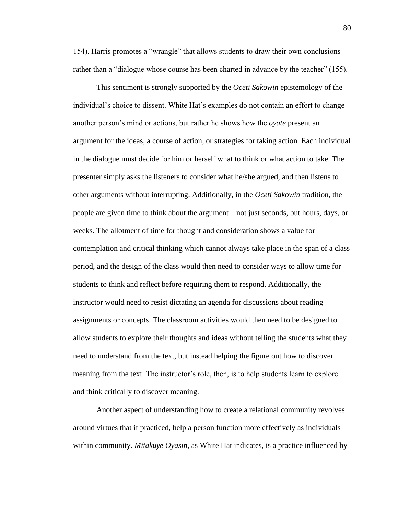154). Harris promotes a "wrangle" that allows students to draw their own conclusions rather than a "dialogue whose course has been charted in advance by the teacher" (155).

This sentiment is strongly supported by the *Oceti Sakowin* epistemology of the individual's choice to dissent. White Hat's examples do not contain an effort to change another person's mind or actions, but rather he shows how the *oyate* present an argument for the ideas, a course of action, or strategies for taking action. Each individual in the dialogue must decide for him or herself what to think or what action to take. The presenter simply asks the listeners to consider what he/she argued, and then listens to other arguments without interrupting. Additionally, in the *Oceti Sakowin* tradition, the people are given time to think about the argument—not just seconds, but hours, days, or weeks. The allotment of time for thought and consideration shows a value for contemplation and critical thinking which cannot always take place in the span of a class period, and the design of the class would then need to consider ways to allow time for students to think and reflect before requiring them to respond. Additionally, the instructor would need to resist dictating an agenda for discussions about reading assignments or concepts. The classroom activities would then need to be designed to allow students to explore their thoughts and ideas without telling the students what they need to understand from the text, but instead helping the figure out how to discover meaning from the text. The instructor's role, then, is to help students learn to explore and think critically to discover meaning.

Another aspect of understanding how to create a relational community revolves around virtues that if practiced, help a person function more effectively as individuals within community. *Mitakuye Oyasin,* as White Hat indicates, is a practice influenced by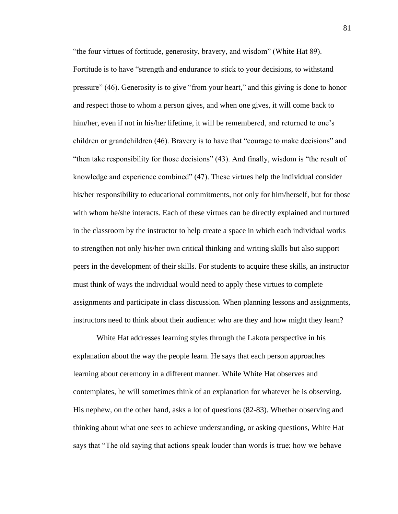"the four virtues of fortitude, generosity, bravery, and wisdom" (White Hat 89). Fortitude is to have "strength and endurance to stick to your decisions, to withstand pressure" (46). Generosity is to give "from your heart," and this giving is done to honor and respect those to whom a person gives, and when one gives, it will come back to him/her, even if not in his/her lifetime, it will be remembered, and returned to one's children or grandchildren (46). Bravery is to have that "courage to make decisions" and "then take responsibility for those decisions" (43). And finally, wisdom is "the result of knowledge and experience combined" (47). These virtues help the individual consider his/her responsibility to educational commitments, not only for him/herself, but for those with whom he/she interacts. Each of these virtues can be directly explained and nurtured in the classroom by the instructor to help create a space in which each individual works to strengthen not only his/her own critical thinking and writing skills but also support peers in the development of their skills. For students to acquire these skills, an instructor must think of ways the individual would need to apply these virtues to complete assignments and participate in class discussion. When planning lessons and assignments, instructors need to think about their audience: who are they and how might they learn?

White Hat addresses learning styles through the Lakota perspective in his explanation about the way the people learn. He says that each person approaches learning about ceremony in a different manner. While White Hat observes and contemplates, he will sometimes think of an explanation for whatever he is observing. His nephew, on the other hand, asks a lot of questions (82-83). Whether observing and thinking about what one sees to achieve understanding, or asking questions, White Hat says that "The old saying that actions speak louder than words is true; how we behave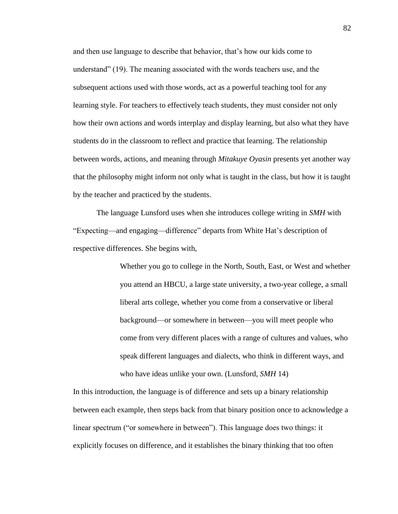and then use language to describe that behavior, that's how our kids come to understand" (19). The meaning associated with the words teachers use, and the subsequent actions used with those words, act as a powerful teaching tool for any learning style. For teachers to effectively teach students, they must consider not only how their own actions and words interplay and display learning, but also what they have students do in the classroom to reflect and practice that learning. The relationship between words, actions, and meaning through *Mitakuye Oyasin* presents yet another way that the philosophy might inform not only what is taught in the class, but how it is taught by the teacher and practiced by the students.

The language Lunsford uses when she introduces college writing in *SMH* with "Expecting—and engaging—difference" departs from White Hat's description of respective differences. She begins with,

> Whether you go to college in the North, South, East, or West and whether you attend an HBCU, a large state university, a two-year college, a small liberal arts college, whether you come from a conservative or liberal background—or somewhere in between—you will meet people who come from very different places with a range of cultures and values, who speak different languages and dialects, who think in different ways, and who have ideas unlike your own. (Lunsford, *SMH* 14)

In this introduction, the language is of difference and sets up a binary relationship between each example, then steps back from that binary position once to acknowledge a linear spectrum ("or somewhere in between"). This language does two things: it explicitly focuses on difference, and it establishes the binary thinking that too often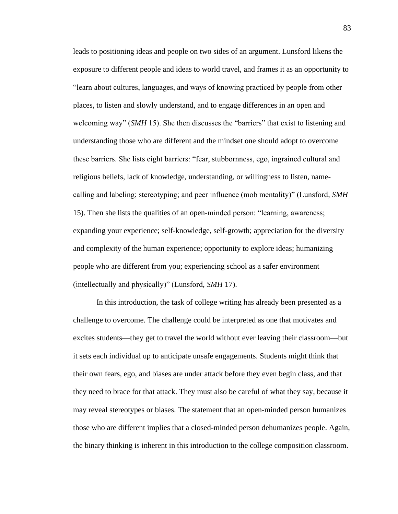leads to positioning ideas and people on two sides of an argument. Lunsford likens the exposure to different people and ideas to world travel, and frames it as an opportunity to "learn about cultures, languages, and ways of knowing practiced by people from other places, to listen and slowly understand, and to engage differences in an open and welcoming way" (*SMH* 15). She then discusses the "barriers" that exist to listening and understanding those who are different and the mindset one should adopt to overcome these barriers. She lists eight barriers: "fear, stubbornness, ego, ingrained cultural and religious beliefs, lack of knowledge, understanding, or willingness to listen, namecalling and labeling; stereotyping; and peer influence (mob mentality)" (Lunsford, *SMH* 15). Then she lists the qualities of an open-minded person: "learning, awareness; expanding your experience; self-knowledge, self-growth; appreciation for the diversity and complexity of the human experience; opportunity to explore ideas; humanizing people who are different from you; experiencing school as a safer environment (intellectually and physically)" (Lunsford, *SMH* 17).

In this introduction, the task of college writing has already been presented as a challenge to overcome. The challenge could be interpreted as one that motivates and excites students—they get to travel the world without ever leaving their classroom—but it sets each individual up to anticipate unsafe engagements. Students might think that their own fears, ego, and biases are under attack before they even begin class, and that they need to brace for that attack. They must also be careful of what they say, because it may reveal stereotypes or biases. The statement that an open-minded person humanizes those who are different implies that a closed-minded person dehumanizes people. Again, the binary thinking is inherent in this introduction to the college composition classroom.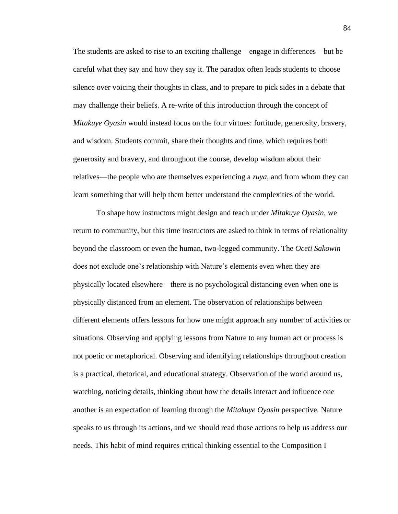The students are asked to rise to an exciting challenge—engage in differences—but be careful what they say and how they say it. The paradox often leads students to choose silence over voicing their thoughts in class, and to prepare to pick sides in a debate that may challenge their beliefs. A re-write of this introduction through the concept of *Mitakuye Oyasin* would instead focus on the four virtues: fortitude, generosity, bravery, and wisdom. Students commit, share their thoughts and time, which requires both generosity and bravery, and throughout the course, develop wisdom about their relatives—the people who are themselves experiencing a *zuya*, and from whom they can learn something that will help them better understand the complexities of the world.

To shape how instructors might design and teach under *Mitakuye Oyasin*, we return to community, but this time instructors are asked to think in terms of relationality beyond the classroom or even the human, two-legged community. The *Oceti Sakowin*  does not exclude one's relationship with Nature's elements even when they are physically located elsewhere—there is no psychological distancing even when one is physically distanced from an element. The observation of relationships between different elements offers lessons for how one might approach any number of activities or situations. Observing and applying lessons from Nature to any human act or process is not poetic or metaphorical. Observing and identifying relationships throughout creation is a practical, rhetorical, and educational strategy. Observation of the world around us, watching, noticing details, thinking about how the details interact and influence one another is an expectation of learning through the *Mitakuye Oyasin* perspective. Nature speaks to us through its actions, and we should read those actions to help us address our needs. This habit of mind requires critical thinking essential to the Composition I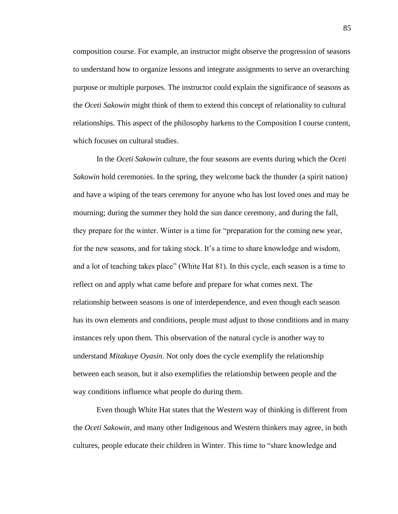composition course. For example, an instructor might observe the progression of seasons to understand how to organize lessons and integrate assignments to serve an overarching purpose or multiple purposes. The instructor could explain the significance of seasons as the *Oceti Sakowin* might think of them to extend this concept of relationality to cultural relationships. This aspect of the philosophy harkens to the Composition I course content, which focuses on cultural studies.

In the *Oceti Sakowin* culture, the four seasons are events during which the *Oceti Sakowin* hold ceremonies. In the spring, they welcome back the thunder (a spirit nation) and have a wiping of the tears ceremony for anyone who has lost loved ones and may be mourning; during the summer they hold the sun dance ceremony, and during the fall, they prepare for the winter. Winter is a time for "preparation for the coming new year, for the new seasons, and for taking stock. It's a time to share knowledge and wisdom, and a lot of teaching takes place" (White Hat 81). In this cycle, each season is a time to reflect on and apply what came before and prepare for what comes next. The relationship between seasons is one of interdependence, and even though each season has its own elements and conditions, people must adjust to those conditions and in many instances rely upon them. This observation of the natural cycle is another way to understand *Mitakuye Oyasin*. Not only does the cycle exemplify the relationship between each season, but it also exemplifies the relationship between people and the way conditions influence what people do during them.

Even though White Hat states that the Western way of thinking is different from the *Oceti Sakowin*, and many other Indigenous and Western thinkers may agree, in both cultures, people educate their children in Winter. This time to "share knowledge and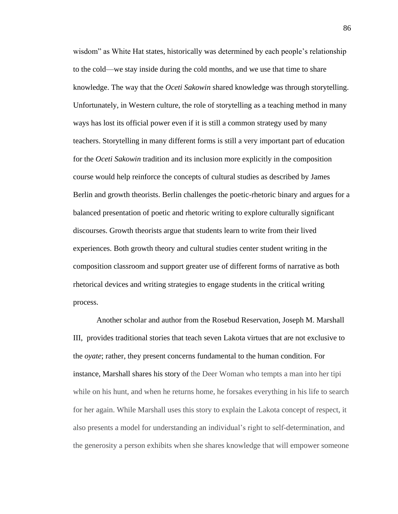wisdom" as White Hat states, historically was determined by each people's relationship to the cold—we stay inside during the cold months, and we use that time to share knowledge. The way that the *Oceti Sakowin* shared knowledge was through storytelling. Unfortunately, in Western culture, the role of storytelling as a teaching method in many ways has lost its official power even if it is still a common strategy used by many teachers. Storytelling in many different forms is still a very important part of education for the *Oceti Sakowin* tradition and its inclusion more explicitly in the composition course would help reinforce the concepts of cultural studies as described by James Berlin and growth theorists. Berlin challenges the poetic-rhetoric binary and argues for a balanced presentation of poetic and rhetoric writing to explore culturally significant discourses. Growth theorists argue that students learn to write from their lived experiences. Both growth theory and cultural studies center student writing in the composition classroom and support greater use of different forms of narrative as both rhetorical devices and writing strategies to engage students in the critical writing process.

Another scholar and author from the Rosebud Reservation, Joseph M. Marshall III, provides traditional stories that teach seven Lakota virtues that are not exclusive to the *oyate*; rather, they present concerns fundamental to the human condition. For instance, Marshall shares his story of the Deer Woman who tempts a man into her tipi while on his hunt, and when he returns home, he forsakes everything in his life to search for her again. While Marshall uses this story to explain the Lakota concept of respect, it also presents a model for understanding an individual's right to self-determination, and the generosity a person exhibits when she shares knowledge that will empower someone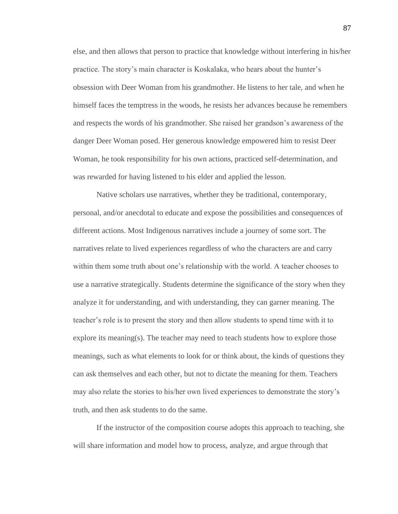else, and then allows that person to practice that knowledge without interfering in his/her practice. The story's main character is Koskalaka, who hears about the hunter's obsession with Deer Woman from his grandmother. He listens to her tale, and when he himself faces the temptress in the woods, he resists her advances because he remembers and respects the words of his grandmother. She raised her grandson's awareness of the danger Deer Woman posed. Her generous knowledge empowered him to resist Deer Woman, he took responsibility for his own actions, practiced self-determination, and was rewarded for having listened to his elder and applied the lesson.

Native scholars use narratives, whether they be traditional, contemporary, personal, and/or anecdotal to educate and expose the possibilities and consequences of different actions. Most Indigenous narratives include a journey of some sort. The narratives relate to lived experiences regardless of who the characters are and carry within them some truth about one's relationship with the world. A teacher chooses to use a narrative strategically. Students determine the significance of the story when they analyze it for understanding, and with understanding, they can garner meaning. The teacher's role is to present the story and then allow students to spend time with it to explore its meaning(s). The teacher may need to teach students how to explore those meanings, such as what elements to look for or think about, the kinds of questions they can ask themselves and each other, but not to dictate the meaning for them. Teachers may also relate the stories to his/her own lived experiences to demonstrate the story's truth, and then ask students to do the same.

If the instructor of the composition course adopts this approach to teaching, she will share information and model how to process, analyze, and argue through that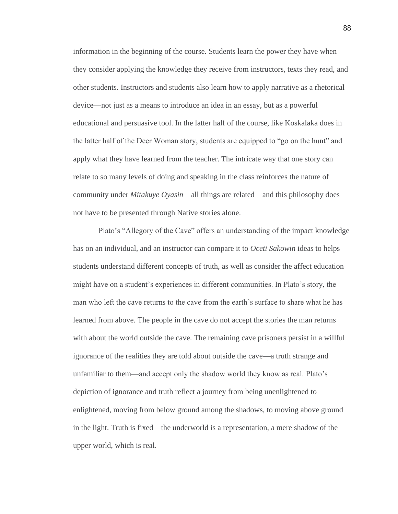information in the beginning of the course. Students learn the power they have when they consider applying the knowledge they receive from instructors, texts they read, and other students. Instructors and students also learn how to apply narrative as a rhetorical device—not just as a means to introduce an idea in an essay, but as a powerful educational and persuasive tool. In the latter half of the course, like Koskalaka does in the latter half of the Deer Woman story, students are equipped to "go on the hunt" and apply what they have learned from the teacher. The intricate way that one story can relate to so many levels of doing and speaking in the class reinforces the nature of community under *Mitakuye Oyasin*—all things are related—and this philosophy does not have to be presented through Native stories alone.

Plato's "Allegory of the Cave" offers an understanding of the impact knowledge has on an individual, and an instructor can compare it to *Oceti Sakowin* ideas to helps students understand different concepts of truth, as well as consider the affect education might have on a student's experiences in different communities. In Plato's story, the man who left the cave returns to the cave from the earth's surface to share what he has learned from above. The people in the cave do not accept the stories the man returns with about the world outside the cave. The remaining cave prisoners persist in a willful ignorance of the realities they are told about outside the cave—a truth strange and unfamiliar to them—and accept only the shadow world they know as real. Plato's depiction of ignorance and truth reflect a journey from being unenlightened to enlightened, moving from below ground among the shadows, to moving above ground in the light. Truth is fixed—the underworld is a representation, a mere shadow of the upper world, which is real.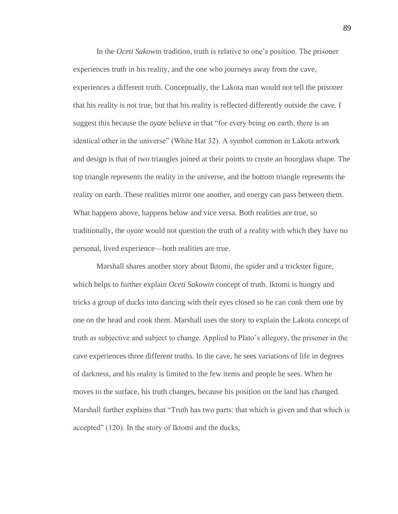In the *Oceti Sakowin* tradition, truth is relative to one's position. The prisoner experiences truth in his reality, and the one who journeys away from the cave, experiences a different truth. Conceptually, the Lakota man would not tell the prisoner that his reality is not true, but that his reality is reflected differently outside the cave. I suggest this because the *oyate* believe in that "for every being on earth, there is an identical other in the universe" (White Hat 32). A symbol common in Lakota artwork and design is that of two triangles joined at their points to create an hourglass shape. The top triangle represents the reality in the universe, and the bottom triangle represents the reality on earth. These realities mirror one another, and energy can pass between them. What happens above, happens below and vice versa. Both realities are true, so traditionally, the *oyate* would not question the truth of a reality with which they have no personal, lived experience—both realities are true.

Marshall shares another story about Iktomi, the spider and a trickster figure, which helps to further explain *Oceti Sakowin* concept of truth. Iktomi is hungry and tricks a group of ducks into dancing with their eyes closed so he can conk them one by one on the head and cook them. Marshall uses the story to explain the Lakota concept of truth as subjective and subject to change. Applied to Plato's allegory, the prisoner in the cave experiences three different truths. In the cave, he sees variations of life in degrees of darkness, and his reality is limited to the few items and people he sees. When he moves to the surface, his truth changes, because his position on the land has changed. Marshall further explains that "Truth has two parts: that which is given and that which is accepted" (120). In the story of Iktomi and the ducks,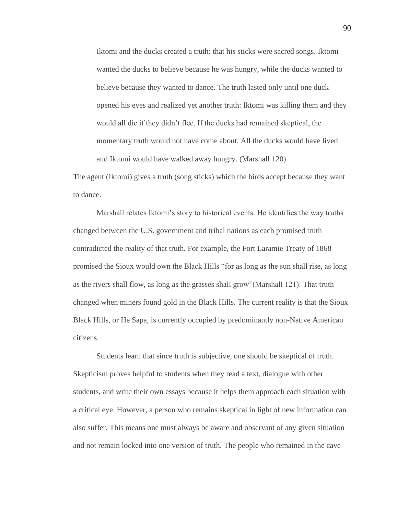Iktomi and the ducks created a truth: that his sticks were sacred songs. Iktomi wanted the ducks to believe because he was hungry, while the ducks wanted to believe because they wanted to dance. The truth lasted only until one duck opened his eyes and realized yet another truth: Iktomi was killing them and they would all die if they didn't flee. If the ducks had remained skeptical, the momentary truth would not have come about. All the ducks would have lived and Iktomi would have walked away hungry. (Marshall 120)

The agent (Iktomi) gives a truth (song sticks) which the birds accept because they want to dance.

Marshall relates Iktomi's story to historical events. He identifies the way truths changed between the U.S. government and tribal nations as each promised truth contradicted the reality of that truth. For example, the Fort Laramie Treaty of 1868 promised the Sioux would own the Black Hills "for as long as the sun shall rise, as long as the rivers shall flow, as long as the grasses shall grow"(Marshall 121). That truth changed when miners found gold in the Black Hills. The current reality is that the Sioux Black Hills, or He Sapa, is currently occupied by predominantly non-Native American citizens.

Students learn that since truth is subjective, one should be skeptical of truth. Skepticism proves helpful to students when they read a text, dialogue with other students, and write their own essays because it helps them approach each situation with a critical eye. However, a person who remains skeptical in light of new information can also suffer. This means one must always be aware and observant of any given situation and not remain locked into one version of truth. The people who remained in the cave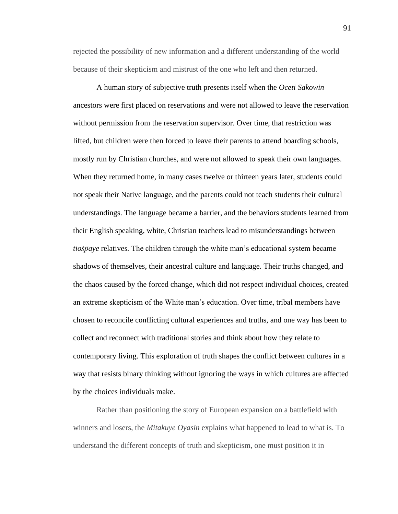rejected the possibility of new information and a different understanding of the world because of their skepticism and mistrust of the one who left and then returned.

A human story of subjective truth presents itself when the *Oceti Sakowin* ancestors were first placed on reservations and were not allowed to leave the reservation without permission from the reservation supervisor. Over time, that restriction was lifted, but children were then forced to leave their parents to attend boarding schools, mostly run by Christian churches, and were not allowed to speak their own languages. When they returned home, in many cases twelve or thirteen years later, students could not speak their Native language, and the parents could not teach students their cultural understandings. The language became a barrier, and the behaviors students learned from their English speaking, white, Christian teachers lead to misunderstandings between *tioṡp̄aye* relatives*.* The children through the white man's educational system became shadows of themselves, their ancestral culture and language. Their truths changed, and the chaos caused by the forced change, which did not respect individual choices, created an extreme skepticism of the White man's education. Over time, tribal members have chosen to reconcile conflicting cultural experiences and truths, and one way has been to collect and reconnect with traditional stories and think about how they relate to contemporary living. This exploration of truth shapes the conflict between cultures in a way that resists binary thinking without ignoring the ways in which cultures are affected by the choices individuals make.

Rather than positioning the story of European expansion on a battlefield with winners and losers, the *Mitakuye Oyasin* explains what happened to lead to what is. To understand the different concepts of truth and skepticism, one must position it in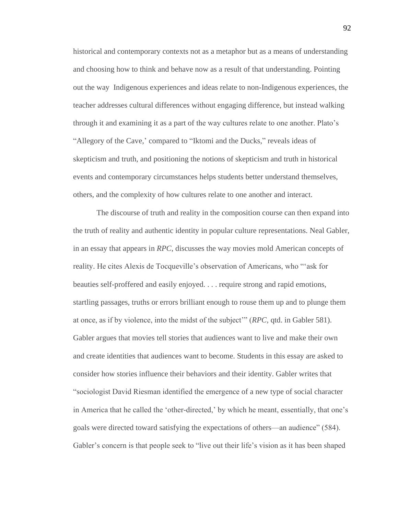historical and contemporary contexts not as a metaphor but as a means of understanding and choosing how to think and behave now as a result of that understanding. Pointing out the way Indigenous experiences and ideas relate to non-Indigenous experiences, the teacher addresses cultural differences without engaging difference, but instead walking through it and examining it as a part of the way cultures relate to one another. Plato's "Allegory of the Cave,' compared to "Iktomi and the Ducks," reveals ideas of skepticism and truth, and positioning the notions of skepticism and truth in historical events and contemporary circumstances helps students better understand themselves, others, and the complexity of how cultures relate to one another and interact.

The discourse of truth and reality in the composition course can then expand into the truth of reality and authentic identity in popular culture representations. Neal Gabler, in an essay that appears in *RPC*, discusses the way movies mold American concepts of reality. He cites Alexis de Tocqueville's observation of Americans, who "'ask for beauties self-proffered and easily enjoyed. . . . require strong and rapid emotions, startling passages, truths or errors brilliant enough to rouse them up and to plunge them at once, as if by violence, into the midst of the subject'" (*RPC,* qtd. in Gabler 581). Gabler argues that movies tell stories that audiences want to live and make their own and create identities that audiences want to become. Students in this essay are asked to consider how stories influence their behaviors and their identity. Gabler writes that "sociologist David Riesman identified the emergence of a new type of social character in America that he called the 'other-directed,' by which he meant, essentially, that one's goals were directed toward satisfying the expectations of others—an audience" (584). Gabler's concern is that people seek to "live out their life's vision as it has been shaped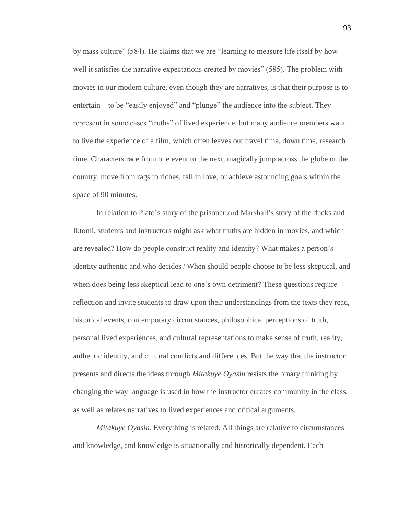by mass culture" (584). He claims that we are "learning to measure life itself by how well it satisfies the narrative expectations created by movies" (585). The problem with movies in our modern culture, even though they are narratives, is that their purpose is to entertain—to be "easily enjoyed" and "plunge" the audience into the subject. They represent in some cases "truths" of lived experience, but many audience members want to live the experience of a film, which often leaves out travel time, down time, research time. Characters race from one event to the next, magically jump across the globe or the country, move from rags to riches, fall in love, or achieve astounding goals within the space of 90 minutes.

In relation to Plato's story of the prisoner and Marshall's story of the ducks and Iktomi, students and instructors might ask what truths are hidden in movies, and which are revealed? How do people construct reality and identity? What makes a person's identity authentic and who decides? When should people choose to be less skeptical, and when does being less skeptical lead to one's own detriment? These questions require reflection and invite students to draw upon their understandings from the texts they read, historical events, contemporary circumstances, philosophical perceptions of truth, personal lived experiences, and cultural representations to make sense of truth, reality, authentic identity, and cultural conflicts and differences. But the way that the instructor presents and directs the ideas through *Mitakuye Oyasin* resists the binary thinking by changing the way language is used in how the instructor creates community in the class, as well as relates narratives to lived experiences and critical arguments.

*Mitakuye Oyasin*. Everything is related. All things are relative to circumstances and knowledge, and knowledge is situationally and historically dependent. Each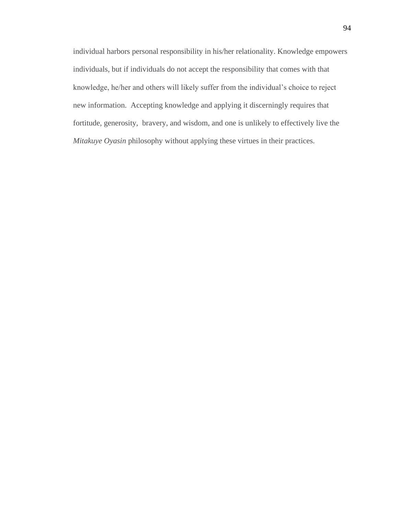individual harbors personal responsibility in his/her relationality. Knowledge empowers individuals, but if individuals do not accept the responsibility that comes with that knowledge, he/her and others will likely suffer from the individual's choice to reject new information. Accepting knowledge and applying it discerningly requires that fortitude, generosity, bravery, and wisdom, and one is unlikely to effectively live the *Mitakuye Oyasin* philosophy without applying these virtues in their practices.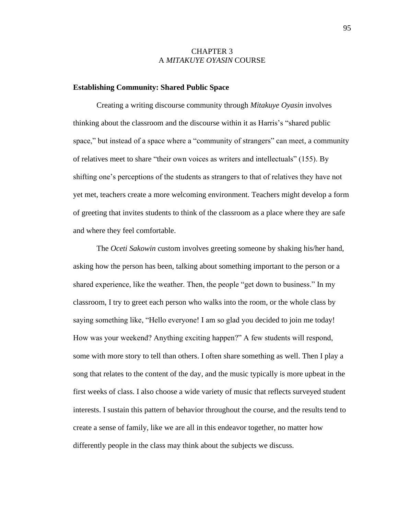## CHAPTER 3 A *MITAKUYE OYASIN* COURSE

## **Establishing Community: Shared Public Space**

Creating a writing discourse community through *Mitakuye Oyasin* involves thinking about the classroom and the discourse within it as Harris's "shared public space," but instead of a space where a "community of strangers" can meet, a community of relatives meet to share "their own voices as writers and intellectuals" (155). By shifting one's perceptions of the students as strangers to that of relatives they have not yet met, teachers create a more welcoming environment. Teachers might develop a form of greeting that invites students to think of the classroom as a place where they are safe and where they feel comfortable.

The *Oceti Sakowin* custom involves greeting someone by shaking his/her hand, asking how the person has been, talking about something important to the person or a shared experience, like the weather. Then, the people "get down to business." In my classroom, I try to greet each person who walks into the room, or the whole class by saying something like, "Hello everyone! I am so glad you decided to join me today! How was your weekend? Anything exciting happen?" A few students will respond, some with more story to tell than others. I often share something as well. Then I play a song that relates to the content of the day, and the music typically is more upbeat in the first weeks of class. I also choose a wide variety of music that reflects surveyed student interests. I sustain this pattern of behavior throughout the course, and the results tend to create a sense of family, like we are all in this endeavor together, no matter how differently people in the class may think about the subjects we discuss.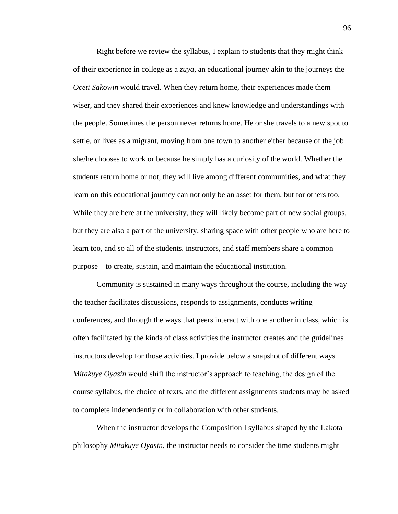Right before we review the syllabus, I explain to students that they might think of their experience in college as a *zuya*, an educational journey akin to the journeys the *Oceti Sakowin* would travel. When they return home, their experiences made them wiser, and they shared their experiences and knew knowledge and understandings with the people. Sometimes the person never returns home. He or she travels to a new spot to settle, or lives as a migrant, moving from one town to another either because of the job she/he chooses to work or because he simply has a curiosity of the world. Whether the students return home or not, they will live among different communities, and what they learn on this educational journey can not only be an asset for them, but for others too. While they are here at the university, they will likely become part of new social groups, but they are also a part of the university, sharing space with other people who are here to learn too, and so all of the students, instructors, and staff members share a common purpose—to create, sustain, and maintain the educational institution.

Community is sustained in many ways throughout the course, including the way the teacher facilitates discussions, responds to assignments, conducts writing conferences, and through the ways that peers interact with one another in class, which is often facilitated by the kinds of class activities the instructor creates and the guidelines instructors develop for those activities. I provide below a snapshot of different ways *Mitakuye Oyasin* would shift the instructor's approach to teaching, the design of the course syllabus, the choice of texts, and the different assignments students may be asked to complete independently or in collaboration with other students.

When the instructor develops the Composition I syllabus shaped by the Lakota philosophy *Mitakuye Oyasin*, the instructor needs to consider the time students might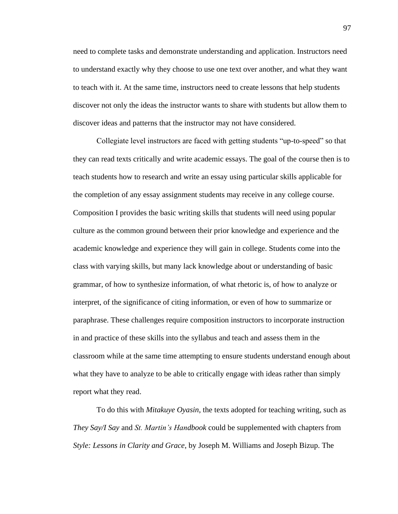need to complete tasks and demonstrate understanding and application. Instructors need to understand exactly why they choose to use one text over another, and what they want to teach with it. At the same time, instructors need to create lessons that help students discover not only the ideas the instructor wants to share with students but allow them to discover ideas and patterns that the instructor may not have considered.

Collegiate level instructors are faced with getting students "up-to-speed" so that they can read texts critically and write academic essays. The goal of the course then is to teach students how to research and write an essay using particular skills applicable for the completion of any essay assignment students may receive in any college course. Composition I provides the basic writing skills that students will need using popular culture as the common ground between their prior knowledge and experience and the academic knowledge and experience they will gain in college. Students come into the class with varying skills, but many lack knowledge about or understanding of basic grammar, of how to synthesize information, of what rhetoric is, of how to analyze or interpret, of the significance of citing information, or even of how to summarize or paraphrase. These challenges require composition instructors to incorporate instruction in and practice of these skills into the syllabus and teach and assess them in the classroom while at the same time attempting to ensure students understand enough about what they have to analyze to be able to critically engage with ideas rather than simply report what they read.

To do this with *Mitakuye Oyasin*, the texts adopted for teaching writing, such as *They Say/I Say* and *St. Martin's Handbook* could be supplemented with chapters from *Style: Lessons in Clarity and Grace*, by Joseph M. Williams and Joseph Bizup. The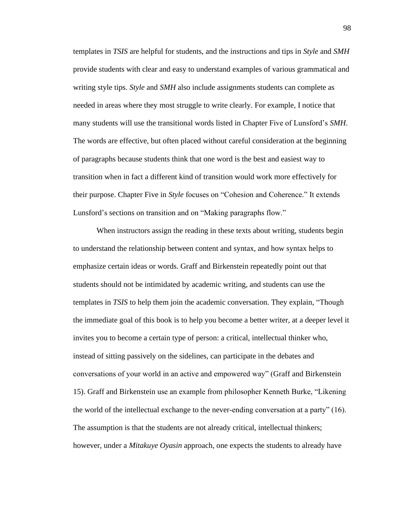templates in *TSIS* are helpful for students, and the instructions and tips in *Style* and *SMH*  provide students with clear and easy to understand examples of various grammatical and writing style tips. *Style* and *SMH* also include assignments students can complete as needed in areas where they most struggle to write clearly. For example, I notice that many students will use the transitional words listed in Chapter Five of Lunsford's *SMH*. The words are effective, but often placed without careful consideration at the beginning of paragraphs because students think that one word is the best and easiest way to transition when in fact a different kind of transition would work more effectively for their purpose. Chapter Five in *Style* focuses on "Cohesion and Coherence." It extends Lunsford's sections on transition and on "Making paragraphs flow."

When instructors assign the reading in these texts about writing, students begin to understand the relationship between content and syntax, and how syntax helps to emphasize certain ideas or words. Graff and Birkenstein repeatedly point out that students should not be intimidated by academic writing, and students can use the templates in *TSIS* to help them join the academic conversation. They explain, "Though the immediate goal of this book is to help you become a better writer, at a deeper level it invites you to become a certain type of person: a critical, intellectual thinker who, instead of sitting passively on the sidelines, can participate in the debates and conversations of your world in an active and empowered way" (Graff and Birkenstein 15). Graff and Birkenstein use an example from philosopher Kenneth Burke, "Likening the world of the intellectual exchange to the never-ending conversation at a party" (16). The assumption is that the students are not already critical, intellectual thinkers; however, under a *Mitakuye Oyasin* approach, one expects the students to already have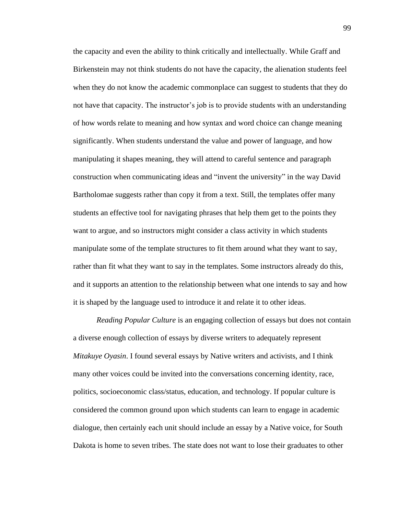the capacity and even the ability to think critically and intellectually. While Graff and Birkenstein may not think students do not have the capacity, the alienation students feel when they do not know the academic commonplace can suggest to students that they do not have that capacity. The instructor's job is to provide students with an understanding of how words relate to meaning and how syntax and word choice can change meaning significantly. When students understand the value and power of language, and how manipulating it shapes meaning, they will attend to careful sentence and paragraph construction when communicating ideas and "invent the university" in the way David Bartholomae suggests rather than copy it from a text. Still, the templates offer many students an effective tool for navigating phrases that help them get to the points they want to argue, and so instructors might consider a class activity in which students manipulate some of the template structures to fit them around what they want to say, rather than fit what they want to say in the templates. Some instructors already do this, and it supports an attention to the relationship between what one intends to say and how it is shaped by the language used to introduce it and relate it to other ideas.

*Reading Popular Culture* is an engaging collection of essays but does not contain a diverse enough collection of essays by diverse writers to adequately represent *Mitakuye Oyasin*. I found several essays by Native writers and activists, and I think many other voices could be invited into the conversations concerning identity, race, politics, socioeconomic class/status, education, and technology. If popular culture is considered the common ground upon which students can learn to engage in academic dialogue, then certainly each unit should include an essay by a Native voice, for South Dakota is home to seven tribes. The state does not want to lose their graduates to other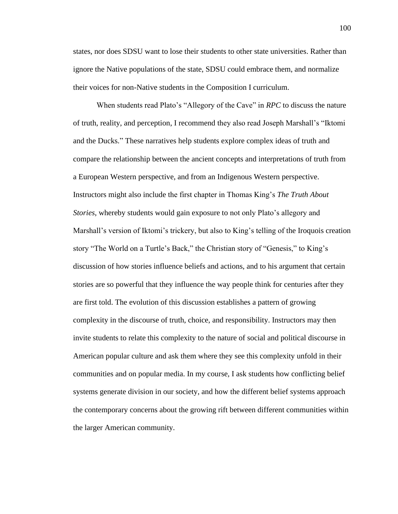states, nor does SDSU want to lose their students to other state universities. Rather than ignore the Native populations of the state, SDSU could embrace them, and normalize their voices for non-Native students in the Composition I curriculum.

When students read Plato's "Allegory of the Cave" in *RPC* to discuss the nature of truth, reality, and perception, I recommend they also read Joseph Marshall's "Iktomi and the Ducks." These narratives help students explore complex ideas of truth and compare the relationship between the ancient concepts and interpretations of truth from a European Western perspective, and from an Indigenous Western perspective. Instructors might also include the first chapter in Thomas King's *The Truth About Stories*, whereby students would gain exposure to not only Plato's allegory and Marshall's version of Iktomi's trickery, but also to King's telling of the Iroquois creation story "The World on a Turtle's Back," the Christian story of "Genesis," to King's discussion of how stories influence beliefs and actions, and to his argument that certain stories are so powerful that they influence the way people think for centuries after they are first told. The evolution of this discussion establishes a pattern of growing complexity in the discourse of truth, choice, and responsibility. Instructors may then invite students to relate this complexity to the nature of social and political discourse in American popular culture and ask them where they see this complexity unfold in their communities and on popular media. In my course, I ask students how conflicting belief systems generate division in our society, and how the different belief systems approach the contemporary concerns about the growing rift between different communities within the larger American community.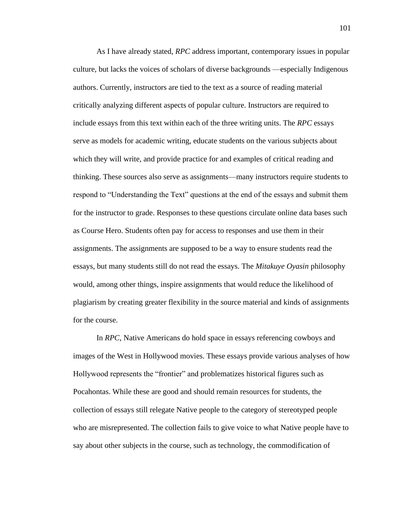As I have already stated, *RPC* address important, contemporary issues in popular culture, but lacks the voices of scholars of diverse backgrounds —especially Indigenous authors. Currently, instructors are tied to the text as a source of reading material critically analyzing different aspects of popular culture. Instructors are required to include essays from this text within each of the three writing units. The *RPC* essays serve as models for academic writing, educate students on the various subjects about which they will write, and provide practice for and examples of critical reading and thinking. These sources also serve as assignments—many instructors require students to respond to "Understanding the Text" questions at the end of the essays and submit them for the instructor to grade. Responses to these questions circulate online data bases such as Course Hero. Students often pay for access to responses and use them in their assignments. The assignments are supposed to be a way to ensure students read the essays, but many students still do not read the essays. The *Mitakuye Oyasin* philosophy would, among other things, inspire assignments that would reduce the likelihood of plagiarism by creating greater flexibility in the source material and kinds of assignments for the course.

In *RPC*, Native Americans do hold space in essays referencing cowboys and images of the West in Hollywood movies. These essays provide various analyses of how Hollywood represents the "frontier" and problematizes historical figures such as Pocahontas. While these are good and should remain resources for students, the collection of essays still relegate Native people to the category of stereotyped people who are misrepresented. The collection fails to give voice to what Native people have to say about other subjects in the course, such as technology, the commodification of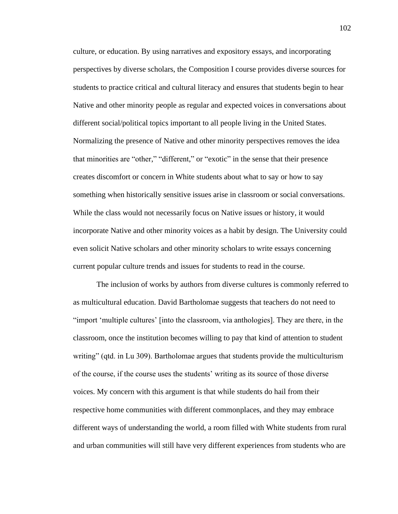culture, or education. By using narratives and expository essays, and incorporating perspectives by diverse scholars, the Composition I course provides diverse sources for students to practice critical and cultural literacy and ensures that students begin to hear Native and other minority people as regular and expected voices in conversations about different social/political topics important to all people living in the United States. Normalizing the presence of Native and other minority perspectives removes the idea that minorities are "other," "different," or "exotic" in the sense that their presence creates discomfort or concern in White students about what to say or how to say something when historically sensitive issues arise in classroom or social conversations. While the class would not necessarily focus on Native issues or history, it would incorporate Native and other minority voices as a habit by design. The University could even solicit Native scholars and other minority scholars to write essays concerning current popular culture trends and issues for students to read in the course.

The inclusion of works by authors from diverse cultures is commonly referred to as multicultural education. David Bartholomae suggests that teachers do not need to "import 'multiple cultures' [into the classroom, via anthologies]. They are there, in the classroom, once the institution becomes willing to pay that kind of attention to student writing" (qtd. in Lu 309). Bartholomae argues that students provide the multiculturism of the course, if the course uses the students' writing as its source of those diverse voices. My concern with this argument is that while students do hail from their respective home communities with different commonplaces, and they may embrace different ways of understanding the world, a room filled with White students from rural and urban communities will still have very different experiences from students who are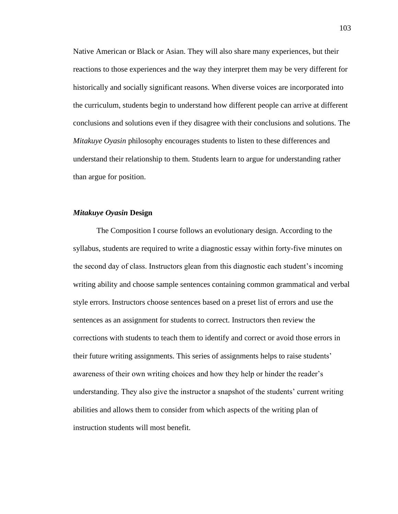Native American or Black or Asian. They will also share many experiences, but their reactions to those experiences and the way they interpret them may be very different for historically and socially significant reasons. When diverse voices are incorporated into the curriculum, students begin to understand how different people can arrive at different conclusions and solutions even if they disagree with their conclusions and solutions. The *Mitakuye Oyasin* philosophy encourages students to listen to these differences and understand their relationship to them. Students learn to argue for understanding rather than argue for position.

#### *Mitakuye Oyasin* **Design**

The Composition I course follows an evolutionary design. According to the syllabus, students are required to write a diagnostic essay within forty-five minutes on the second day of class. Instructors glean from this diagnostic each student's incoming writing ability and choose sample sentences containing common grammatical and verbal style errors. Instructors choose sentences based on a preset list of errors and use the sentences as an assignment for students to correct. Instructors then review the corrections with students to teach them to identify and correct or avoid those errors in their future writing assignments. This series of assignments helps to raise students' awareness of their own writing choices and how they help or hinder the reader's understanding. They also give the instructor a snapshot of the students' current writing abilities and allows them to consider from which aspects of the writing plan of instruction students will most benefit.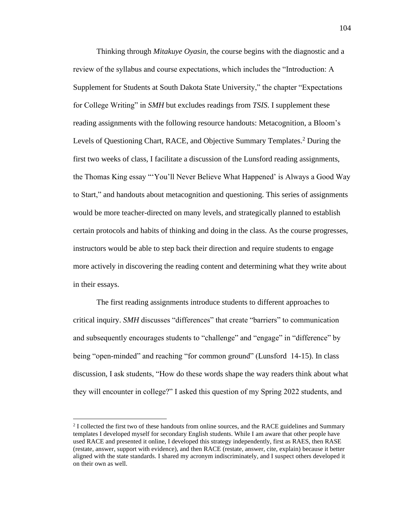Thinking through *Mitakuye Oyasin,* the course begins with the diagnostic and a review of the syllabus and course expectations, which includes the "Introduction: A Supplement for Students at South Dakota State University," the chapter "Expectations for College Writing" in *SMH* but excludes readings from *TSIS*. I supplement these reading assignments with the following resource handouts: Metacognition, a Bloom's Levels of Questioning Chart, RACE, and Objective Summary Templates.<sup>2</sup> During the first two weeks of class, I facilitate a discussion of the Lunsford reading assignments, the Thomas King essay "'You'll Never Believe What Happened' is Always a Good Way to Start," and handouts about metacognition and questioning. This series of assignments would be more teacher-directed on many levels, and strategically planned to establish certain protocols and habits of thinking and doing in the class. As the course progresses, instructors would be able to step back their direction and require students to engage more actively in discovering the reading content and determining what they write about in their essays.

The first reading assignments introduce students to different approaches to critical inquiry. *SMH* discusses "differences" that create "barriers" to communication and subsequently encourages students to "challenge" and "engage" in "difference" by being "open-minded" and reaching "for common ground" (Lunsford 14-15). In class discussion, I ask students, "How do these words shape the way readers think about what they will encounter in college?" I asked this question of my Spring 2022 students, and

<sup>&</sup>lt;sup>2</sup> I collected the first two of these handouts from online sources, and the RACE guidelines and Summary templates I developed myself for secondary English students. While I am aware that other people have used RACE and presented it online, I developed this strategy independently, first as RAES, then RASE (restate, answer, support with evidence), and then RACE (restate, answer, cite, explain) because it better aligned with the state standards. I shared my acronym indiscriminately, and I suspect others developed it on their own as well.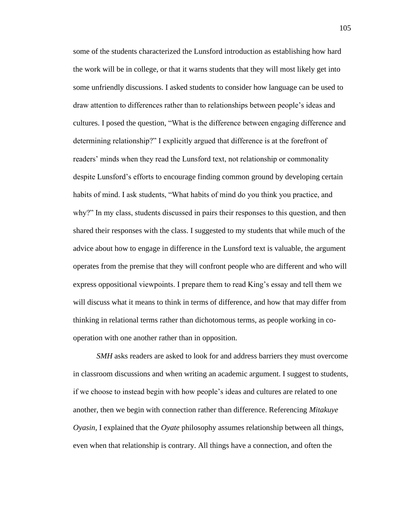some of the students characterized the Lunsford introduction as establishing how hard the work will be in college, or that it warns students that they will most likely get into some unfriendly discussions. I asked students to consider how language can be used to draw attention to differences rather than to relationships between people's ideas and cultures. I posed the question, "What is the difference between engaging difference and determining relationship?" I explicitly argued that difference is at the forefront of readers' minds when they read the Lunsford text, not relationship or commonality despite Lunsford's efforts to encourage finding common ground by developing certain habits of mind. I ask students, "What habits of mind do you think you practice, and why?" In my class, students discussed in pairs their responses to this question, and then shared their responses with the class. I suggested to my students that while much of the advice about how to engage in difference in the Lunsford text is valuable, the argument operates from the premise that they will confront people who are different and who will express oppositional viewpoints. I prepare them to read King's essay and tell them we will discuss what it means to think in terms of difference, and how that may differ from thinking in relational terms rather than dichotomous terms, as people working in cooperation with one another rather than in opposition.

*SMH* asks readers are asked to look for and address barriers they must overcome in classroom discussions and when writing an academic argument. I suggest to students, if we choose to instead begin with how people's ideas and cultures are related to one another, then we begin with connection rather than difference. Referencing *Mitakuye Oyasin*, I explained that the *Oyate* philosophy assumes relationship between all things, even when that relationship is contrary. All things have a connection, and often the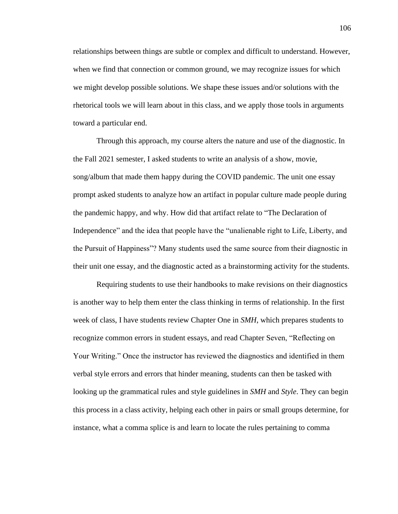relationships between things are subtle or complex and difficult to understand. However, when we find that connection or common ground, we may recognize issues for which we might develop possible solutions. We shape these issues and/or solutions with the rhetorical tools we will learn about in this class, and we apply those tools in arguments toward a particular end.

Through this approach, my course alters the nature and use of the diagnostic. In the Fall 2021 semester, I asked students to write an analysis of a show, movie, song/album that made them happy during the COVID pandemic. The unit one essay prompt asked students to analyze how an artifact in popular culture made people during the pandemic happy, and why. How did that artifact relate to "The Declaration of Independence" and the idea that people have the "unalienable right to Life, Liberty, and the Pursuit of Happiness"? Many students used the same source from their diagnostic in their unit one essay, and the diagnostic acted as a brainstorming activity for the students.

Requiring students to use their handbooks to make revisions on their diagnostics is another way to help them enter the class thinking in terms of relationship. In the first week of class, I have students review Chapter One in *SMH*, which prepares students to recognize common errors in student essays, and read Chapter Seven, "Reflecting on Your Writing." Once the instructor has reviewed the diagnostics and identified in them verbal style errors and errors that hinder meaning, students can then be tasked with looking up the grammatical rules and style guidelines in *SMH* and *Style*. They can begin this process in a class activity, helping each other in pairs or small groups determine, for instance, what a comma splice is and learn to locate the rules pertaining to comma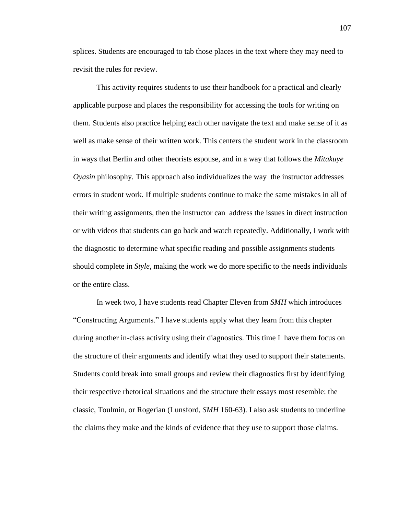splices. Students are encouraged to tab those places in the text where they may need to revisit the rules for review.

This activity requires students to use their handbook for a practical and clearly applicable purpose and places the responsibility for accessing the tools for writing on them. Students also practice helping each other navigate the text and make sense of it as well as make sense of their written work. This centers the student work in the classroom in ways that Berlin and other theorists espouse, and in a way that follows the *Mitakuye Oyasin* philosophy*.* This approach also individualizes the way the instructor addresses errors in student work. If multiple students continue to make the same mistakes in all of their writing assignments, then the instructor can address the issues in direct instruction or with videos that students can go back and watch repeatedly. Additionally, I work with the diagnostic to determine what specific reading and possible assignments students should complete in *Style*, making the work we do more specific to the needs individuals or the entire class.

In week two, I have students read Chapter Eleven from *SMH* which introduces "Constructing Arguments." I have students apply what they learn from this chapter during another in-class activity using their diagnostics. This time I have them focus on the structure of their arguments and identify what they used to support their statements. Students could break into small groups and review their diagnostics first by identifying their respective rhetorical situations and the structure their essays most resemble: the classic, Toulmin, or Rogerian (Lunsford, *SMH* 160-63). I also ask students to underline the claims they make and the kinds of evidence that they use to support those claims.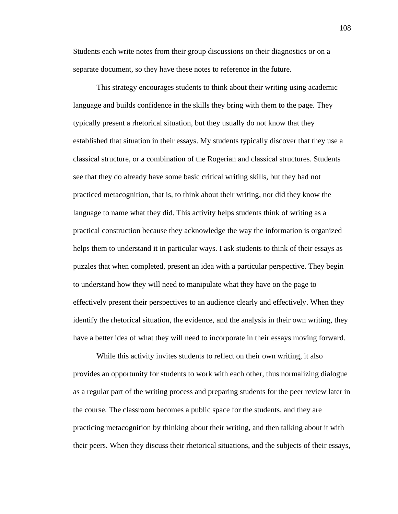Students each write notes from their group discussions on their diagnostics or on a separate document, so they have these notes to reference in the future.

This strategy encourages students to think about their writing using academic language and builds confidence in the skills they bring with them to the page. They typically present a rhetorical situation, but they usually do not know that they established that situation in their essays. My students typically discover that they use a classical structure, or a combination of the Rogerian and classical structures. Students see that they do already have some basic critical writing skills, but they had not practiced metacognition, that is, to think about their writing, nor did they know the language to name what they did. This activity helps students think of writing as a practical construction because they acknowledge the way the information is organized helps them to understand it in particular ways. I ask students to think of their essays as puzzles that when completed, present an idea with a particular perspective. They begin to understand how they will need to manipulate what they have on the page to effectively present their perspectives to an audience clearly and effectively. When they identify the rhetorical situation, the evidence, and the analysis in their own writing, they have a better idea of what they will need to incorporate in their essays moving forward.

While this activity invites students to reflect on their own writing, it also provides an opportunity for students to work with each other, thus normalizing dialogue as a regular part of the writing process and preparing students for the peer review later in the course. The classroom becomes a public space for the students, and they are practicing metacognition by thinking about their writing, and then talking about it with their peers. When they discuss their rhetorical situations, and the subjects of their essays,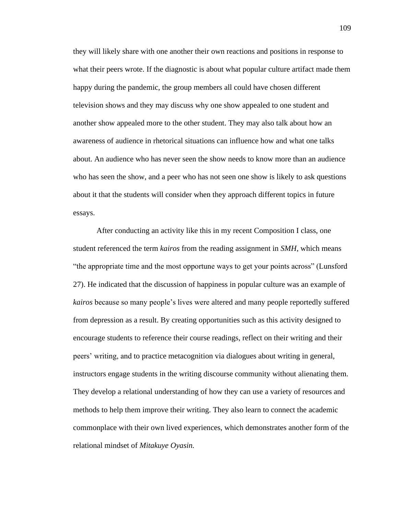they will likely share with one another their own reactions and positions in response to what their peers wrote. If the diagnostic is about what popular culture artifact made them happy during the pandemic, the group members all could have chosen different television shows and they may discuss why one show appealed to one student and another show appealed more to the other student. They may also talk about how an awareness of audience in rhetorical situations can influence how and what one talks about. An audience who has never seen the show needs to know more than an audience who has seen the show, and a peer who has not seen one show is likely to ask questions about it that the students will consider when they approach different topics in future essays.

After conducting an activity like this in my recent Composition I class, one student referenced the term *kairos* from the reading assignment in *SMH*, which means "the appropriate time and the most opportune ways to get your points across" (Lunsford 27). He indicated that the discussion of happiness in popular culture was an example of *kairos* because so many people's lives were altered and many people reportedly suffered from depression as a result. By creating opportunities such as this activity designed to encourage students to reference their course readings, reflect on their writing and their peers' writing, and to practice metacognition via dialogues about writing in general, instructors engage students in the writing discourse community without alienating them. They develop a relational understanding of how they can use a variety of resources and methods to help them improve their writing. They also learn to connect the academic commonplace with their own lived experiences, which demonstrates another form of the relational mindset of *Mitakuye Oyasin.*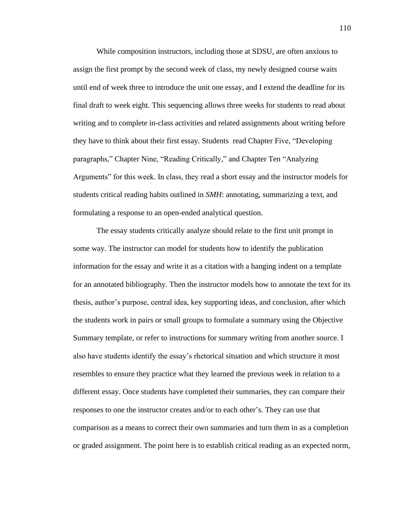While composition instructors, including those at SDSU, are often anxious to assign the first prompt by the second week of class, my newly designed course waits until end of week three to introduce the unit one essay, and I extend the deadline for its final draft to week eight. This sequencing allows three weeks for students to read about writing and to complete in-class activities and related assignments about writing before they have to think about their first essay. Students read Chapter Five, "Developing paragraphs," Chapter Nine, "Reading Critically," and Chapter Ten "Analyzing Arguments" for this week. In class, they read a short essay and the instructor models for students critical reading habits outlined in *SMH*: annotating, summarizing a text, and formulating a response to an open-ended analytical question.

The essay students critically analyze should relate to the first unit prompt in some way. The instructor can model for students how to identify the publication information for the essay and write it as a citation with a hanging indent on a template for an annotated bibliography. Then the instructor models how to annotate the text for its thesis, author's purpose, central idea, key supporting ideas, and conclusion, after which the students work in pairs or small groups to formulate a summary using the Objective Summary template, or refer to instructions for summary writing from another source. I also have students identify the essay's rhetorical situation and which structure it most resembles to ensure they practice what they learned the previous week in relation to a different essay. Once students have completed their summaries, they can compare their responses to one the instructor creates and/or to each other's. They can use that comparison as a means to correct their own summaries and turn them in as a completion or graded assignment. The point here is to establish critical reading as an expected norm,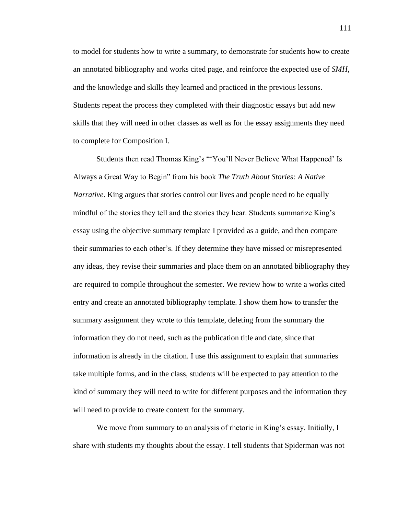to model for students how to write a summary, to demonstrate for students how to create an annotated bibliography and works cited page, and reinforce the expected use of *SMH*, and the knowledge and skills they learned and practiced in the previous lessons. Students repeat the process they completed with their diagnostic essays but add new skills that they will need in other classes as well as for the essay assignments they need to complete for Composition I.

Students then read Thomas King's "'You'll Never Believe What Happened' Is Always a Great Way to Begin" from his book *The Truth About Stories: A Native Narrative*. King argues that stories control our lives and people need to be equally mindful of the stories they tell and the stories they hear. Students summarize King's essay using the objective summary template I provided as a guide, and then compare their summaries to each other's. If they determine they have missed or misrepresented any ideas, they revise their summaries and place them on an annotated bibliography they are required to compile throughout the semester. We review how to write a works cited entry and create an annotated bibliography template. I show them how to transfer the summary assignment they wrote to this template, deleting from the summary the information they do not need, such as the publication title and date, since that information is already in the citation. I use this assignment to explain that summaries take multiple forms, and in the class, students will be expected to pay attention to the kind of summary they will need to write for different purposes and the information they will need to provide to create context for the summary.

We move from summary to an analysis of rhetoric in King's essay. Initially, I share with students my thoughts about the essay. I tell students that Spiderman was not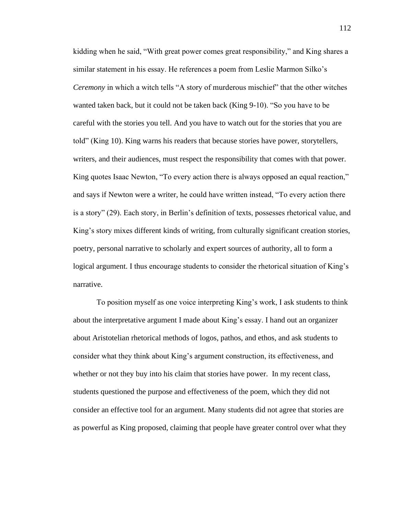kidding when he said, "With great power comes great responsibility," and King shares a similar statement in his essay. He references a poem from Leslie Marmon Silko's *Ceremony* in which a witch tells "A story of murderous mischief" that the other witches wanted taken back, but it could not be taken back (King 9-10). "So you have to be careful with the stories you tell. And you have to watch out for the stories that you are told" (King 10). King warns his readers that because stories have power, storytellers, writers, and their audiences, must respect the responsibility that comes with that power. King quotes Isaac Newton, "To every action there is always opposed an equal reaction," and says if Newton were a writer, he could have written instead, "To every action there is a story" (29). Each story, in Berlin's definition of texts, possesses rhetorical value, and King's story mixes different kinds of writing, from culturally significant creation stories, poetry, personal narrative to scholarly and expert sources of authority, all to form a logical argument. I thus encourage students to consider the rhetorical situation of King's narrative.

To position myself as one voice interpreting King's work, I ask students to think about the interpretative argument I made about King's essay. I hand out an organizer about Aristotelian rhetorical methods of logos, pathos, and ethos, and ask students to consider what they think about King's argument construction, its effectiveness, and whether or not they buy into his claim that stories have power. In my recent class, students questioned the purpose and effectiveness of the poem, which they did not consider an effective tool for an argument. Many students did not agree that stories are as powerful as King proposed, claiming that people have greater control over what they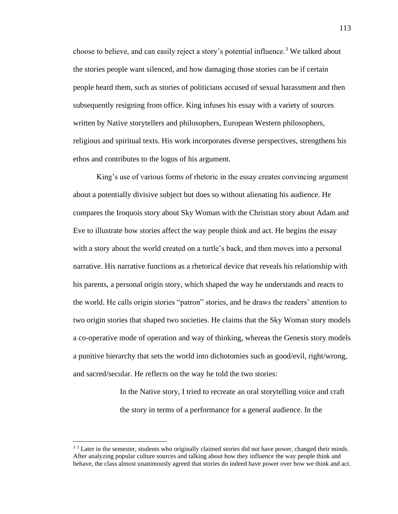choose to believe, and can easily reject a story's potential influence.<sup>3</sup> We talked about the stories people want silenced, and how damaging those stories can be if certain people heard them, such as stories of politicians accused of sexual harassment and then subsequently resigning from office. King infuses his essay with a variety of sources written by Native storytellers and philosophers, European Western philosophers, religious and spiritual texts. His work incorporates diverse perspectives, strengthens his ethos and contributes to the logos of his argument.

King's use of various forms of rhetoric in the essay creates convincing argument about a potentially divisive subject but does so without alienating his audience. He compares the Iroquois story about Sky Woman with the Christian story about Adam and Eve to illustrate how stories affect the way people think and act. He begins the essay with a story about the world created on a turtle's back, and then moves into a personal narrative. His narrative functions as a rhetorical device that reveals his relationship with his parents, a personal origin story, which shaped the way he understands and reacts to the world. He calls origin stories "patron" stories, and he draws the readers' attention to two origin stories that shaped two societies. He claims that the Sky Woman story models a co-operative mode of operation and way of thinking, whereas the Genesis story models a punitive hierarchy that sets the world into dichotomies such as good/evil, right/wrong, and sacred/secular. He reflects on the way he told the two stories:

> In the Native story, I tried to recreate an oral storytelling voice and craft the story in terms of a performance for a general audience. In the

<sup>&</sup>lt;sup>3 3</sup> Later in the semester, students who originally claimed stories did not have power, changed their minds. After analyzing popular culture sources and talking about how they influence the way people think and behave, the class almost unanimously agreed that stories do indeed have power over how we think and act.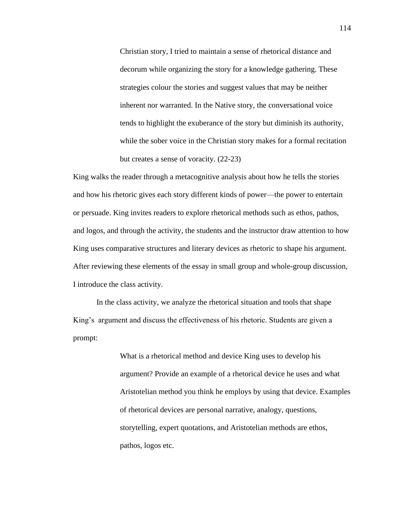Christian story, I tried to maintain a sense of rhetorical distance and decorum while organizing the story for a knowledge gathering. These strategies colour the stories and suggest values that may be neither inherent nor warranted. In the Native story, the conversational voice tends to highlight the exuberance of the story but diminish its authority, while the sober voice in the Christian story makes for a formal recitation but creates a sense of voracity. (22-23)

King walks the reader through a metacognitive analysis about how he tells the stories and how his rhetoric gives each story different kinds of power—the power to entertain or persuade. King invites readers to explore rhetorical methods such as ethos, pathos, and logos, and through the activity, the students and the instructor draw attention to how King uses comparative structures and literary devices as rhetoric to shape his argument. After reviewing these elements of the essay in small group and whole-group discussion, I introduce the class activity.

In the class activity, we analyze the rhetorical situation and tools that shape King's argument and discuss the effectiveness of his rhetoric. Students are given a prompt:

> What is a rhetorical method and device King uses to develop his argument? Provide an example of a rhetorical device he uses and what Aristotelian method you think he employs by using that device. Examples of rhetorical devices are personal narrative, analogy, questions, storytelling, expert quotations, and Aristotelian methods are ethos, pathos, logos etc.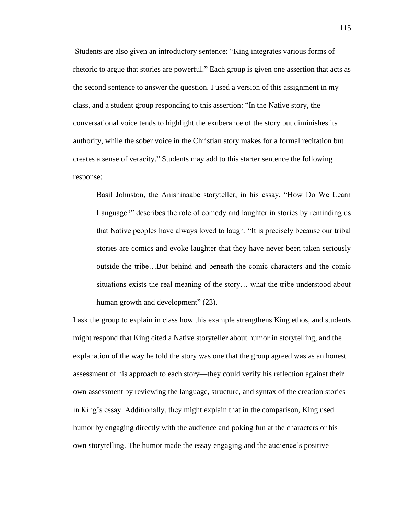Students are also given an introductory sentence: "King integrates various forms of rhetoric to argue that stories are powerful." Each group is given one assertion that acts as the second sentence to answer the question. I used a version of this assignment in my class, and a student group responding to this assertion: "In the Native story, the conversational voice tends to highlight the exuberance of the story but diminishes its authority, while the sober voice in the Christian story makes for a formal recitation but creates a sense of veracity." Students may add to this starter sentence the following response:

Basil Johnston, the Anishinaabe storyteller, in his essay, "How Do We Learn Language?" describes the role of comedy and laughter in stories by reminding us that Native peoples have always loved to laugh. "It is precisely because our tribal stories are comics and evoke laughter that they have never been taken seriously outside the tribe…But behind and beneath the comic characters and the comic situations exists the real meaning of the story… what the tribe understood about human growth and development" (23).

I ask the group to explain in class how this example strengthens King ethos, and students might respond that King cited a Native storyteller about humor in storytelling, and the explanation of the way he told the story was one that the group agreed was as an honest assessment of his approach to each story—they could verify his reflection against their own assessment by reviewing the language, structure, and syntax of the creation stories in King's essay. Additionally, they might explain that in the comparison, King used humor by engaging directly with the audience and poking fun at the characters or his own storytelling. The humor made the essay engaging and the audience's positive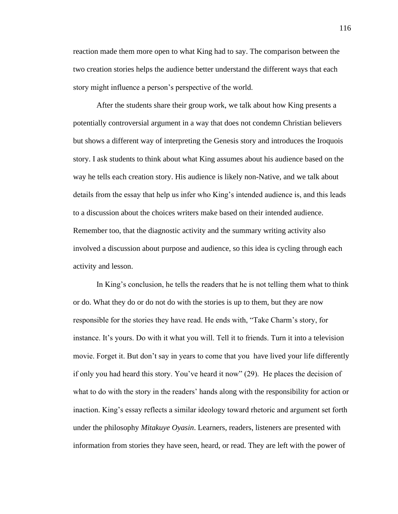reaction made them more open to what King had to say. The comparison between the two creation stories helps the audience better understand the different ways that each story might influence a person's perspective of the world.

After the students share their group work, we talk about how King presents a potentially controversial argument in a way that does not condemn Christian believers but shows a different way of interpreting the Genesis story and introduces the Iroquois story. I ask students to think about what King assumes about his audience based on the way he tells each creation story. His audience is likely non-Native, and we talk about details from the essay that help us infer who King's intended audience is, and this leads to a discussion about the choices writers make based on their intended audience. Remember too, that the diagnostic activity and the summary writing activity also involved a discussion about purpose and audience, so this idea is cycling through each activity and lesson.

In King's conclusion, he tells the readers that he is not telling them what to think or do. What they do or do not do with the stories is up to them, but they are now responsible for the stories they have read. He ends with, "Take Charm's story, for instance. It's yours. Do with it what you will. Tell it to friends. Turn it into a television movie. Forget it. But don't say in years to come that you have lived your life differently if only you had heard this story. You've heard it now" (29). He places the decision of what to do with the story in the readers' hands along with the responsibility for action or inaction. King's essay reflects a similar ideology toward rhetoric and argument set forth under the philosophy *Mitakuye Oyasin*. Learners, readers, listeners are presented with information from stories they have seen, heard, or read. They are left with the power of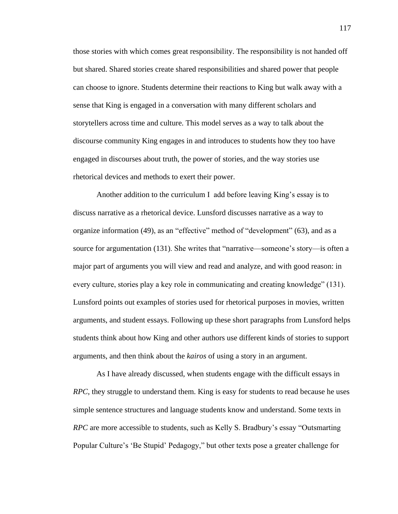those stories with which comes great responsibility. The responsibility is not handed off but shared. Shared stories create shared responsibilities and shared power that people can choose to ignore. Students determine their reactions to King but walk away with a sense that King is engaged in a conversation with many different scholars and storytellers across time and culture. This model serves as a way to talk about the discourse community King engages in and introduces to students how they too have engaged in discourses about truth, the power of stories, and the way stories use rhetorical devices and methods to exert their power.

Another addition to the curriculum I add before leaving King's essay is to discuss narrative as a rhetorical device. Lunsford discusses narrative as a way to organize information (49), as an "effective" method of "development" (63), and as a source for argumentation (131). She writes that "narrative—someone's story—is often a major part of arguments you will view and read and analyze, and with good reason: in every culture, stories play a key role in communicating and creating knowledge" (131). Lunsford points out examples of stories used for rhetorical purposes in movies, written arguments, and student essays. Following up these short paragraphs from Lunsford helps students think about how King and other authors use different kinds of stories to support arguments, and then think about the *kairos* of using a story in an argument.

As I have already discussed, when students engage with the difficult essays in *RPC*, they struggle to understand them. King is easy for students to read because he uses simple sentence structures and language students know and understand. Some texts in *RPC* are more accessible to students, such as Kelly S. Bradbury's essay "Outsmarting Popular Culture's 'Be Stupid' Pedagogy," but other texts pose a greater challenge for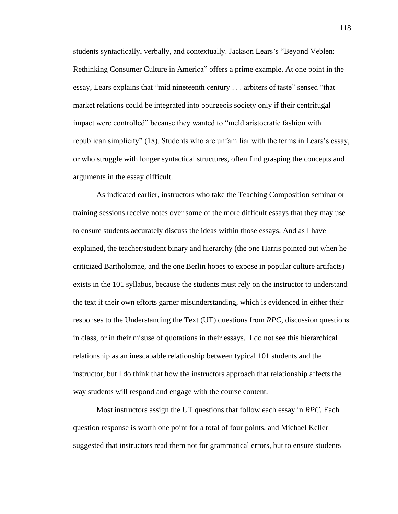students syntactically, verbally, and contextually. Jackson Lears's "Beyond Veblen: Rethinking Consumer Culture in America" offers a prime example. At one point in the essay, Lears explains that "mid nineteenth century . . . arbiters of taste" sensed "that market relations could be integrated into bourgeois society only if their centrifugal impact were controlled" because they wanted to "meld aristocratic fashion with republican simplicity" (18). Students who are unfamiliar with the terms in Lears's essay, or who struggle with longer syntactical structures, often find grasping the concepts and arguments in the essay difficult.

As indicated earlier, instructors who take the Teaching Composition seminar or training sessions receive notes over some of the more difficult essays that they may use to ensure students accurately discuss the ideas within those essays. And as I have explained, the teacher/student binary and hierarchy (the one Harris pointed out when he criticized Bartholomae, and the one Berlin hopes to expose in popular culture artifacts) exists in the 101 syllabus, because the students must rely on the instructor to understand the text if their own efforts garner misunderstanding, which is evidenced in either their responses to the Understanding the Text (UT) questions from *RPC*, discussion questions in class, or in their misuse of quotations in their essays. I do not see this hierarchical relationship as an inescapable relationship between typical 101 students and the instructor, but I do think that how the instructors approach that relationship affects the way students will respond and engage with the course content.

Most instructors assign the UT questions that follow each essay in *RPC*. Each question response is worth one point for a total of four points, and Michael Keller suggested that instructors read them not for grammatical errors, but to ensure students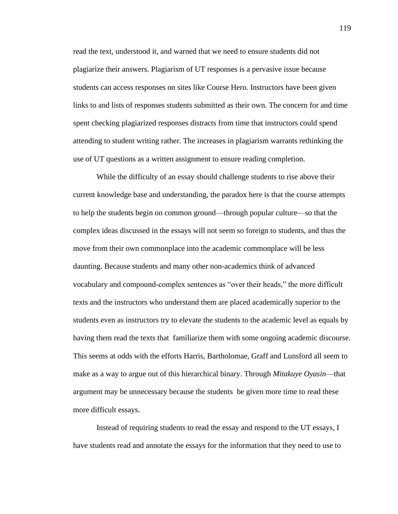read the text, understood it, and warned that we need to ensure students did not plagiarize their answers. Plagiarism of UT responses is a pervasive issue because students can access responses on sites like Course Hero. Instructors have been given links to and lists of responses students submitted as their own. The concern for and time spent checking plagiarized responses distracts from time that instructors could spend attending to student writing rather. The increases in plagiarism warrants rethinking the use of UT questions as a written assignment to ensure reading completion.

While the difficulty of an essay should challenge students to rise above their current knowledge base and understanding, the paradox here is that the course attempts to help the students begin on common ground—through popular culture—so that the complex ideas discussed in the essays will not seem so foreign to students, and thus the move from their own commonplace into the academic commonplace will be less daunting. Because students and many other non-academics think of advanced vocabulary and compound-complex sentences as "over their heads," the more difficult texts and the instructors who understand them are placed academically superior to the students even as instructors try to elevate the students to the academic level as equals by having them read the texts that familiarize them with some ongoing academic discourse. This seems at odds with the efforts Harris, Bartholomae, Graff and Lunsford all seem to make as a way to argue out of this hierarchical binary. Through *Mitakuye Oyasin*—that argument may be unnecessary because the students be given more time to read these more difficult essays.

Instead of requiring students to read the essay and respond to the UT essays, I have students read and annotate the essays for the information that they need to use to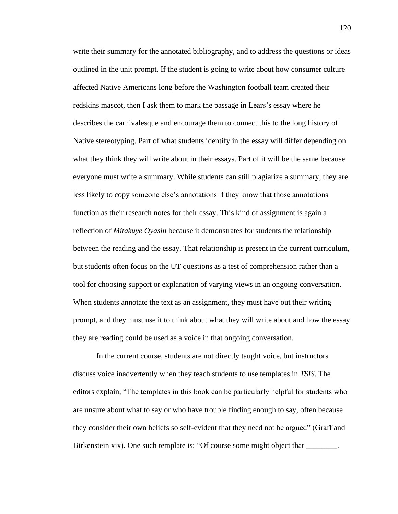write their summary for the annotated bibliography, and to address the questions or ideas outlined in the unit prompt. If the student is going to write about how consumer culture affected Native Americans long before the Washington football team created their redskins mascot, then I ask them to mark the passage in Lears's essay where he describes the carnivalesque and encourage them to connect this to the long history of Native stereotyping. Part of what students identify in the essay will differ depending on what they think they will write about in their essays. Part of it will be the same because everyone must write a summary. While students can still plagiarize a summary, they are less likely to copy someone else's annotations if they know that those annotations function as their research notes for their essay. This kind of assignment is again a reflection of *Mitakuye Oyasin* because it demonstrates for students the relationship between the reading and the essay. That relationship is present in the current curriculum, but students often focus on the UT questions as a test of comprehension rather than a tool for choosing support or explanation of varying views in an ongoing conversation. When students annotate the text as an assignment, they must have out their writing prompt, and they must use it to think about what they will write about and how the essay they are reading could be used as a voice in that ongoing conversation.

In the current course, students are not directly taught voice, but instructors discuss voice inadvertently when they teach students to use templates in *TSIS*. The editors explain, "The templates in this book can be particularly helpful for students who are unsure about what to say or who have trouble finding enough to say, often because they consider their own beliefs so self-evident that they need not be argued" (Graff and Birkenstein xix). One such template is: "Of course some might object that \_\_\_\_\_\_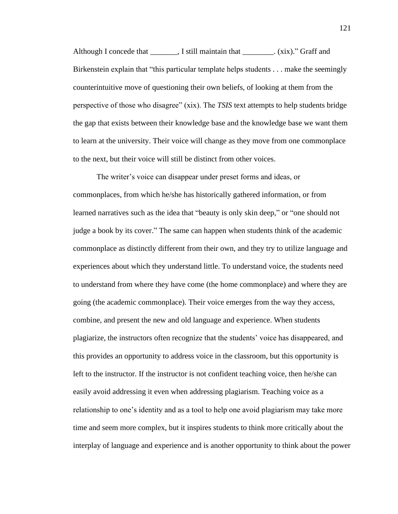Although I concede that \_\_\_\_\_\_\_, I still maintain that \_\_\_\_\_\_\_\_. (xix)." Graff and Birkenstein explain that "this particular template helps students . . . make the seemingly counterintuitive move of questioning their own beliefs, of looking at them from the perspective of those who disagree" (xix). The *TSIS* text attempts to help students bridge the gap that exists between their knowledge base and the knowledge base we want them to learn at the university. Their voice will change as they move from one commonplace to the next, but their voice will still be distinct from other voices.

The writer's voice can disappear under preset forms and ideas, or commonplaces, from which he/she has historically gathered information, or from learned narratives such as the idea that "beauty is only skin deep," or "one should not judge a book by its cover." The same can happen when students think of the academic commonplace as distinctly different from their own, and they try to utilize language and experiences about which they understand little. To understand voice, the students need to understand from where they have come (the home commonplace) and where they are going (the academic commonplace). Their voice emerges from the way they access, combine, and present the new and old language and experience. When students plagiarize, the instructors often recognize that the students' voice has disappeared, and this provides an opportunity to address voice in the classroom, but this opportunity is left to the instructor. If the instructor is not confident teaching voice, then he/she can easily avoid addressing it even when addressing plagiarism. Teaching voice as a relationship to one's identity and as a tool to help one avoid plagiarism may take more time and seem more complex, but it inspires students to think more critically about the interplay of language and experience and is another opportunity to think about the power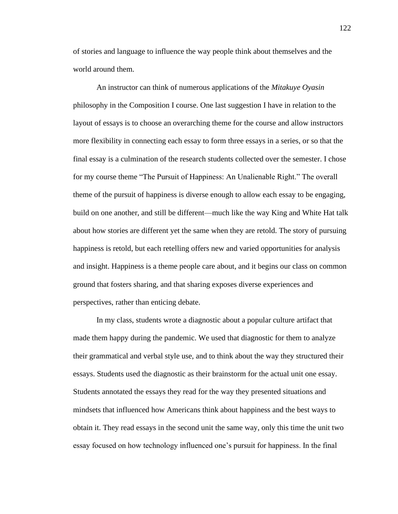of stories and language to influence the way people think about themselves and the world around them.

An instructor can think of numerous applications of the *Mitakuye Oyasin*  philosophy in the Composition I course. One last suggestion I have in relation to the layout of essays is to choose an overarching theme for the course and allow instructors more flexibility in connecting each essay to form three essays in a series, or so that the final essay is a culmination of the research students collected over the semester. I chose for my course theme "The Pursuit of Happiness: An Unalienable Right." The overall theme of the pursuit of happiness is diverse enough to allow each essay to be engaging, build on one another, and still be different—much like the way King and White Hat talk about how stories are different yet the same when they are retold. The story of pursuing happiness is retold, but each retelling offers new and varied opportunities for analysis and insight. Happiness is a theme people care about, and it begins our class on common ground that fosters sharing, and that sharing exposes diverse experiences and perspectives, rather than enticing debate.

In my class, students wrote a diagnostic about a popular culture artifact that made them happy during the pandemic. We used that diagnostic for them to analyze their grammatical and verbal style use, and to think about the way they structured their essays. Students used the diagnostic as their brainstorm for the actual unit one essay. Students annotated the essays they read for the way they presented situations and mindsets that influenced how Americans think about happiness and the best ways to obtain it. They read essays in the second unit the same way, only this time the unit two essay focused on how technology influenced one's pursuit for happiness. In the final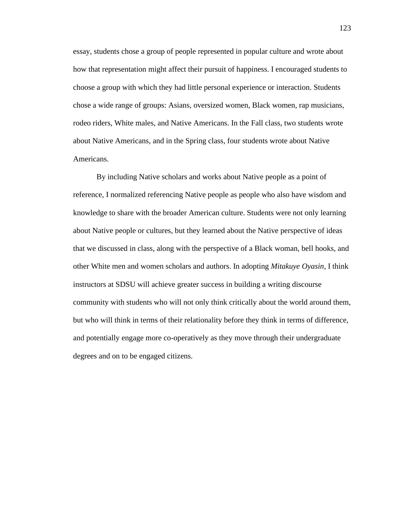essay, students chose a group of people represented in popular culture and wrote about how that representation might affect their pursuit of happiness. I encouraged students to choose a group with which they had little personal experience or interaction. Students chose a wide range of groups: Asians, oversized women, Black women, rap musicians, rodeo riders, White males, and Native Americans. In the Fall class, two students wrote about Native Americans, and in the Spring class, four students wrote about Native Americans.

By including Native scholars and works about Native people as a point of reference, I normalized referencing Native people as people who also have wisdom and knowledge to share with the broader American culture. Students were not only learning about Native people or cultures, but they learned about the Native perspective of ideas that we discussed in class, along with the perspective of a Black woman, bell hooks, and other White men and women scholars and authors. In adopting *Mitakuye Oyasin*, I think instructors at SDSU will achieve greater success in building a writing discourse community with students who will not only think critically about the world around them, but who will think in terms of their relationality before they think in terms of difference, and potentially engage more co-operatively as they move through their undergraduate degrees and on to be engaged citizens.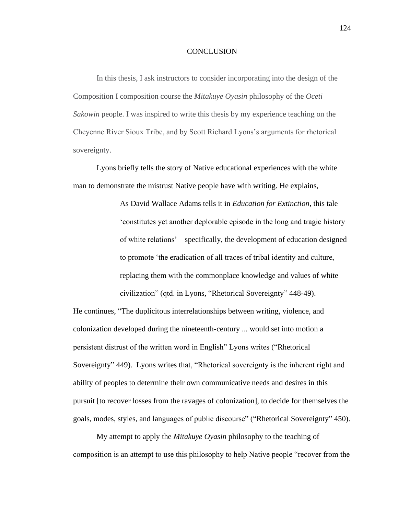#### **CONCLUSION**

In this thesis, I ask instructors to consider incorporating into the design of the Composition I composition course the *Mitakuye Oyasin* philosophy of the *Oceti Sakowin* people. I was inspired to write this thesis by my experience teaching on the Cheyenne River Sioux Tribe, and by Scott Richard Lyons's arguments for rhetorical sovereignty.

Lyons briefly tells the story of Native educational experiences with the white man to demonstrate the mistrust Native people have with writing. He explains,

> As David Wallace Adams tells it in *Education for Extinction*, this tale 'constitutes yet another deplorable episode in the long and tragic history of white relations'—specifically, the development of education designed to promote 'the eradication of all traces of tribal identity and culture, replacing them with the commonplace knowledge and values of white civilization" (qtd. in Lyons, "Rhetorical Sovereignty" 448-49).

He continues, "The duplicitous interrelationships between writing, violence, and colonization developed during the nineteenth-century ... would set into motion a persistent distrust of the written word in English" Lyons writes ("Rhetorical Sovereignty" 449). Lyons writes that, "Rhetorical sovereignty is the inherent right and ability of peoples to determine their own communicative needs and desires in this pursuit [to recover losses from the ravages of colonization], to decide for themselves the goals, modes, styles, and languages of public discourse" ("Rhetorical Sovereignty" 450).

My attempt to apply the *Mitakuye Oyasin* philosophy to the teaching of composition is an attempt to use this philosophy to help Native people "recover from the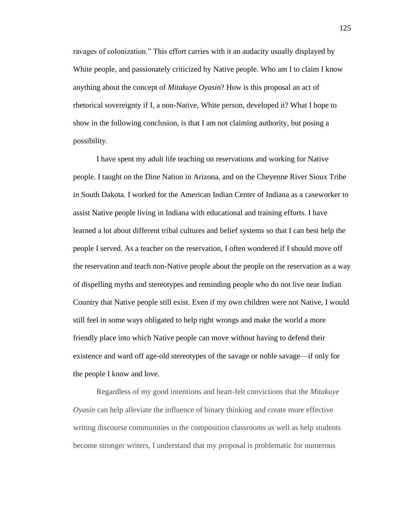ravages of colonization." This effort carries with it an audacity usually displayed by White people, and passionately criticized by Native people. Who am I to claim I know anything about the concept of *Mitakuye Oyasin*? How is this proposal an act of rhetorical sovereignty if I, a non-Native, White person, developed it? What I hope to show in the following conclusion, is that I am not claiming authority, but posing a possibility.

I have spent my adult life teaching on reservations and working for Native people. I taught on the Dine Nation in Arizona, and on the Cheyenne River Sioux Tribe in South Dakota. I worked for the American Indian Center of Indiana as a caseworker to assist Native people living in Indiana with educational and training efforts. I have learned a lot about different tribal cultures and belief systems so that I can best help the people I served. As a teacher on the reservation, I often wondered if I should move off the reservation and teach non-Native people about the people on the reservation as a way of dispelling myths and stereotypes and reminding people who do not live near Indian Country that Native people still exist. Even if my own children were not Native, I would still feel in some ways obligated to help right wrongs and make the world a more friendly place into which Native people can move without having to defend their existence and ward off age-old stereotypes of the savage or noble savage—if only for the people I know and love.

Regardless of my good intentions and heart-felt convictions that the *Mitakuye Oyasin* can help alleviate the influence of binary thinking and create more effective writing discourse communities in the composition classrooms as well as help students become stronger writers, I understand that my proposal is problematic for numerous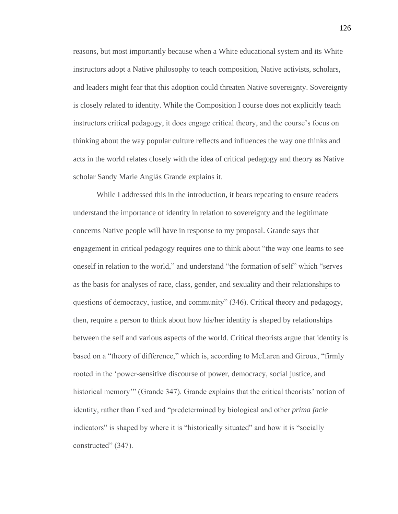reasons, but most importantly because when a White educational system and its White instructors adopt a Native philosophy to teach composition, Native activists, scholars, and leaders might fear that this adoption could threaten Native sovereignty. Sovereignty is closely related to identity. While the Composition I course does not explicitly teach instructors critical pedagogy, it does engage critical theory, and the course's focus on thinking about the way popular culture reflects and influences the way one thinks and acts in the world relates closely with the idea of critical pedagogy and theory as Native scholar Sandy Marie Anglás Grande explains it.

While I addressed this in the introduction, it bears repeating to ensure readers understand the importance of identity in relation to sovereignty and the legitimate concerns Native people will have in response to my proposal. Grande says that engagement in critical pedagogy requires one to think about "the way one learns to see oneself in relation to the world," and understand "the formation of self" which "serves as the basis for analyses of race, class, gender, and sexuality and their relationships to questions of democracy, justice, and community" (346). Critical theory and pedagogy, then, require a person to think about how his/her identity is shaped by relationships between the self and various aspects of the world. Critical theorists argue that identity is based on a "theory of difference," which is, according to McLaren and Giroux, "firmly rooted in the 'power-sensitive discourse of power, democracy, social justice, and historical memory'" (Grande 347). Grande explains that the critical theorists' notion of identity, rather than fixed and "predetermined by biological and other *prima facie*  indicators" is shaped by where it is "historically situated" and how it is "socially constructed" (347).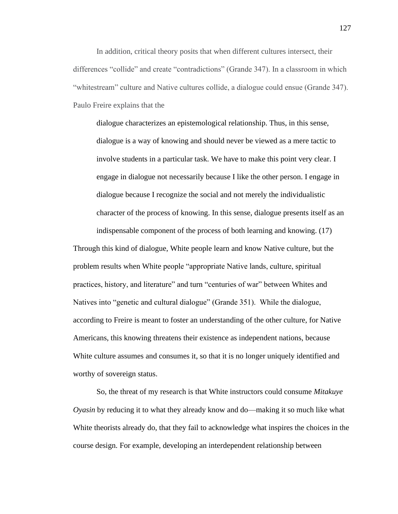In addition, critical theory posits that when different cultures intersect, their differences "collide" and create "contradictions" (Grande 347). In a classroom in which "whitestream" culture and Native cultures collide, a dialogue could ensue (Grande 347). Paulo Freire explains that the

dialogue characterizes an epistemological relationship. Thus, in this sense, dialogue is a way of knowing and should never be viewed as a mere tactic to involve students in a particular task. We have to make this point very clear. I engage in dialogue not necessarily because I like the other person. I engage in dialogue because I recognize the social and not merely the individualistic character of the process of knowing. In this sense, dialogue presents itself as an indispensable component of the process of both learning and knowing. (17)

Through this kind of dialogue, White people learn and know Native culture, but the problem results when White people "appropriate Native lands, culture, spiritual practices, history, and literature" and turn "centuries of war" between Whites and Natives into "genetic and cultural dialogue" (Grande 351). While the dialogue, according to Freire is meant to foster an understanding of the other culture, for Native Americans, this knowing threatens their existence as independent nations, because White culture assumes and consumes it, so that it is no longer uniquely identified and worthy of sovereign status.

So, the threat of my research is that White instructors could consume *Mitakuye Oyasin* by reducing it to what they already know and do—making it so much like what White theorists already do, that they fail to acknowledge what inspires the choices in the course design. For example, developing an interdependent relationship between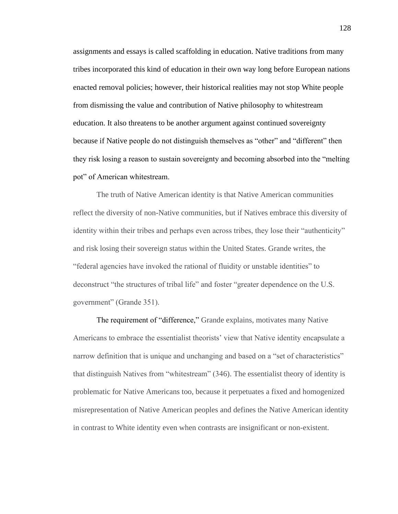assignments and essays is called scaffolding in education. Native traditions from many tribes incorporated this kind of education in their own way long before European nations enacted removal policies; however, their historical realities may not stop White people from dismissing the value and contribution of Native philosophy to whitestream education. It also threatens to be another argument against continued sovereignty because if Native people do not distinguish themselves as "other" and "different" then they risk losing a reason to sustain sovereignty and becoming absorbed into the "melting pot" of American whitestream.

The truth of Native American identity is that Native American communities reflect the diversity of non-Native communities, but if Natives embrace this diversity of identity within their tribes and perhaps even across tribes, they lose their "authenticity" and risk losing their sovereign status within the United States. Grande writes, the "federal agencies have invoked the rational of fluidity or unstable identities" to deconstruct "the structures of tribal life" and foster "greater dependence on the U.S. government" (Grande 351).

The requirement of "difference," Grande explains, motivates many Native Americans to embrace the essentialist theorists' view that Native identity encapsulate a narrow definition that is unique and unchanging and based on a "set of characteristics" that distinguish Natives from "whitestream" (346). The essentialist theory of identity is problematic for Native Americans too, because it perpetuates a fixed and homogenized misrepresentation of Native American peoples and defines the Native American identity in contrast to White identity even when contrasts are insignificant or non-existent.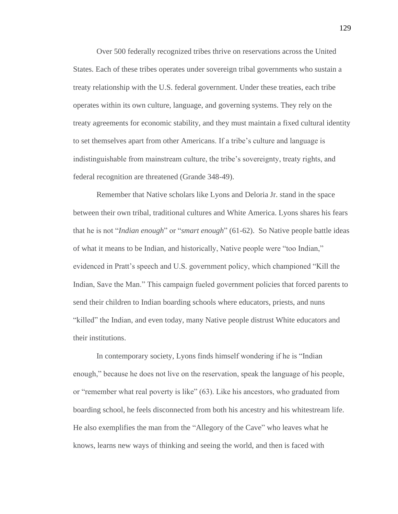Over 500 federally recognized tribes thrive on reservations across the United States. Each of these tribes operates under sovereign tribal governments who sustain a treaty relationship with the U.S. federal government. Under these treaties, each tribe operates within its own culture, language, and governing systems. They rely on the treaty agreements for economic stability, and they must maintain a fixed cultural identity to set themselves apart from other Americans. If a tribe's culture and language is indistinguishable from mainstream culture, the tribe's sovereignty, treaty rights, and federal recognition are threatened (Grande 348-49).

Remember that Native scholars like Lyons and Deloria Jr. stand in the space between their own tribal, traditional cultures and White America. Lyons shares his fears that he is not "*Indian enough*" or "*smart enough*" (61-62). So Native people battle ideas of what it means to be Indian, and historically, Native people were "too Indian," evidenced in Pratt's speech and U.S. government policy, which championed "Kill the Indian, Save the Man." This campaign fueled government policies that forced parents to send their children to Indian boarding schools where educators, priests, and nuns "killed" the Indian, and even today, many Native people distrust White educators and their institutions.

In contemporary society, Lyons finds himself wondering if he is "Indian enough," because he does not live on the reservation, speak the language of his people, or "remember what real poverty is like" (63). Like his ancestors, who graduated from boarding school, he feels disconnected from both his ancestry and his whitestream life. He also exemplifies the man from the "Allegory of the Cave" who leaves what he knows, learns new ways of thinking and seeing the world, and then is faced with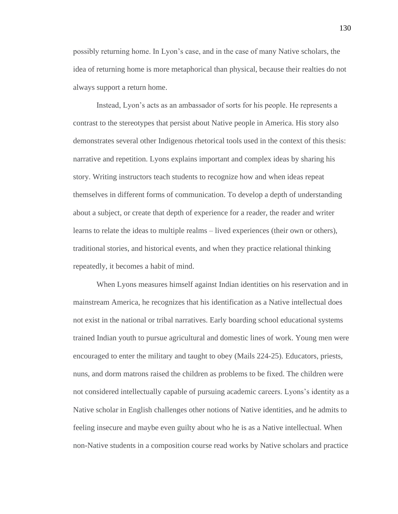possibly returning home. In Lyon's case, and in the case of many Native scholars, the idea of returning home is more metaphorical than physical, because their realties do not always support a return home.

Instead, Lyon's acts as an ambassador of sorts for his people. He represents a contrast to the stereotypes that persist about Native people in America. His story also demonstrates several other Indigenous rhetorical tools used in the context of this thesis: narrative and repetition. Lyons explains important and complex ideas by sharing his story. Writing instructors teach students to recognize how and when ideas repeat themselves in different forms of communication. To develop a depth of understanding about a subject, or create that depth of experience for a reader, the reader and writer learns to relate the ideas to multiple realms – lived experiences (their own or others), traditional stories, and historical events, and when they practice relational thinking repeatedly, it becomes a habit of mind.

When Lyons measures himself against Indian identities on his reservation and in mainstream America, he recognizes that his identification as a Native intellectual does not exist in the national or tribal narratives. Early boarding school educational systems trained Indian youth to pursue agricultural and domestic lines of work. Young men were encouraged to enter the military and taught to obey (Mails 224-25). Educators, priests, nuns, and dorm matrons raised the children as problems to be fixed. The children were not considered intellectually capable of pursuing academic careers. Lyons's identity as a Native scholar in English challenges other notions of Native identities, and he admits to feeling insecure and maybe even guilty about who he is as a Native intellectual. When non-Native students in a composition course read works by Native scholars and practice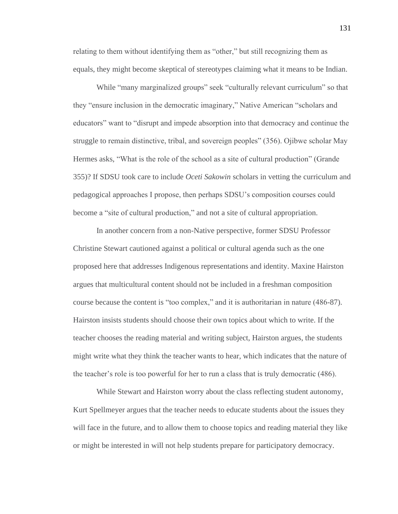relating to them without identifying them as "other," but still recognizing them as equals, they might become skeptical of stereotypes claiming what it means to be Indian.

While "many marginalized groups" seek "culturally relevant curriculum" so that they "ensure inclusion in the democratic imaginary," Native American "scholars and educators" want to "disrupt and impede absorption into that democracy and continue the struggle to remain distinctive, tribal, and sovereign peoples" (356). Ojibwe scholar May Hermes asks, "What is the role of the school as a site of cultural production" (Grande 355)? If SDSU took care to include *Oceti Sakowin* scholars in vetting the curriculum and pedagogical approaches I propose, then perhaps SDSU's composition courses could become a "site of cultural production," and not a site of cultural appropriation.

In another concern from a non-Native perspective, former SDSU Professor Christine Stewart cautioned against a political or cultural agenda such as the one proposed here that addresses Indigenous representations and identity. Maxine Hairston argues that multicultural content should not be included in a freshman composition course because the content is "too complex," and it is authoritarian in nature (486-87). Hairston insists students should choose their own topics about which to write. If the teacher chooses the reading material and writing subject, Hairston argues, the students might write what they think the teacher wants to hear, which indicates that the nature of the teacher's role is too powerful for her to run a class that is truly democratic (486).

While Stewart and Hairston worry about the class reflecting student autonomy, Kurt Spellmeyer argues that the teacher needs to educate students about the issues they will face in the future, and to allow them to choose topics and reading material they like or might be interested in will not help students prepare for participatory democracy.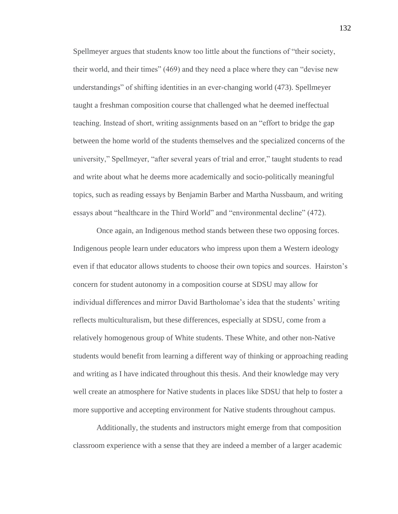Spellmeyer argues that students know too little about the functions of "their society, their world, and their times" (469) and they need a place where they can "devise new understandings" of shifting identities in an ever-changing world (473). Spellmeyer taught a freshman composition course that challenged what he deemed ineffectual teaching. Instead of short, writing assignments based on an "effort to bridge the gap between the home world of the students themselves and the specialized concerns of the university," Spellmeyer, "after several years of trial and error," taught students to read and write about what he deems more academically and socio-politically meaningful topics, such as reading essays by Benjamin Barber and Martha Nussbaum, and writing essays about "healthcare in the Third World" and "environmental decline" (472).

Once again, an Indigenous method stands between these two opposing forces. Indigenous people learn under educators who impress upon them a Western ideology even if that educator allows students to choose their own topics and sources. Hairston's concern for student autonomy in a composition course at SDSU may allow for individual differences and mirror David Bartholomae's idea that the students' writing reflects multiculturalism, but these differences, especially at SDSU, come from a relatively homogenous group of White students. These White, and other non-Native students would benefit from learning a different way of thinking or approaching reading and writing as I have indicated throughout this thesis. And their knowledge may very well create an atmosphere for Native students in places like SDSU that help to foster a more supportive and accepting environment for Native students throughout campus.

Additionally, the students and instructors might emerge from that composition classroom experience with a sense that they are indeed a member of a larger academic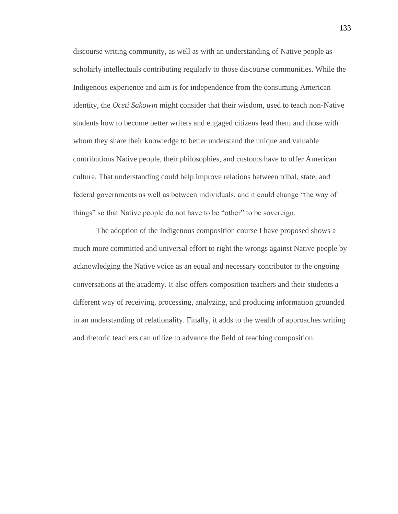discourse writing community, as well as with an understanding of Native people as scholarly intellectuals contributing regularly to those discourse communities. While the Indigenous experience and aim is for independence from the consuming American identity, the *Oceti Sakowin* might consider that their wisdom, used to teach non-Native students how to become better writers and engaged citizens lead them and those with whom they share their knowledge to better understand the unique and valuable contributions Native people, their philosophies, and customs have to offer American culture. That understanding could help improve relations between tribal, state, and federal governments as well as between individuals, and it could change "the way of things" so that Native people do not have to be "other" to be sovereign.

The adoption of the Indigenous composition course I have proposed shows a much more committed and universal effort to right the wrongs against Native people by acknowledging the Native voice as an equal and necessary contributor to the ongoing conversations at the academy. It also offers composition teachers and their students a different way of receiving, processing, analyzing, and producing information grounded in an understanding of relationality. Finally, it adds to the wealth of approaches writing and rhetoric teachers can utilize to advance the field of teaching composition.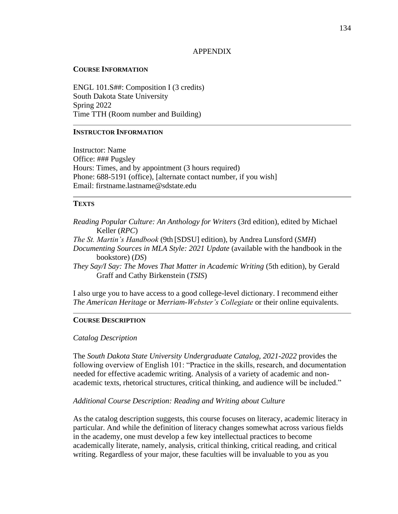### APPENDIX

#### **COURSE INFORMATION**

ENGL 101.S##: Composition I (3 credits) South Dakota State University Spring 2022 Time TTH (Room number and Building)

# **INSTRUCTOR INFORMATION**

Instructor: Name Office: ### Pugsley Hours: Times, and by appointment (3 hours required) Phone: 688-5191 (office), [alternate contact number, if you wish] Email: firstname.lastname@sdstate.edu

# **TEXTS**

*Reading Popular Culture: An Anthology for Writers* (3rd edition), edited by Michael Keller (*RPC*) *The St. Martin's Handbook* (9th [SDSU] edition), by Andrea Lunsford (*SMH*) *Documenting Sources in MLA Style: 2021 Update* (available with the handbook in the bookstore) (*DS*) *They Say/I Say: The Moves That Matter in Academic Writing* (5th edition), by Gerald Graff and Cathy Birkenstein (*TSIS*)

I also urge you to have access to a good college-level dictionary. I recommend either *The American Heritage* or *Merriam-Webster's Collegiate* or their online equivalents.

#### **COURSE DESCRIPTION**

#### *Catalog Description*

The *South Dakota State University Undergraduate Catalog, 2021-2022* provides the following overview of English 101: "Practice in the skills, research, and documentation needed for effective academic writing. Analysis of a variety of academic and nonacademic texts, rhetorical structures, critical thinking, and audience will be included."

#### *Additional Course Description: Reading and Writing about Culture*

As the catalog description suggests, this course focuses on literacy, academic literacy in particular. And while the definition of literacy changes somewhat across various fields in the academy, one must develop a few key intellectual practices to become academically literate, namely, analysis, critical thinking, critical reading, and critical writing. Regardless of your major, these faculties will be invaluable to you as you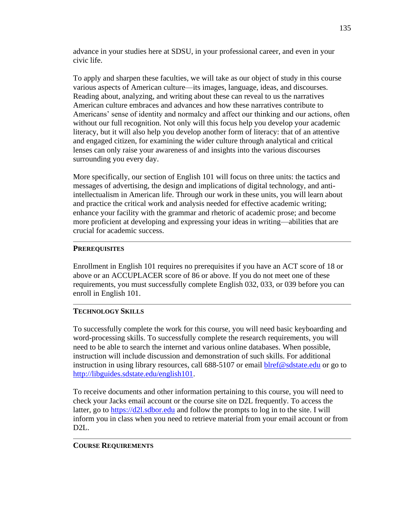advance in your studies here at SDSU, in your professional career, and even in your civic life.

To apply and sharpen these faculties, we will take as our object of study in this course various aspects of American culture—its images, language, ideas, and discourses. Reading about, analyzing, and writing about these can reveal to us the narratives American culture embraces and advances and how these narratives contribute to Americans' sense of identity and normalcy and affect our thinking and our actions, often without our full recognition. Not only will this focus help you develop your academic literacy, but it will also help you develop another form of literacy: that of an attentive and engaged citizen, for examining the wider culture through analytical and critical lenses can only raise your awareness of and insights into the various discourses surrounding you every day.

More specifically, our section of English 101 will focus on three units: the tactics and messages of advertising, the design and implications of digital technology, and antiintellectualism in American life. Through our work in these units, you will learn about and practice the critical work and analysis needed for effective academic writing; enhance your facility with the grammar and rhetoric of academic prose; and become more proficient at developing and expressing your ideas in writing—abilities that are crucial for academic success.

# **PREREQUISITES**

Enrollment in English 101 requires no prerequisites if you have an ACT score of 18 or above or an ACCUPLACER score of 86 or above. If you do not meet one of these requirements, you must successfully complete English 032, 033, or 039 before you can enroll in English 101.

# **TECHNOLOGY SKILLS**

To successfully complete the work for this course, you will need basic keyboarding and word-processing skills. To successfully complete the research requirements, you will need to be able to search the internet and various online databases. When possible, instruction will include discussion and demonstration of such skills. For additional instruction in using library resources, call 688-5107 or email [blref@sdstate.edu](mailto:blref@sdstate.edu) or go to [http://libguides.sdstate.edu/english101.](http://libguides.sdstate.edu/english101)

To receive documents and other information pertaining to this course, you will need to check your Jacks email account or the course site on D2L frequently. To access the latter, go to [https://d2l.sdbor.edu](https://d2l.sdbor.edu/) and follow the prompts to log in to the site. I will inform you in class when you need to retrieve material from your email account or from D2L.

# **COURSE REQUIREMENTS**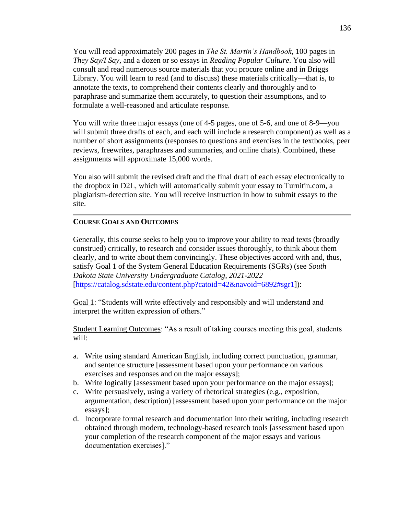You will read approximately 200 pages in *The St. Martin's Handbook*, 100 pages in *They Say/I Say*, and a dozen or so essays in *Reading Popular Culture*. You also will consult and read numerous source materials that you procure online and in Briggs Library. You will learn to read (and to discuss) these materials critically—that is, to annotate the texts, to comprehend their contents clearly and thoroughly and to paraphrase and summarize them accurately, to question their assumptions, and to formulate a well-reasoned and articulate response.

You will write three major essays (one of 4-5 pages, one of 5-6, and one of 8-9—you will submit three drafts of each, and each will include a research component) as well as a number of short assignments (responses to questions and exercises in the textbooks, peer reviews, freewrites, paraphrases and summaries, and online chats). Combined, these assignments will approximate 15,000 words.

You also will submit the revised draft and the final draft of each essay electronically to the dropbox in D2L, which will automatically submit your essay to Turnitin.com, a plagiarism-detection site. You will receive instruction in how to submit essays to the site.

# **COURSE GOALS AND OUTCOMES**

Generally, this course seeks to help you to improve your ability to read texts (broadly construed) critically, to research and consider issues thoroughly, to think about them clearly, and to write about them convincingly. These objectives accord with and, thus, satisfy Goal 1 of the System General Education Requirements (SGRs) (see *South Dakota State University Undergraduate Catalog, 2021-2022*  [\[https://catalog.sdstate.edu/content.php?catoid=42&navoid=6892#sgr1\]](https://catalog.sdstate.edu/content.php?catoid=42&navoid=6892#sgr1)):

Goal 1: "Students will write effectively and responsibly and will understand and interpret the written expression of others."

Student Learning Outcomes: "As a result of taking courses meeting this goal, students will:

- a. Write using standard American English, including correct punctuation, grammar, and sentence structure [assessment based upon your performance on various exercises and responses and on the major essays];
- b. Write logically [assessment based upon your performance on the major essays];
- c. Write persuasively, using a variety of rhetorical strategies (e.g., exposition, argumentation, description) [assessment based upon your performance on the major essays];
- d. Incorporate formal research and documentation into their writing, including research obtained through modern, technology-based research tools [assessment based upon your completion of the research component of the major essays and various documentation exercises]."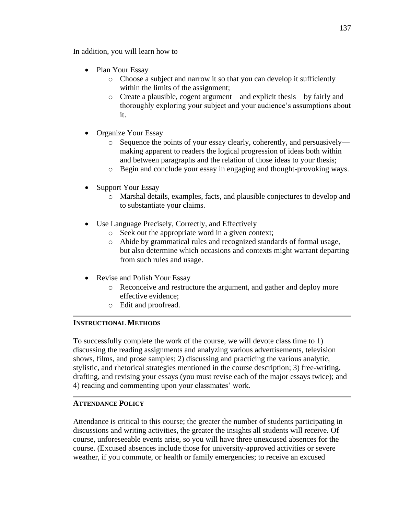In addition, you will learn how to

- Plan Your Essay
	- o Choose a subject and narrow it so that you can develop it sufficiently within the limits of the assignment;
	- o Create a plausible, cogent argument—and explicit thesis—by fairly and thoroughly exploring your subject and your audience's assumptions about it.
- Organize Your Essay
	- Sequence the points of your essay clearly, coherently, and persuasively making apparent to readers the logical progression of ideas both within and between paragraphs and the relation of those ideas to your thesis;
	- o Begin and conclude your essay in engaging and thought-provoking ways.
- Support Your Essay
	- o Marshal details, examples, facts, and plausible conjectures to develop and to substantiate your claims.
- Use Language Precisely, Correctly, and Effectively
	- o Seek out the appropriate word in a given context;
	- o Abide by grammatical rules and recognized standards of formal usage, but also determine which occasions and contexts might warrant departing from such rules and usage.
- Revise and Polish Your Essay
	- o Reconceive and restructure the argument, and gather and deploy more effective evidence;
	- o Edit and proofread.

# **INSTRUCTIONAL METHODS**

To successfully complete the work of the course, we will devote class time to 1) discussing the reading assignments and analyzing various advertisements, television shows, films, and prose samples; 2) discussing and practicing the various analytic, stylistic, and rhetorical strategies mentioned in the course description; 3) free-writing, drafting, and revising your essays (you must revise each of the major essays twice); and 4) reading and commenting upon your classmates' work.

# **ATTENDANCE POLICY**

Attendance is critical to this course; the greater the number of students participating in discussions and writing activities, the greater the insights all students will receive. Of course, unforeseeable events arise, so you will have three unexcused absences for the course. (Excused absences include those for university-approved activities or severe weather, if you commute, or health or family emergencies; to receive an excused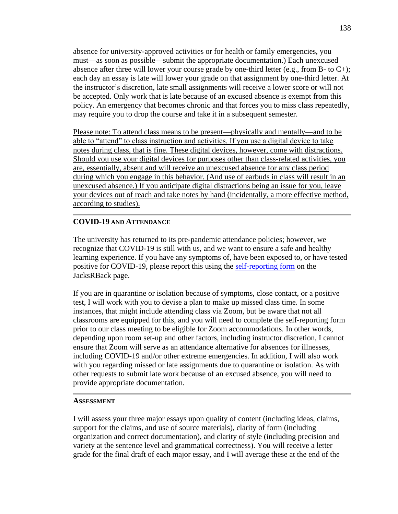absence for university-approved activities or for health or family emergencies, you must—as soon as possible—submit the appropriate documentation.) Each unexcused absence after three will lower your course grade by one-third letter (e.g., from B- to  $C_{+}$ ); each day an essay is late will lower your grade on that assignment by one-third letter. At the instructor's discretion, late small assignments will receive a lower score or will not be accepted. Only work that is late because of an excused absence is exempt from this policy. An emergency that becomes chronic and that forces you to miss class repeatedly, may require you to drop the course and take it in a subsequent semester.

Please note: To attend class means to be present—physically and mentally—and to be able to "attend" to class instruction and activities. If you use a digital device to take notes during class, that is fine. These digital devices, however, come with distractions. Should you use your digital devices for purposes other than class-related activities, you are, essentially, absent and will receive an unexcused absence for any class period during which you engage in this behavior. (And use of earbuds in class will result in an unexcused absence.) If you anticipate digital distractions being an issue for you, leave your devices out of reach and take notes by hand (incidentally, a more effective method, according to studies).

### **COVID-19 AND ATTENDANCE**

The university has returned to its pre-pandemic attendance policies; however, we recognize that COVID-19 is still with us, and we want to ensure a safe and healthy learning experience. If you have any symptoms of, have been exposed to, or have tested positive for COVID-19, please report this using the [self-reporting form](https://www.sdstate.edu/jacksrback/covid-19-case-notification-form) on the JacksRBack page.

If you are in quarantine or isolation because of symptoms, close contact, or a positive test, I will work with you to devise a plan to make up missed class time. In some instances, that might include attending class via Zoom, but be aware that not all classrooms are equipped for this, and you will need to complete the self-reporting form prior to our class meeting to be eligible for Zoom accommodations. In other words, depending upon room set-up and other factors, including instructor discretion, I cannot ensure that Zoom will serve as an attendance alternative for absences for illnesses, including COVID-19 and/or other extreme emergencies. In addition, I will also work with you regarding missed or late assignments due to quarantine or isolation. As with other requests to submit late work because of an excused absence, you will need to provide appropriate documentation.

#### **ASSESSMENT**

I will assess your three major essays upon quality of content (including ideas, claims, support for the claims, and use of source materials), clarity of form (including organization and correct documentation), and clarity of style (including precision and variety at the sentence level and grammatical correctness). You will receive a letter grade for the final draft of each major essay, and I will average these at the end of the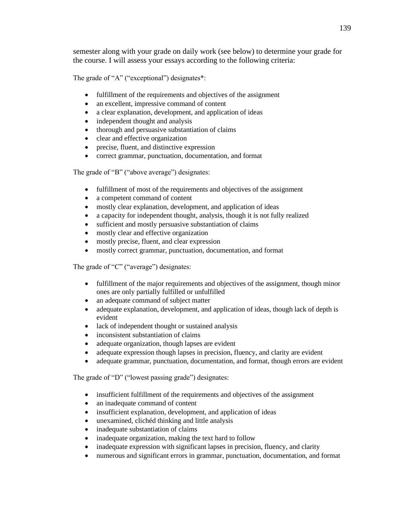semester along with your grade on daily work (see below) to determine your grade for the course. I will assess your essays according to the following criteria:

The grade of "A" ("exceptional") designates\*:

- fulfillment of the requirements and objectives of the assignment
- an excellent, impressive command of content
- a clear explanation, development, and application of ideas
- independent thought and analysis
- thorough and persuasive substantiation of claims
- clear and effective organization
- precise, fluent, and distinctive expression
- correct grammar, punctuation, documentation, and format

The grade of "B" ("above average") designates:

- fulfillment of most of the requirements and objectives of the assignment
- a competent command of content
- mostly clear explanation, development, and application of ideas
- a capacity for independent thought, analysis, though it is not fully realized
- sufficient and mostly persuasive substantiation of claims
- mostly clear and effective organization
- mostly precise, fluent, and clear expression
- mostly correct grammar, punctuation, documentation, and format

The grade of "C" ("average") designates:

- fulfillment of the major requirements and objectives of the assignment, though minor ones are only partially fulfilled or unfulfilled
- an adequate command of subject matter
- adequate explanation, development, and application of ideas, though lack of depth is evident
- lack of independent thought or sustained analysis
- inconsistent substantiation of claims
- adequate organization, though lapses are evident
- adequate expression though lapses in precision, fluency, and clarity are evident
- adequate grammar, punctuation, documentation, and format, though errors are evident

The grade of "D" ("lowest passing grade") designates:

- insufficient fulfillment of the requirements and objectives of the assignment
- an inadequate command of content
- insufficient explanation, development, and application of ideas
- unexamined, clichéd thinking and little analysis
- inadequate substantiation of claims
- inadequate organization, making the text hard to follow
- inadequate expression with significant lapses in precision, fluency, and clarity
- numerous and significant errors in grammar, punctuation, documentation, and format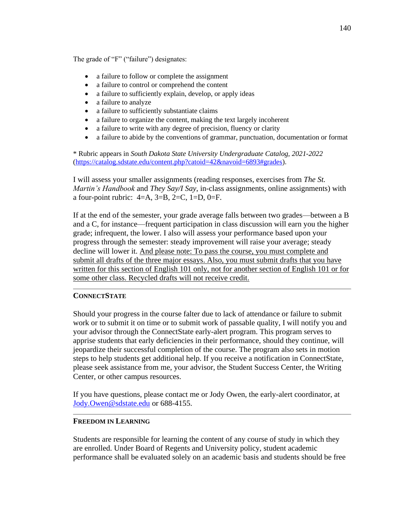The grade of "F" ("failure") designates:

- a failure to follow or complete the assignment
- a failure to control or comprehend the content
- a failure to sufficiently explain, develop, or apply ideas
- a failure to analyze
- a failure to sufficiently substantiate claims
- a failure to organize the content, making the text largely incoherent
- a failure to write with any degree of precision, fluency or clarity
- a failure to abide by the conventions of grammar, punctuation, documentation or format

\* Rubric appears in *South Dakota State University Undergraduate Catalog, 2021-2022* [\(https://catalog.sdstate.edu/content.php?catoid=42&navoid=6893#grades\)](https://catalog.sdstate.edu/content.php?catoid=42&navoid=6893#grades).

I will assess your smaller assignments (reading responses, exercises from *The St. Martin's Handbook* and *They Say/I Say*, in-class assignments, online assignments) with a four-point rubric:  $4=A$ ,  $3=B$ ,  $2=C$ ,  $1=D$ ,  $0=F$ .

If at the end of the semester, your grade average falls between two grades—between a B and a C, for instance—frequent participation in class discussion will earn you the higher grade; infrequent, the lower. I also will assess your performance based upon your progress through the semester: steady improvement will raise your average; steady decline will lower it. And please note: To pass the course, you must complete and submit all drafts of the three major essays. Also, you must submit drafts that you have written for this section of English 101 only, not for another section of English 101 or for some other class. Recycled drafts will not receive credit.

# **CONNECTSTATE**

Should your progress in the course falter due to lack of attendance or failure to submit work or to submit it on time or to submit work of passable quality, I will notify you and your advisor through the ConnectState early-alert program. This program serves to apprise students that early deficiencies in their performance, should they continue, will jeopardize their successful completion of the course. The program also sets in motion steps to help students get additional help. If you receive a notification in ConnectState, please seek assistance from me, your advisor, the Student Success Center, the Writing Center, or other campus resources.

If you have questions, please contact me or Jody Owen, the early-alert coordinator, at [Jody.Owen@sdstate.edu](mailto:Jody.Owen@sdstate.edu) or 688-4155.

# **FREEDOM IN LEARNING**

Students are responsible for learning the content of any course of study in which they are enrolled. Under Board of Regents and University policy, student academic performance shall be evaluated solely on an academic basis and students should be free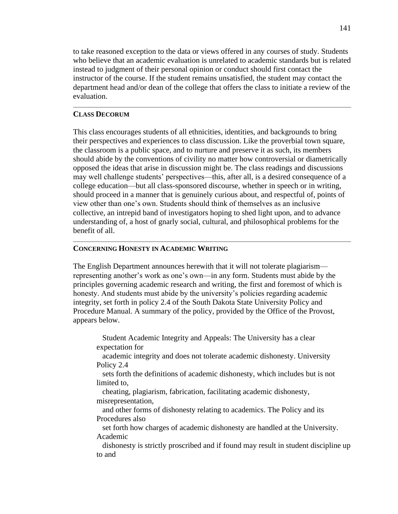to take reasoned exception to the data or views offered in any courses of study. Students who believe that an academic evaluation is unrelated to academic standards but is related instead to judgment of their personal opinion or conduct should first contact the instructor of the course. If the student remains unsatisfied, the student may contact the department head and/or dean of the college that offers the class to initiate a review of the evaluation.

### **CLASS DECORUM**

This class encourages students of all ethnicities, identities, and backgrounds to bring their perspectives and experiences to class discussion. Like the proverbial town square, the classroom is a public space, and to nurture and preserve it as such, its members should abide by the conventions of civility no matter how controversial or diametrically opposed the ideas that arise in discussion might be. The class readings and discussions may well challenge students' perspectives—this, after all, is a desired consequence of a college education—but all class-sponsored discourse, whether in speech or in writing, should proceed in a manner that is genuinely curious about, and respectful of, points of view other than one's own. Students should think of themselves as an inclusive collective, an intrepid band of investigators hoping to shed light upon, and to advance understanding of, a host of gnarly social, cultural, and philosophical problems for the benefit of all.

### **CONCERNING HONESTY IN ACADEMIC WRITING**

The English Department announces herewith that it will not tolerate plagiarism representing another's work as one's own—in any form. Students must abide by the principles governing academic research and writing, the first and foremost of which is honesty. And students must abide by the university's policies regarding academic integrity, set forth in policy 2.4 of the South Dakota State University Policy and Procedure Manual. A summary of the policy, provided by the Office of the Provost, appears below.

Student Academic Integrity and Appeals: The University has a clear expectation for

academic integrity and does not tolerate academic dishonesty. University Policy 2.4

sets forth the definitions of academic dishonesty, which includes but is not limited to,

cheating, plagiarism, fabrication, facilitating academic dishonesty, misrepresentation,

and other forms of dishonesty relating to academics. The Policy and its Procedures also

set forth how charges of academic dishonesty are handled at the University. Academic

dishonesty is strictly proscribed and if found may result in student discipline up to and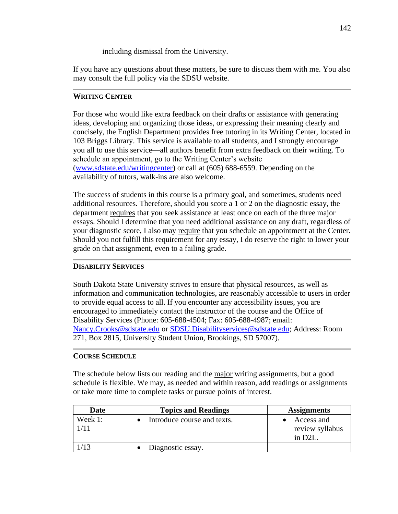including dismissal from the University.

If you have any questions about these matters, be sure to discuss them with me. You also may consult the full policy via the SDSU website.

# **WRITING CENTER**

For those who would like extra feedback on their drafts or assistance with generating ideas, developing and organizing those ideas, or expressing their meaning clearly and concisely, the English Department provides free tutoring in its Writing Center, located in 103 Briggs Library. This service is available to all students, and I strongly encourage you all to use this service—all authors benefit from extra feedback on their writing. To schedule an appointment, go to the Writing Center's website [\(www.sdstate.edu/writingcenter\)](http://www.sdstate.edu/writingcenter) or call at (605) 688-6559. Depending on the availability of tutors, walk-ins are also welcome.

The success of students in this course is a primary goal, and sometimes, students need additional resources. Therefore, should you score a 1 or 2 on the diagnostic essay, the department requires that you seek assistance at least once on each of the three major essays. Should I determine that you need additional assistance on any draft, regardless of your diagnostic score, I also may require that you schedule an appointment at the Center. Should you not fulfill this requirement for any essay, I do reserve the right to lower your grade on that assignment, even to a failing grade.

# **DISABILITY SERVICES**

South Dakota State University strives to ensure that physical resources, as well as information and communication technologies, are reasonably accessible to users in order to provide equal access to all. If you encounter any accessibility issues, you are encouraged to immediately contact the instructor of the course and the Office of Disability Services (Phone: 605-688-4504; Fax: 605-688-4987; email: [Nancy.Crooks@sdstate.edu](mailto:Nancy.Crooks@sdstate.edu) or [SDSU.Disabilityservices@sdstate.edu;](mailto:SDSU.Disabilityservices@sdstate.edu) Address: Room 271, Box 2815, University Student Union, Brookings, SD 57007).

# **COURSE SCHEDULE**

The schedule below lists our reading and the major writing assignments, but a good schedule is flexible. We may, as needed and within reason, add readings or assignments or take more time to complete tasks or pursue points of interest.

| Date    | <b>Topics and Readings</b>  | <b>Assignments</b>                       |
|---------|-----------------------------|------------------------------------------|
| Week 1: | Introduce course and texts. | Access and<br>review syllabus<br>in D2L. |
|         | Diagnostic essay.           |                                          |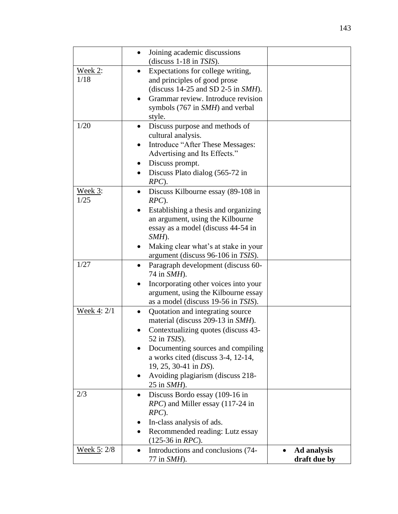|                 | Joining academic discussions                                                                              |              |
|-----------------|-----------------------------------------------------------------------------------------------------------|--------------|
|                 | (discuss $1-18$ in TSIS).                                                                                 |              |
| Week 2:<br>1/18 | Expectations for college writing,<br>and principles of good prose<br>(discuss $14-25$ and SD 2-5 in SMH). |              |
|                 | Grammar review. Introduce revision<br>symbols (767 in SMH) and verbal                                     |              |
| 1/20            | style.                                                                                                    |              |
|                 | Discuss purpose and methods of<br>cultural analysis.                                                      |              |
|                 | Introduce "After These Messages:                                                                          |              |
|                 | Advertising and Its Effects."                                                                             |              |
|                 | Discuss prompt.<br>$\bullet$                                                                              |              |
|                 | Discuss Plato dialog (565-72 in                                                                           |              |
|                 | $RPC$ ).                                                                                                  |              |
| Week 3:         | Discuss Kilbourne essay (89-108 in                                                                        |              |
| 1/25            | $RPC$ ).                                                                                                  |              |
|                 | Establishing a thesis and organizing                                                                      |              |
|                 | an argument, using the Kilbourne                                                                          |              |
|                 | essay as a model (discuss 44-54 in                                                                        |              |
|                 | SMH).                                                                                                     |              |
|                 | Making clear what's at stake in your                                                                      |              |
|                 | argument (discuss 96-106 in TSIS).                                                                        |              |
| 1/27            | Paragraph development (discuss 60-<br>74 in <i>SMH</i> ).                                                 |              |
|                 | Incorporating other voices into your                                                                      |              |
|                 | argument, using the Kilbourne essay                                                                       |              |
|                 | as a model (discuss 19-56 in TSIS).                                                                       |              |
| Week 4: 2/1     | Quotation and integrating source<br>$\bullet$                                                             |              |
|                 | material (discuss 209-13 in SMH).                                                                         |              |
|                 | Contextualizing quotes (discuss 43-<br>52 in $TSIS$ ).                                                    |              |
|                 | Documenting sources and compiling                                                                         |              |
|                 | a works cited (discuss 3-4, 12-14,                                                                        |              |
|                 | 19, 25, 30-41 in DS).                                                                                     |              |
|                 | Avoiding plagiarism (discuss 218-                                                                         |              |
|                 | 25 in <i>SMH</i> ).                                                                                       |              |
| 2/3             | Discuss Bordo essay (109-16 in                                                                            |              |
|                 | <i>RPC</i> ) and Miller essay (117-24 in                                                                  |              |
|                 | $RPC$ ).                                                                                                  |              |
|                 | In-class analysis of ads.                                                                                 |              |
|                 | Recommended reading: Lutz essay<br>$(125-36 \text{ in } RPC).$                                            |              |
| Week 5: 2/8     | Introductions and conclusions (74-<br>$\bullet$                                                           | Ad analysis  |
|                 | 77 in SMH).                                                                                               | draft due by |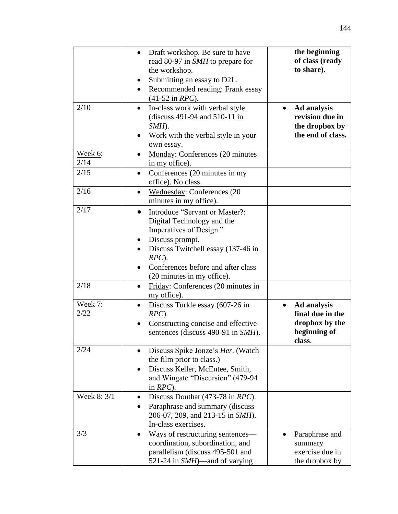|                        | Draft workshop. Be sure to have<br>$\bullet$<br>read 80-97 in SMH to prepare for<br>the workshop.<br>Submitting an essay to D2L.<br>Recommended reading: Frank essay                                                         | the beginning<br>of class (ready<br>to share).                                           |
|------------------------|------------------------------------------------------------------------------------------------------------------------------------------------------------------------------------------------------------------------------|------------------------------------------------------------------------------------------|
| 2/10                   | $(41-52 \text{ in } RPC).$<br>In-class work with verbal style<br>$\bullet$<br>(discuss 491-94 and 510-11 in<br>$SMH$ ).<br>Work with the verbal style in your<br>$\bullet$<br>own essay.                                     | <b>Ad analysis</b><br>revision due in<br>the dropbox by<br>the end of class.             |
| Week 6:<br>2/14        | Monday: Conferences (20 minutes<br>$\bullet$<br>in my office).                                                                                                                                                               |                                                                                          |
| 2/15                   | Conferences (20 minutes in my<br>$\bullet$<br>office). No class.                                                                                                                                                             |                                                                                          |
| 2/16                   | <b>Wednesday: Conferences (20</b><br>$\bullet$<br>minutes in my office).                                                                                                                                                     |                                                                                          |
| 2/17                   | Introduce "Servant or Master?:<br>$\bullet$<br>Digital Technology and the<br>Imperatives of Design."<br>Discuss prompt.<br>$\bullet$<br>Discuss Twitchell essay (137-46 in<br>$RPC$ ).<br>Conferences before and after class |                                                                                          |
| 2/18                   | (20 minutes in my office).<br>Friday: Conferences (20 minutes in<br>$\bullet$<br>my office).                                                                                                                                 |                                                                                          |
| <u>Week 7:</u><br>2/22 | Discuss Turkle essay (607-26 in<br>$\bullet$<br>$RPC$ ).<br>Constructing concise and effective<br>sentences (discuss 490-91 in SMH).                                                                                         | Ad analysis<br>$\bullet$<br>final due in the<br>dropbox by the<br>beginning of<br>class. |
| 2/24                   | Discuss Spike Jonze's Her. (Watch<br>the film prior to class.)<br>Discuss Keller, McEntee, Smith,<br>and Wingate "Discursion" (479-94<br>in $RPC$ ).                                                                         |                                                                                          |
| Week 8: 3/1            | Discuss Douthat (473-78 in RPC).<br>$\bullet$<br>Paraphrase and summary (discuss<br>206-07, 209, and 213-15 in SMH).<br>In-class exercises.                                                                                  |                                                                                          |
| 3/3                    | Ways of restructuring sentences—<br>$\bullet$<br>coordination, subordination, and<br>parallelism (discuss 495-501 and<br>521-24 in $SMH$ )—and of varying                                                                    | Paraphrase and<br>summary<br>exercise due in<br>the dropbox by                           |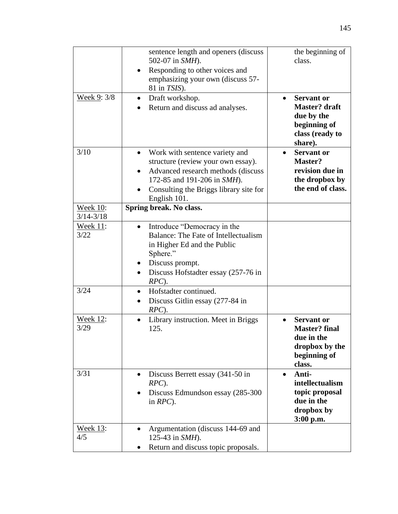|                                  | sentence length and openers (discuss)<br>502-07 in SMH).                                                                                                                                                 | the beginning of<br>class.                                                                            |
|----------------------------------|----------------------------------------------------------------------------------------------------------------------------------------------------------------------------------------------------------|-------------------------------------------------------------------------------------------------------|
|                                  | Responding to other voices and<br>emphasizing your own (discuss 57-<br>81 in <i>TSIS</i> ).                                                                                                              |                                                                                                       |
| Week 9: 3/8                      | Draft workshop.<br>$\bullet$<br>Return and discuss ad analyses.                                                                                                                                          | <b>Servant or</b><br><b>Master?</b> draft<br>due by the<br>beginning of<br>class (ready to<br>share). |
| 3/10                             | Work with sentence variety and<br>structure (review your own essay).<br>Advanced research methods (discuss<br>172-85 and 191-206 in SMH).<br>Consulting the Briggs library site for<br>٠<br>English 101. | <b>Servant or</b><br>Master?<br>revision due in<br>the dropbox by<br>the end of class.                |
| <b>Week 10:</b><br>$3/14 - 3/18$ | Spring break. No class.                                                                                                                                                                                  |                                                                                                       |
| Week 11:<br>3/22                 | Introduce "Democracy in the<br>Balance: The Fate of Intellectualism<br>in Higher Ed and the Public<br>Sphere."<br>Discuss prompt.<br>$\bullet$<br>Discuss Hofstadter essay (257-76 in<br>$RPC$ ).        |                                                                                                       |
| 3/24                             | Hofstadter continued.<br>$\bullet$<br>Discuss Gitlin essay (277-84 in<br>$RPC$ ).                                                                                                                        |                                                                                                       |
| <b>Week 12:</b><br>3/29          | Library instruction. Meet in Briggs<br>125.                                                                                                                                                              | <b>Servant or</b><br><b>Master?</b> final<br>due in the<br>dropbox by the<br>beginning of<br>class.   |
| 3/31                             | Discuss Berrett essay (341-50 in<br>$RPC$ ).<br>Discuss Edmundson essay (285-300<br>in $RPC$ ).                                                                                                          | Anti-<br>intellectualism<br>topic proposal<br>due in the<br>dropbox by<br>3:00 p.m.                   |
| Week 13:<br>4/5                  | Argumentation (discuss 144-69 and<br>125-43 in SMH).<br>Return and discuss topic proposals.                                                                                                              |                                                                                                       |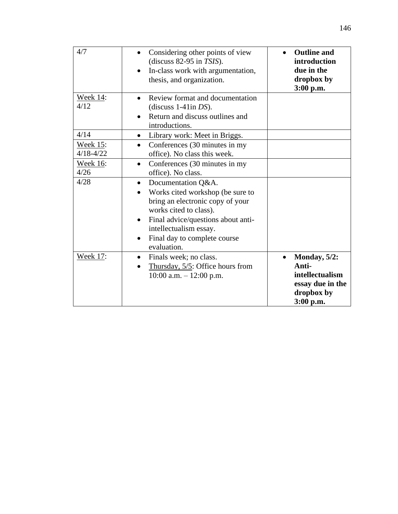| 4/7                                      | Considering other points of view<br>$\bullet$<br>(discuss $82-95$ in TSIS).<br>In-class work with argumentation,<br>thesis, and organization.                                                                                                                 | <b>Outline and</b><br>introduction<br>due in the<br>dropbox by<br>3:00 p.m.                |
|------------------------------------------|---------------------------------------------------------------------------------------------------------------------------------------------------------------------------------------------------------------------------------------------------------------|--------------------------------------------------------------------------------------------|
| <b>Week 14:</b><br>4/12                  | Review format and documentation<br>$\bullet$<br>(discuss $1-41$ in DS).<br>Return and discuss outlines and<br>introductions.                                                                                                                                  |                                                                                            |
| 4/14<br><b>Week 15:</b><br>$4/18 - 4/22$ | Library work: Meet in Briggs.<br>$\bullet$<br>Conferences (30 minutes in my<br>$\bullet$                                                                                                                                                                      |                                                                                            |
| <u>Week 16:</u><br>4/26                  | office). No class this week.<br>Conferences (30 minutes in my<br>$\bullet$<br>office). No class.                                                                                                                                                              |                                                                                            |
| 4/28                                     | Documentation Q&A.<br>$\bullet$<br>Works cited workshop (be sure to<br>bring an electronic copy of your<br>works cited to class).<br>Final advice/questions about anti-<br>$\bullet$<br>intellectualism essay.<br>Final day to complete course<br>evaluation. |                                                                                            |
| <b>Week 17:</b>                          | Finals week; no class.<br>$\bullet$<br>Thursday, $5/5$ : Office hours from<br>$10:00$ a.m. $-12:00$ p.m.                                                                                                                                                      | Monday, $5/2$ :<br>Anti-<br>intellectualism<br>essay due in the<br>dropbox by<br>3:00 p.m. |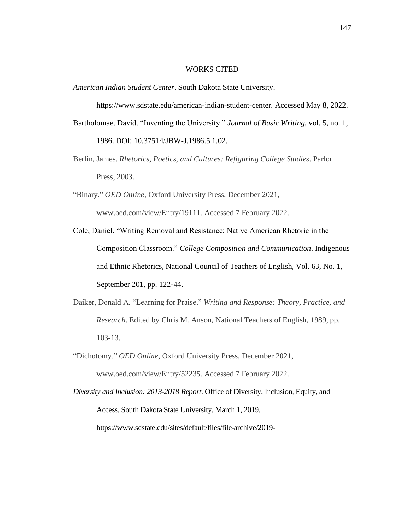#### WORKS CITED

*American Indian Student Center*. South Dakota State University.

https://www.sdstate.edu/american-indian-student-center. Accessed May 8, 2022. Bartholomae, David. "Inventing the University." *Journal of Basic Writing*, vol. 5, no. 1, 1986. DOI: 10.37514/JBW-J.1986.5.1.02.

- Berlin, James. *Rhetorics, Poetics, and Cultures: Refiguring College Studies*. Parlor Press, 2003.
- "Binary." *OED Online*, Oxford University Press, December 2021, www.oed.com/view/Entry/19111. Accessed 7 February 2022.
- Cole, Daniel. "Writing Removal and Resistance: Native American Rhetoric in the Composition Classroom." *College Composition and Communication*. Indigenous and Ethnic Rhetorics, National Council of Teachers of English, Vol. 63, No. 1, September 201, pp. 122-44.
- Daiker, Donald A. "Learning for Praise." *Writing and Response: Theory, Practice, and Research*. Edited by Chris M. Anson, National Teachers of English, 1989, pp. 103-13.
- "Dichotomy." *OED Online*, Oxford University Press, December 2021, www.oed.com/view/Entry/52235. Accessed 7 February 2022.
- *Diversity and Inclusion: 2013-2018 Report*. Office of Diversity, Inclusion, Equity, and Access. South Dakota State University. March 1, 2019. https://www.sdstate.edu/sites/default/files/file-archive/2019-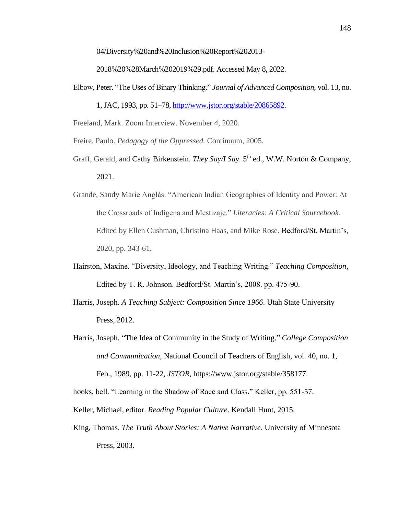04/Diversity%20and%20Inclusion%20Report%202013-

2018%20%28March%202019%29.pdf. Accessed May 8, 2022.

Elbow, Peter. "The Uses of Binary Thinking." *Journal of Advanced Composition*, vol. 13, no.

1, JAC, 1993, pp. 51–78[, http://www.jstor.org/stable/20865892.](http://www.jstor.org/stable/20865892)

Freeland, Mark. Zoom Interview. November 4, 2020.

Freire, Paulo. *Pedagogy of the Oppressed.* Continuum, 2005.

- Graff, Gerald, and Cathy Birkenstein. *They Say/I Say*. 5<sup>th</sup> ed., W.W. Norton & Company, 2021.
- Grande, Sandy Marie Anglás. "American Indian Geographies of Identity and Power: At the Crossroads of Indígena and Mestizaje." *Literacies: A Critical Sourcebook*. Edited by Ellen Cushman, Christina Haas, and Mike Rose. Bedford/St. Martin's, 2020, pp. 343-61.
- Hairston, Maxine. "Diversity, Ideology, and Teaching Writing." *Teaching Composition*, Edited by T. R. Johnson. Bedford/St. Martin's, 2008. pp. 475-90.
- Harris, Joseph. *A Teaching Subject: Composition Since 1966*. Utah State University Press, 2012.
- Harris, Joseph. "The Idea of Community in the Study of Writing." *College Composition and Communication*, National Council of Teachers of English, vol. 40, no. 1, Feb., 1989, pp. 11-22, *JSTOR,* https://www.jstor.org/stable/358177.

hooks, bell. "Learning in the Shadow of Race and Class." Keller, pp. 551-57.

Keller, Michael, editor. *Reading Popular Culture*. Kendall Hunt, 2015.

King, Thomas. *The Truth About Stories: A Native Narrative*. University of Minnesota Press, 2003.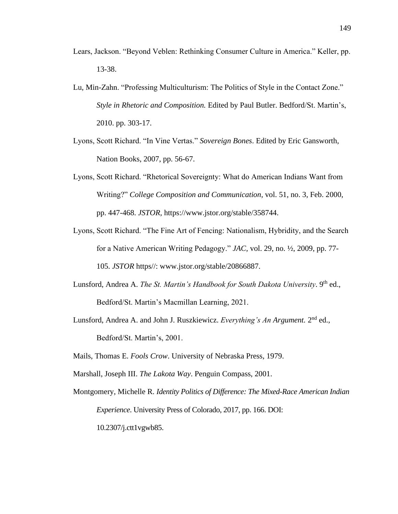- Lears, Jackson. "Beyond Veblen: Rethinking Consumer Culture in America." Keller, pp. 13-38.
- Lu, Min-Zahn. "Professing Multiculturism: The Politics of Style in the Contact Zone." *Style in Rhetoric and Composition.* Edited by Paul Butler. Bedford/St. Martin's, 2010. pp. 303-17.
- Lyons, Scott Richard. "In Vine Vertas." *Sovereign Bones*. Edited by Eric Gansworth, Nation Books, 2007, pp. 56-67.
- Lyons, Scott Richard. "Rhetorical Sovereignty: What do American Indians Want from Writing?" *College Composition and Communication*, vol. 51, no. 3, Feb. 2000, pp. 447-468. *JSTOR,* https://www.jstor.org/stable/358744.
- Lyons, Scott Richard. "The Fine Art of Fencing: Nationalism, Hybridity, and the Search for a Native American Writing Pedagogy." *JAC,* vol. 29, no. ½, 2009, pp. 77- 105. *JSTOR* https//: www.jstor.org/stable/20866887.
- Lunsford, Andrea A. *The St. Martin's Handbook for South Dakota University*. 9<sup>th</sup> ed., Bedford/St. Martin's Macmillan Learning, 2021.
- Lunsford, Andrea A. and John J. Ruszkiewicz. *Everything's An Argument*. 2<sup>nd</sup> ed., Bedford/St. Martin's, 2001.
- Mails, Thomas E. *Fools Crow*. University of Nebraska Press, 1979.
- Marshall, Joseph III. *The Lakota Way*. Penguin Compass, 2001.
- Montgomery, Michelle R. *Identity Politics of Difference: The Mixed-Race American Indian Experience*. University Press of Colorado, 2017, pp. 166. DOI: 10.2307/j.ctt1vgwb85.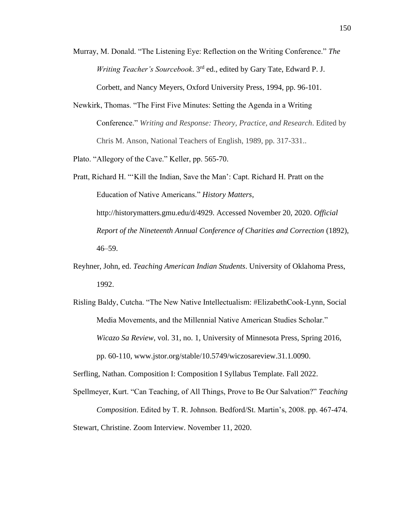- Murray, M. Donald. "The Listening Eye: Reflection on the Writing Conference." *The Writing Teacher's Sourcebook*. 3rd ed., edited by Gary Tate, Edward P. J. Corbett, and Nancy Meyers, Oxford University Press, 1994, pp. 96-101.
- Newkirk, Thomas. "The First Five Minutes: Setting the Agenda in a Writing Conference." *Writing and Response: Theory, Practice, and Research*. Edited by Chris M. Anson, National Teachers of English, 1989, pp. 317-331..
- Plato. "Allegory of the Cave." Keller, pp. 565-70.
- Pratt, Richard H. "'Kill the Indian, Save the Man': Capt. Richard H. Pratt on the Education of Native Americans." *History Matters*, http://historymatters.gmu.edu/d/4929. Accessed November 20, 2020. *Official Report of the Nineteenth Annual Conference of Charities and Correction* (1892), 46–59.
- Reyhner, John, ed. *Teaching American Indian Students*. University of Oklahoma Press, 1992.
- Risling Baldy, Cutcha. "The New Native Intellectualism: #ElizabethCook-Lynn, Social Media Movements, and the Millennial Native American Studies Scholar." *Wicazo Sa Review*, vol. 31, no. 1, University of Minnesota Press, Spring 2016, pp. 60-110, www.jstor.org/stable/10.5749/wiczosareview.31.1.0090.

Serfling, Nathan. Composition I: Composition I Syllabus Template. Fall 2022.

Spellmeyer, Kurt. "Can Teaching, of All Things, Prove to Be Our Salvation?" *Teaching Composition*. Edited by T. R. Johnson. Bedford/St. Martin's, 2008. pp. 467-474. Stewart, Christine. Zoom Interview. November 11, 2020.